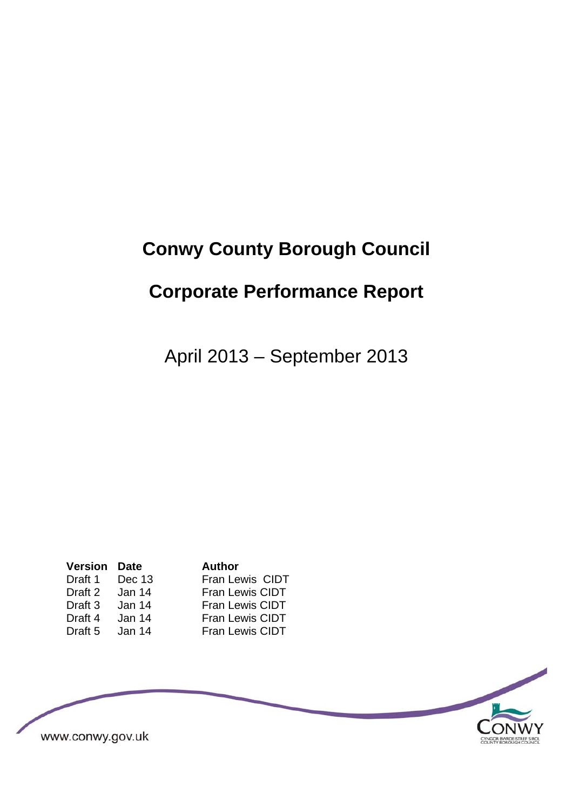# **Conwy County Borough Council**

# **Corporate Performance Report**

April 2013 – September 2013

| <b>Version</b> | Date   |
|----------------|--------|
| Draft 1        | Dec 13 |
| Draft 2        | Jan 14 |
| Draft 3        | Jan 14 |
| Draft 4        | Jan 14 |
| Draft 5        | Jan 14 |

**Author** Fran Lewis CIDT Fran Lewis CIDT Fran Lewis CIDT Fran Lewis CIDT **Fran Lewis CIDT** 

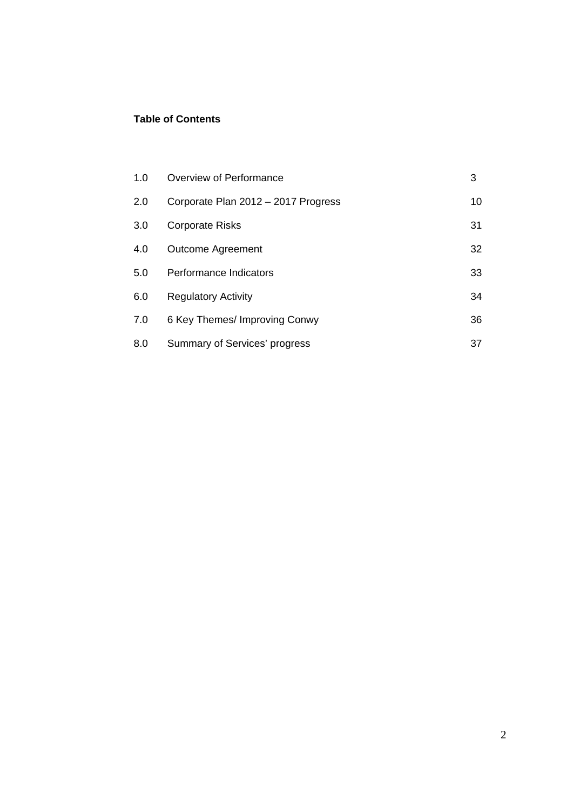#### **Table of Contents**

| 1.0 | Overview of Performance             | 3  |
|-----|-------------------------------------|----|
| 2.0 | Corporate Plan 2012 - 2017 Progress | 10 |
| 3.0 | <b>Corporate Risks</b>              | 31 |
| 4.0 | <b>Outcome Agreement</b>            | 32 |
| 5.0 | Performance Indicators              | 33 |
| 6.0 | <b>Regulatory Activity</b>          | 34 |
| 7.0 | 6 Key Themes/ Improving Conwy       | 36 |
| 8.0 | Summary of Services' progress       | 37 |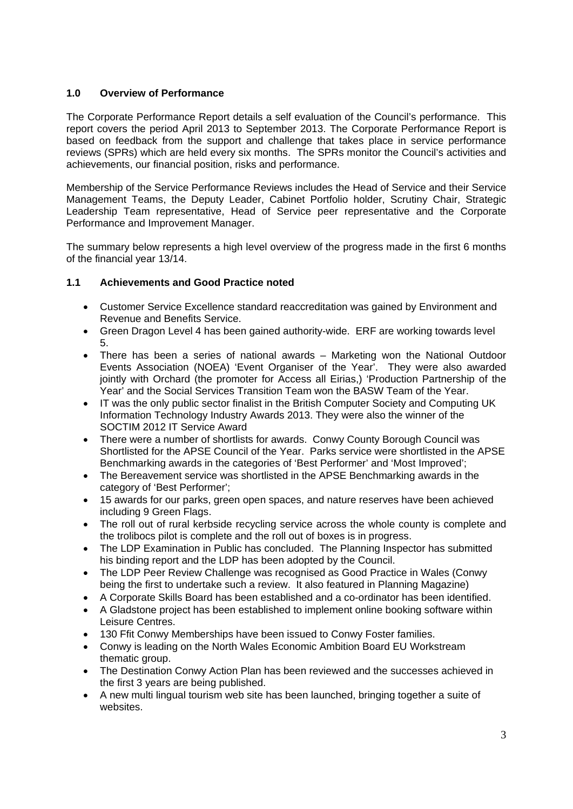#### **1.0 Overview of Performance**

The Corporate Performance Report details a self evaluation of the Council's performance. This report covers the period April 2013 to September 2013. The Corporate Performance Report is based on feedback from the support and challenge that takes place in service performance reviews (SPRs) which are held every six months. The SPRs monitor the Council's activities and achievements, our financial position, risks and performance.

Membership of the Service Performance Reviews includes the Head of Service and their Service Management Teams, the Deputy Leader, Cabinet Portfolio holder, Scrutiny Chair, Strategic Leadership Team representative, Head of Service peer representative and the Corporate Performance and Improvement Manager.

The summary below represents a high level overview of the progress made in the first 6 months of the financial year 13/14.

#### **1.1 Achievements and Good Practice noted**

- Customer Service Excellence standard reaccreditation was gained by Environment and Revenue and Benefits Service.
- Green Dragon Level 4 has been gained authority-wide. ERF are working towards level 5.
- There has been a series of national awards Marketing won the National Outdoor Events Association (NOEA) 'Event Organiser of the Year'. They were also awarded jointly with Orchard (the promoter for Access all Eirias,) 'Production Partnership of the Year' and the Social Services Transition Team won the BASW Team of the Year.
- IT was the only public sector finalist in the British Computer Society and Computing UK Information Technology Industry Awards 2013. They were also the winner of the SOCTIM 2012 IT Service Award
- There were a number of shortlists for awards. Conwy County Borough Council was Shortlisted for the APSE Council of the Year. Parks service were shortlisted in the APSE Benchmarking awards in the categories of 'Best Performer' and 'Most Improved';
- The Bereavement service was shortlisted in the APSE Benchmarking awards in the category of 'Best Performer';
- 15 awards for our parks, green open spaces, and nature reserves have been achieved including 9 Green Flags.
- The roll out of rural kerbside recycling service across the whole county is complete and the trolibocs pilot is complete and the roll out of boxes is in progress.
- The LDP Examination in Public has concluded. The Planning Inspector has submitted his binding report and the LDP has been adopted by the Council.
- The LDP Peer Review Challenge was recognised as Good Practice in Wales (Conwy) being the first to undertake such a review. It also featured in Planning Magazine)
- A Corporate Skills Board has been established and a co-ordinator has been identified.
- A Gladstone project has been established to implement online booking software within Leisure Centres.
- 130 Ffit Conwy Memberships have been issued to Conwy Foster families.
- Conwy is leading on the North Wales Economic Ambition Board EU Workstream thematic group.
- The Destination Conwy Action Plan has been reviewed and the successes achieved in the first 3 years are being published.
- A new multi lingual tourism web site has been launched, bringing together a suite of websites.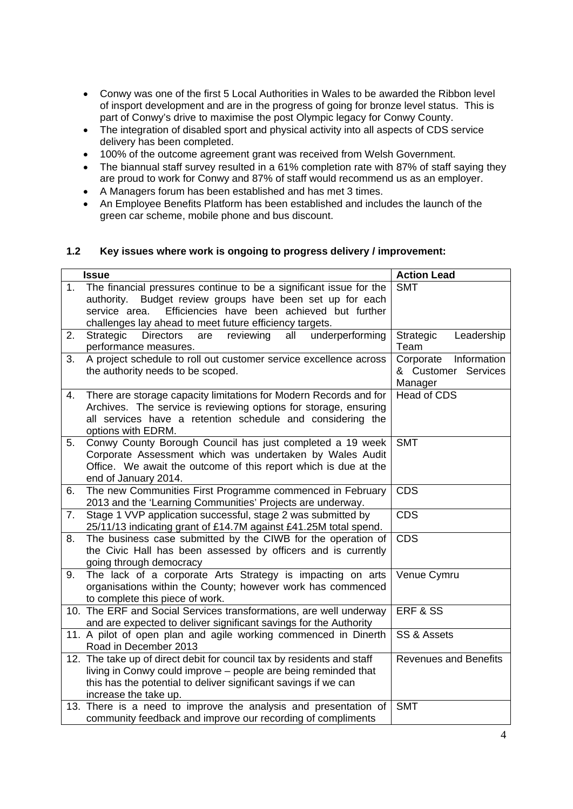- Conwy was one of the first 5 Local Authorities in Wales to be awarded the Ribbon level of insport development and are in the progress of going for bronze level status. This is part of Conwy's drive to maximise the post Olympic legacy for Conwy County.
- The integration of disabled sport and physical activity into all aspects of CDS service delivery has been completed.
- 100% of the outcome agreement grant was received from Welsh Government.
- The biannual staff survey resulted in a 61% completion rate with 87% of staff saying they are proud to work for Conwy and 87% of staff would recommend us as an employer.
- A Managers forum has been established and has met 3 times.
- An Employee Benefits Platform has been established and includes the launch of the green car scheme, mobile phone and bus discount.

#### **1.2 Key issues where work is ongoing to progress delivery / improvement:**

|    | <b>Issue</b>                                                                | <b>Action Lead</b>           |
|----|-----------------------------------------------------------------------------|------------------------------|
| 1. | The financial pressures continue to be a significant issue for the          | <b>SMT</b>                   |
|    | authority. Budget review groups have been set up for each                   |                              |
|    | Efficiencies have been achieved but further<br>service area.                |                              |
|    | challenges lay ahead to meet future efficiency targets.                     |                              |
| 2. | reviewing<br>underperforming<br><b>Directors</b><br>Strategic<br>are<br>all | Leadership<br>Strategic      |
|    | performance measures.                                                       | Team                         |
| 3. | A project schedule to roll out customer service excellence across           | Information<br>Corporate     |
|    | the authority needs to be scoped.                                           | & Customer Services          |
|    |                                                                             | Manager                      |
| 4. | There are storage capacity limitations for Modern Records and for           | <b>Head of CDS</b>           |
|    | Archives. The service is reviewing options for storage, ensuring            |                              |
|    | all services have a retention schedule and considering the                  |                              |
|    | options with EDRM.                                                          |                              |
| 5. | Conwy County Borough Council has just completed a 19 week                   | <b>SMT</b>                   |
|    | Corporate Assessment which was undertaken by Wales Audit                    |                              |
|    | Office. We await the outcome of this report which is due at the             |                              |
|    | end of January 2014.                                                        |                              |
| 6. | The new Communities First Programme commenced in February                   | <b>CDS</b>                   |
|    | 2013 and the 'Learning Communities' Projects are underway.                  |                              |
| 7. | Stage 1 VVP application successful, stage 2 was submitted by                | <b>CDS</b>                   |
|    | 25/11/13 indicating grant of £14.7M against £41.25M total spend.            |                              |
| 8. | The business case submitted by the CIWB for the operation of                | <b>CDS</b>                   |
|    | the Civic Hall has been assessed by officers and is currently               |                              |
|    | going through democracy                                                     |                              |
| 9. | The lack of a corporate Arts Strategy is impacting on arts                  | Venue Cymru                  |
|    | organisations within the County; however work has commenced                 |                              |
|    | to complete this piece of work.                                             |                              |
|    | 10. The ERF and Social Services transformations, are well underway          | ERF & SS                     |
|    | and are expected to deliver significant savings for the Authority           |                              |
|    | 11. A pilot of open plan and agile working commenced in Dinerth             | SS & Assets                  |
|    | Road in December 2013                                                       |                              |
|    | 12. The take up of direct debit for council tax by residents and staff      | <b>Revenues and Benefits</b> |
|    | living in Conwy could improve – people are being reminded that              |                              |
|    | this has the potential to deliver significant savings if we can             |                              |
|    | increase the take up.                                                       |                              |
|    | 13. There is a need to improve the analysis and presentation of             | <b>SMT</b>                   |
|    | community feedback and improve our recording of compliments                 |                              |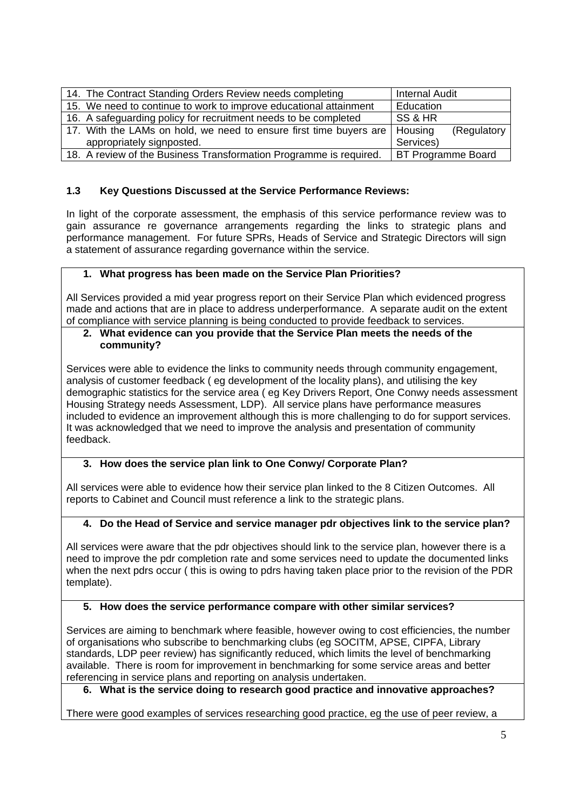| 14. The Contract Standing Orders Review needs completing                     | <b>Internal Audit</b>     |
|------------------------------------------------------------------------------|---------------------------|
| 15. We need to continue to work to improve educational attainment            | Education                 |
| 16. A safeguarding policy for recruitment needs to be completed              | SS & HR                   |
| 17. With the LAMs on hold, we need to ensure first time buyers are   Housing | (Regulatory               |
| appropriately signposted.                                                    | Services)                 |
| 18. A review of the Business Transformation Programme is required.           | <b>BT Programme Board</b> |

#### **1.3 Key Questions Discussed at the Service Performance Reviews:**

In light of the corporate assessment, the emphasis of this service performance review was to gain assurance re governance arrangements regarding the links to strategic plans and performance management. For future SPRs, Heads of Service and Strategic Directors will sign a statement of assurance regarding governance within the service.

#### **1. What progress has been made on the Service Plan Priorities?**

All Services provided a mid year progress report on their Service Plan which evidenced progress made and actions that are in place to address underperformance. A separate audit on the extent of compliance with service planning is being conducted to provide feedback to services.

#### **2. What evidence can you provide that the Service Plan meets the needs of the community?**

Services were able to evidence the links to community needs through community engagement, analysis of customer feedback ( eg development of the locality plans), and utilising the key demographic statistics for the service area ( eg Key Drivers Report, One Conwy needs assessment Housing Strategy needs Assessment, LDP). All service plans have performance measures included to evidence an improvement although this is more challenging to do for support services. It was acknowledged that we need to improve the analysis and presentation of community feedback.

#### **3. How does the service plan link to One Conwy/ Corporate Plan?**

All services were able to evidence how their service plan linked to the 8 Citizen Outcomes. All reports to Cabinet and Council must reference a link to the strategic plans.

#### **4. Do the Head of Service and service manager pdr objectives link to the service plan?**

All services were aware that the pdr objectives should link to the service plan, however there is a need to improve the pdr completion rate and some services need to update the documented links when the next pdrs occur ( this is owing to pdrs having taken place prior to the revision of the PDR template).

#### **5. How does the service performance compare with other similar services?**

Services are aiming to benchmark where feasible, however owing to cost efficiencies, the number of organisations who subscribe to benchmarking clubs (eg SOCITM, APSE, CIPFA, Library standards, LDP peer review) has significantly reduced, which limits the level of benchmarking available. There is room for improvement in benchmarking for some service areas and better referencing in service plans and reporting on analysis undertaken.

**6. What is the service doing to research good practice and innovative approaches?** 

There were good examples of services researching good practice, eg the use of peer review, a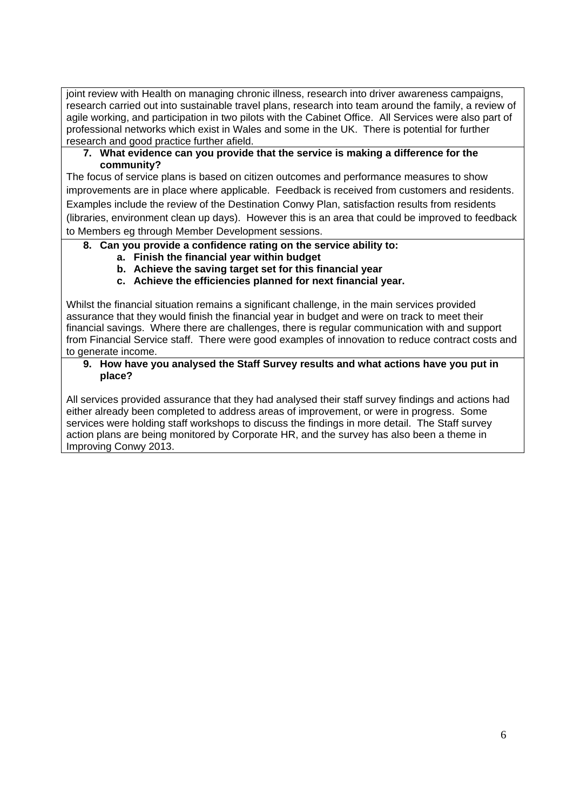joint review with Health on managing chronic illness, research into driver awareness campaigns, research carried out into sustainable travel plans, research into team around the family, a review of agile working, and participation in two pilots with the Cabinet Office. All Services were also part of professional networks which exist in Wales and some in the UK. There is potential for further research and good practice further afield.

#### **7. What evidence can you provide that the service is making a difference for the community?**

The focus of service plans is based on citizen outcomes and performance measures to show improvements are in place where applicable. Feedback is received from customers and residents. Examples include the review of the Destination Conwy Plan, satisfaction results from residents (libraries, environment clean up days). However this is an area that could be improved to feedback to Members eg through Member Development sessions.

#### **8. Can you provide a confidence rating on the service ability to:**

- **a. Finish the financial year within budget**
- **b. Achieve the saving target set for this financial year**
- **c. Achieve the efficiencies planned for next financial year.**

Whilst the financial situation remains a significant challenge, in the main services provided assurance that they would finish the financial year in budget and were on track to meet their financial savings. Where there are challenges, there is regular communication with and support from Financial Service staff. There were good examples of innovation to reduce contract costs and to generate income.

#### **9. How have you analysed the Staff Survey results and what actions have you put in place?**

All services provided assurance that they had analysed their staff survey findings and actions had either already been completed to address areas of improvement, or were in progress. Some services were holding staff workshops to discuss the findings in more detail. The Staff survey action plans are being monitored by Corporate HR, and the survey has also been a theme in Improving Conwy 2013.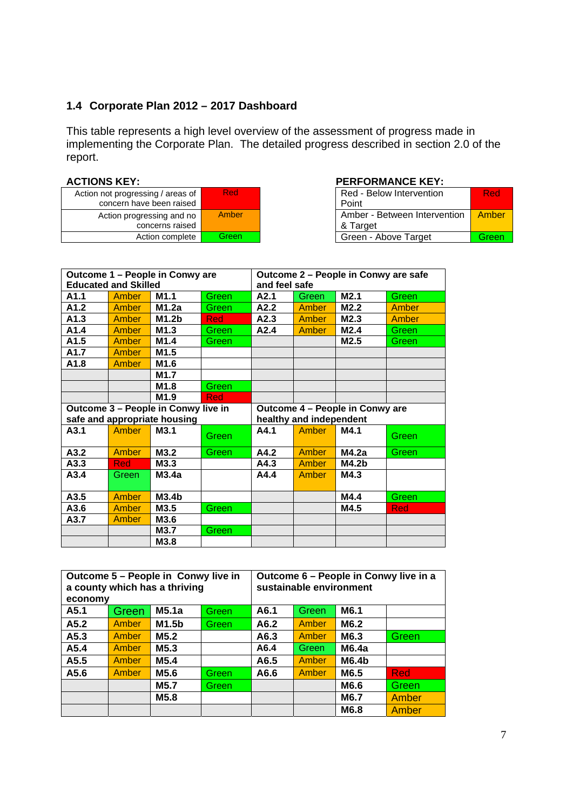## **1.4 Corporate Plan 2012 – 2017 Dashboard**

This table represents a high level overview of the assessment of progress made in implementing the Corporate Plan. The detailed progress described in section 2.0 of the report.

| Action not progressing / areas of<br>concern have been raised | Red <sup>'</sup> |
|---------------------------------------------------------------|------------------|
| Action progressing and no<br>concerns raised                  | Amber            |
| Action complete                                               | Green            |

#### ACTIONS KEY: **PERFORMANCE KEY:**

| essing / areas of | <b>Red</b> | Red - Below Intervention     | <b>Red</b> |
|-------------------|------------|------------------------------|------------|
| ave been raised   |            | Point                        |            |
| gressing and no   | Amber      | Amber - Between Intervention | Amber      |
| concerns raised   |            | & Target                     |            |
| Action complete   | Green      | Green - Above Target         | Green      |
|                   |            |                              |            |

| Outcome 1 - People in Conwy are     |            |                                 | Outcome 2 - People in Conwy are safe |               |       |                   |       |
|-------------------------------------|------------|---------------------------------|--------------------------------------|---------------|-------|-------------------|-------|
| <b>Educated and Skilled</b>         |            |                                 |                                      | and feel safe |       |                   |       |
| A1.1                                | Amber      | M <sub>1.1</sub>                | Green                                | A2.1          | Green | M2.1              | Green |
| A1.2                                | Amber      | M1.2a                           | Green                                | A2.2          | Amber | M2.2              | Amber |
| A1.3                                | Amber      | M1.2 <sub>b</sub>               | <b>Red</b>                           | A2.3          | Amber | M2.3              | Amber |
| A1.4                                | Amber      | M <sub>1.3</sub>                | Green                                | A2.4          | Amber | M2.4              | Green |
| A1.5                                | Amber      | M1.4                            | Green                                |               |       | M2.5              | Green |
| A1.7                                | Amber      | M <sub>1.5</sub>                |                                      |               |       |                   |       |
| A1.8                                | Amber      | M1.6                            |                                      |               |       |                   |       |
|                                     |            | M1.7                            |                                      |               |       |                   |       |
|                                     |            | M <sub>1.8</sub>                | Green                                |               |       |                   |       |
|                                     |            | M1.9                            | Red                                  |               |       |                   |       |
| Outcome 3 - People in Conwy live in |            | Outcome 4 - People in Conwy are |                                      |               |       |                   |       |
| safe and appropriate housing        |            |                                 | healthy and independent              |               |       |                   |       |
|                                     |            |                                 |                                      |               |       |                   |       |
| A3.1                                | Amber      | M3.1                            | Green                                | A4.1          | Amber | M4.1              | Green |
| A3.2                                | Amber      | M3.2                            | Green                                | A4.2          | Amber | M4.2a             | Green |
| A3.3                                | <b>Red</b> | M3.3                            |                                      | A4.3          | Amber | M4.2 <sub>b</sub> |       |
| A3.4                                | Green      | M3.4a                           |                                      | A4.4          | Amber | M4.3              |       |
| A3.5                                | Amber      | M3.4 <sub>b</sub>               |                                      |               |       | M4.4              | Green |
| A3.6                                | Amber      | M3.5                            | Green                                |               |       | M4.5              | Red   |
| A3.7                                | Amber      | M3.6                            |                                      |               |       |                   |       |
|                                     |            | M3.7                            | Green                                |               |       |                   |       |

| Outcome 5 - People in Conwy live in<br>a county which has a thriving<br>economy |              |       |       | Outcome 6 - People in Conwy live in a<br>sustainable environment |              |       |              |
|---------------------------------------------------------------------------------|--------------|-------|-------|------------------------------------------------------------------|--------------|-------|--------------|
| A5.1                                                                            | Green        | M5.1a | Green | A6.1                                                             | Green        | M6.1  |              |
| A5.2                                                                            | <b>Amber</b> | M1.5b | Green | A6.2                                                             | <b>Amber</b> | M6.2  |              |
| A5.3                                                                            | Amber        | M5.2  |       | A6.3                                                             | Amber        | M6.3  | Green        |
| A5.4                                                                            | <b>Amber</b> | M5.3  |       | A6.4                                                             | Green        | M6.4a |              |
| A5.5                                                                            | <b>Amber</b> | M5.4  |       | A6.5                                                             | Amber        | M6.4b |              |
| A5.6                                                                            | Amber        | M5.6  | Green | A6.6                                                             | <b>Amber</b> | M6.5  | <b>Red</b>   |
|                                                                                 |              | M5.7  | Green |                                                                  |              | M6.6  | <b>Green</b> |
|                                                                                 |              | M5.8  |       |                                                                  |              | M6.7  | Amber        |
|                                                                                 |              |       |       |                                                                  |              | M6.8  | Amber        |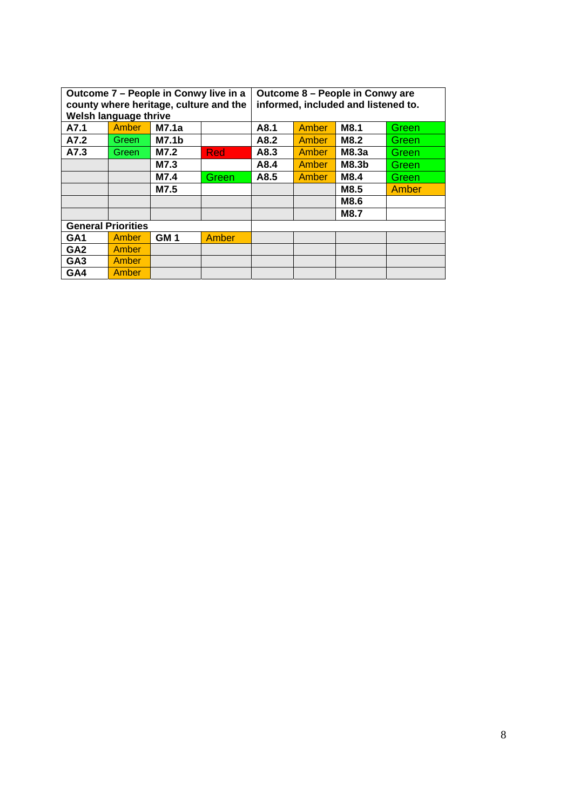| Outcome 7 – People in Conwy live in a<br>county where heritage, culture and the<br>Welsh language thrive |              |                 | Outcome 8 - People in Conwy are<br>informed, included and listened to. |      |              |              |       |
|----------------------------------------------------------------------------------------------------------|--------------|-----------------|------------------------------------------------------------------------|------|--------------|--------------|-------|
| A7.1                                                                                                     | Amber        | M7.1a           |                                                                        | A8.1 | <b>Amber</b> | M8.1         | Green |
| A7.2                                                                                                     | Green.       | <b>M7.1b</b>    |                                                                        | A8.2 | <b>Amber</b> | M8.2         | Green |
| A7.3                                                                                                     | Green        | M7.2            | Red                                                                    | A8.3 | <b>Amber</b> | M8.3a        | Green |
|                                                                                                          |              | M7.3            |                                                                        | A8.4 | <b>Amber</b> | <b>M8.3b</b> | Green |
|                                                                                                          |              | M7.4            | <b>Green</b>                                                           | A8.5 | <b>Amber</b> | M8.4         | Green |
|                                                                                                          |              | M7.5            |                                                                        |      |              | M8.5         | Amber |
|                                                                                                          |              |                 |                                                                        |      |              | M8.6         |       |
|                                                                                                          |              |                 |                                                                        |      |              | <b>M8.7</b>  |       |
| <b>General Priorities</b>                                                                                |              |                 |                                                                        |      |              |              |       |
| GA <sub>1</sub>                                                                                          | <b>Amber</b> | GM <sub>1</sub> | <b>Amber</b>                                                           |      |              |              |       |
| GA <sub>2</sub>                                                                                          | Amber        |                 |                                                                        |      |              |              |       |
| GA <sub>3</sub>                                                                                          | <b>Amber</b> |                 |                                                                        |      |              |              |       |
| GA4                                                                                                      | Amber        |                 |                                                                        |      |              |              |       |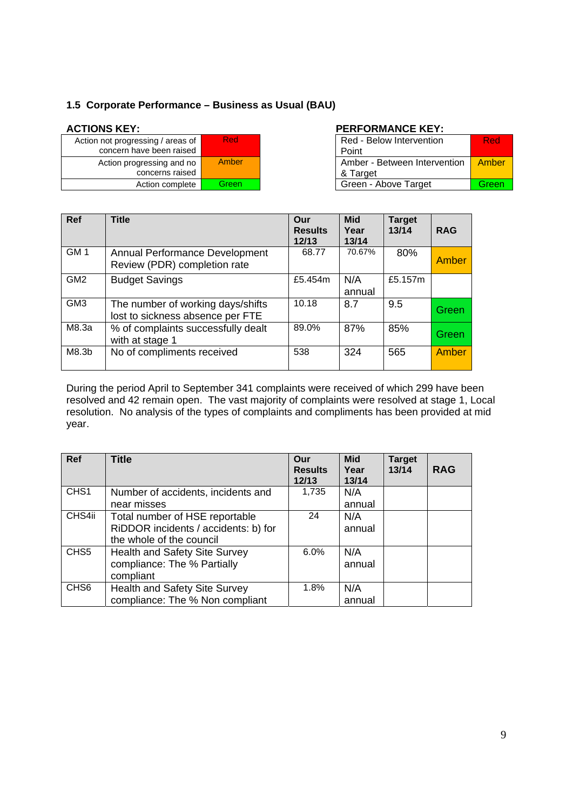#### **1.5 Corporate Performance – Business as Usual (BAU)**

| Action not progressing / areas of<br>concern have been raised | Red   |
|---------------------------------------------------------------|-------|
| Action progressing and no<br>concerns raised                  | Amber |
| Action complete                                               | Green |

#### ACTIONS KEY: **PERFORMANCE KEY:**

| essing / areas of<br>ave been raised | <b>Red</b>   | Red - Below Intervention<br>Point        | Red   |
|--------------------------------------|--------------|------------------------------------------|-------|
| gressing and no<br>concerns raised   | <b>Amber</b> | Amber - Between Intervention<br>& Target | Amber |
| Action complete                      | Greenl       | Green - Above Target                     | Green |

| <b>Ref</b>      | <b>Title</b>                                                          | Our<br><b>Results</b><br>12/13 | <b>Mid</b><br>Year<br>13/14 | <b>Target</b><br>13/14 | <b>RAG</b> |
|-----------------|-----------------------------------------------------------------------|--------------------------------|-----------------------------|------------------------|------------|
| GM <sub>1</sub> | Annual Performance Development<br>Review (PDR) completion rate        | 68.77                          | 70.67%                      | 80%                    | Amber      |
| GM <sub>2</sub> | <b>Budget Savings</b>                                                 | £5.454m                        | N/A<br>annual               | £5.157m                |            |
| GM <sub>3</sub> | The number of working days/shifts<br>lost to sickness absence per FTE | 10.18                          | 8.7                         | 9.5                    | Green      |
| M8.3a           | % of complaints successfully dealt<br>with at stage 1                 | 89.0%                          | 87%                         | 85%                    | Green      |
| M8.3b           | No of compliments received                                            | 538                            | 324                         | 565                    | Amber      |

During the period April to September 341 complaints were received of which 299 have been resolved and 42 remain open. The vast majority of complaints were resolved at stage 1, Local resolution. No analysis of the types of complaints and compliments has been provided at mid year.

| Ref              | <b>Title</b>                         | Our<br><b>Results</b><br>12/13 | <b>Mid</b><br>Year<br>13/14 | <b>Target</b><br>13/14 | <b>RAG</b> |
|------------------|--------------------------------------|--------------------------------|-----------------------------|------------------------|------------|
| CHS <sub>1</sub> | Number of accidents, incidents and   | 1,735                          | N/A                         |                        |            |
|                  | near misses                          |                                | annual                      |                        |            |
| CHS4ii           | Total number of HSE reportable       | 24                             | N/A                         |                        |            |
|                  | RiDDOR incidents / accidents: b) for |                                | annual                      |                        |            |
|                  | the whole of the council             |                                |                             |                        |            |
| CHS <sub>5</sub> | <b>Health and Safety Site Survey</b> | 6.0%                           | N/A                         |                        |            |
|                  | compliance: The % Partially          |                                | annual                      |                        |            |
|                  | compliant                            |                                |                             |                        |            |
| CH <sub>S6</sub> | <b>Health and Safety Site Survey</b> | 1.8%                           | N/A                         |                        |            |
|                  | compliance: The % Non compliant      |                                | annual                      |                        |            |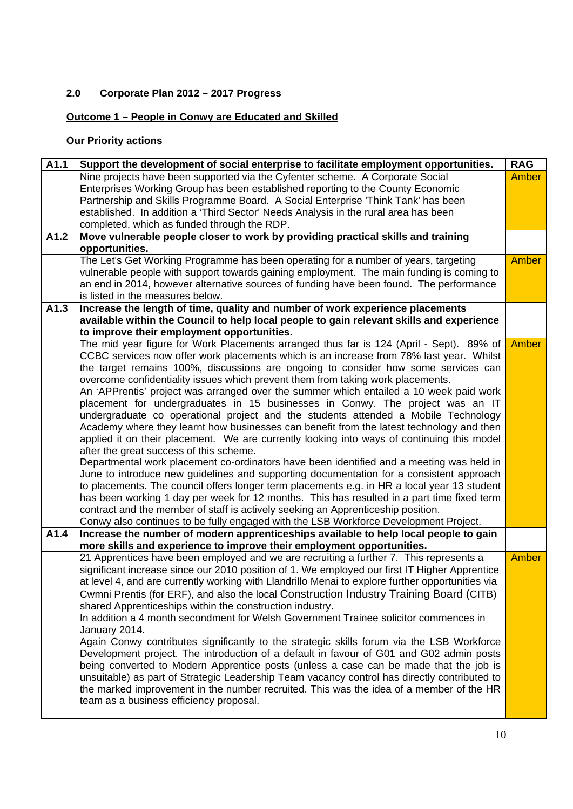## **2.0 Corporate Plan 2012 – 2017 Progress**

## **Outcome 1 – People in Conwy are Educated and Skilled**

## **Our Priority actions**

| A1.1 | Support the development of social enterprise to facilitate employment opportunities.             | <b>RAG</b> |
|------|--------------------------------------------------------------------------------------------------|------------|
|      | Nine projects have been supported via the Cyfenter scheme. A Corporate Social                    | Amber      |
|      | Enterprises Working Group has been established reporting to the County Economic                  |            |
|      | Partnership and Skills Programme Board. A Social Enterprise 'Think Tank' has been                |            |
|      | established. In addition a 'Third Sector' Needs Analysis in the rural area has been              |            |
|      | completed, which as funded through the RDP.                                                      |            |
| A1.2 | Move vulnerable people closer to work by providing practical skills and training                 |            |
|      | opportunities.                                                                                   |            |
|      | The Let's Get Working Programme has been operating for a number of years, targeting              | Amber      |
|      | vulnerable people with support towards gaining employment. The main funding is coming to         |            |
|      | an end in 2014, however alternative sources of funding have been found. The performance          |            |
|      | is listed in the measures below.                                                                 |            |
| A1.3 | Increase the length of time, quality and number of work experience placements                    |            |
|      | available within the Council to help local people to gain relevant skills and experience         |            |
|      | to improve their employment opportunities.                                                       |            |
|      | The mid year figure for Work Placements arranged thus far is 124 (April - Sept). 89% of          | Amber      |
|      | CCBC services now offer work placements which is an increase from 78% last year. Whilst          |            |
|      | the target remains 100%, discussions are ongoing to consider how some services can               |            |
|      | overcome confidentiality issues which prevent them from taking work placements.                  |            |
|      | An 'APPrentis' project was arranged over the summer which entailed a 10 week paid work           |            |
|      | placement for undergraduates in 15 businesses in Conwy. The project was an IT                    |            |
|      | undergraduate co operational project and the students attended a Mobile Technology               |            |
|      | Academy where they learnt how businesses can benefit from the latest technology and then         |            |
|      | applied it on their placement. We are currently looking into ways of continuing this model       |            |
|      | after the great success of this scheme.                                                          |            |
|      | Departmental work placement co-ordinators have been identified and a meeting was held in         |            |
|      | June to introduce new guidelines and supporting documentation for a consistent approach          |            |
|      | to placements. The council offers longer term placements e.g. in HR a local year 13 student      |            |
|      | has been working 1 day per week for 12 months. This has resulted in a part time fixed term       |            |
|      | contract and the member of staff is actively seeking an Apprenticeship position.                 |            |
|      | Conwy also continues to be fully engaged with the LSB Workforce Development Project.             |            |
| A1.4 | Increase the number of modern apprenticeships available to help local people to gain             |            |
|      | more skills and experience to improve their employment opportunities.                            |            |
|      | 21 Apprentices have been employed and we are recruiting a further 7. This represents a           | Amber      |
|      | significant increase since our 2010 position of 1. We employed our first IT Higher Apprentice    |            |
|      | at level 4, and are currently working with Llandrillo Menai to explore further opportunities via |            |
|      |                                                                                                  |            |
|      | Cwmni Prentis (for ERF), and also the local Construction Industry Training Board (CITB)          |            |
|      | shared Apprenticeships within the construction industry.                                         |            |
|      | In addition a 4 month secondment for Welsh Government Trainee solicitor commences in             |            |
|      | January 2014.                                                                                    |            |
|      | Again Conwy contributes significantly to the strategic skills forum via the LSB Workforce        |            |
|      | Development project. The introduction of a default in favour of G01 and G02 admin posts          |            |
|      | being converted to Modern Apprentice posts (unless a case can be made that the job is            |            |
|      | unsuitable) as part of Strategic Leadership Team vacancy control has directly contributed to     |            |
|      | the marked improvement in the number recruited. This was the idea of a member of the HR          |            |
|      | team as a business efficiency proposal.                                                          |            |
|      |                                                                                                  |            |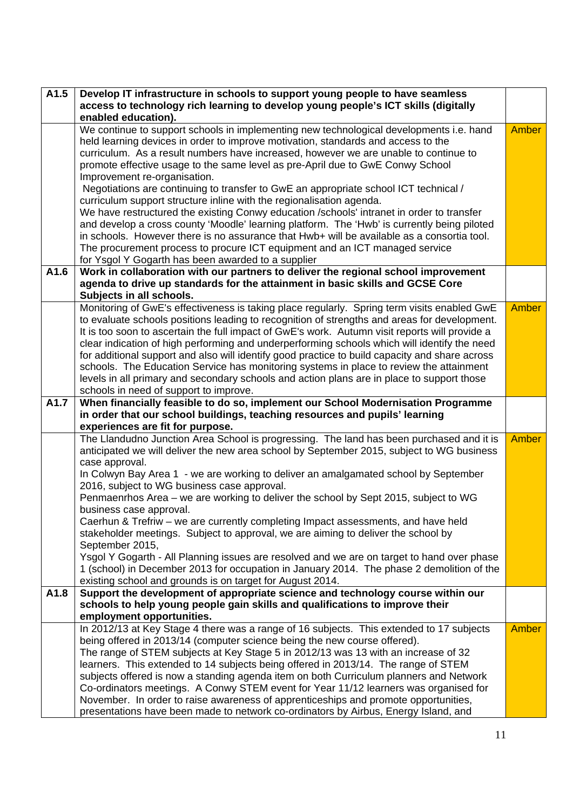| A1.5 | Develop IT infrastructure in schools to support young people to have seamless                                |              |  |
|------|--------------------------------------------------------------------------------------------------------------|--------------|--|
|      | access to technology rich learning to develop young people's ICT skills (digitally                           |              |  |
|      | enabled education).                                                                                          |              |  |
|      | We continue to support schools in implementing new technological developments i.e. hand                      | Amber        |  |
|      | held learning devices in order to improve motivation, standards and access to the                            |              |  |
|      | curriculum. As a result numbers have increased, however we are unable to continue to                         |              |  |
|      | promote effective usage to the same level as pre-April due to GwE Conwy School                               |              |  |
|      | Improvement re-organisation.                                                                                 |              |  |
|      | Negotiations are continuing to transfer to GwE an appropriate school ICT technical /                         |              |  |
|      | curriculum support structure inline with the regionalisation agenda.                                         |              |  |
|      | We have restructured the existing Conwy education /schools' intranet in order to transfer                    |              |  |
|      | and develop a cross county 'Moodle' learning platform. The 'Hwb' is currently being piloted                  |              |  |
|      | in schools. However there is no assurance that Hwb+ will be available as a consortia tool.                   |              |  |
|      | The procurement process to procure ICT equipment and an ICT managed service                                  |              |  |
|      | for Ysgol Y Gogarth has been awarded to a supplier                                                           |              |  |
| A1.6 | Work in collaboration with our partners to deliver the regional school improvement                           |              |  |
|      | agenda to drive up standards for the attainment in basic skills and GCSE Core                                |              |  |
|      | Subjects in all schools.                                                                                     |              |  |
|      | Monitoring of GwE's effectiveness is taking place regularly. Spring term visits enabled GwE                  | <b>Amber</b> |  |
|      | to evaluate schools positions leading to recognition of strengths and areas for development.                 |              |  |
|      | It is too soon to ascertain the full impact of GwE's work. Autumn visit reports will provide a               |              |  |
|      | clear indication of high performing and underperforming schools which will identify the need                 |              |  |
|      | for additional support and also will identify good practice to build capacity and share across               |              |  |
|      | schools. The Education Service has monitoring systems in place to review the attainment                      |              |  |
|      | levels in all primary and secondary schools and action plans are in place to support those                   |              |  |
|      | schools in need of support to improve.                                                                       |              |  |
| A1.7 | When financially feasible to do so, implement our School Modernisation Programme                             |              |  |
|      | in order that our school buildings, teaching resources and pupils' learning                                  |              |  |
|      | experiences are fit for purpose.                                                                             |              |  |
|      | The Llandudno Junction Area School is progressing. The land has been purchased and it is                     | <b>Amber</b> |  |
|      | anticipated we will deliver the new area school by September 2015, subject to WG business                    |              |  |
|      | case approval.<br>In Colwyn Bay Area 1 - we are working to deliver an amalgamated school by September        |              |  |
|      | 2016, subject to WG business case approval.                                                                  |              |  |
|      |                                                                                                              |              |  |
|      | Penmaenrhos Area - we are working to deliver the school by Sept 2015, subject to WG                          |              |  |
|      | business case approval.<br>Caerhun & Trefriw - we are currently completing Impact assessments, and have held |              |  |
|      | stakeholder meetings. Subject to approval, we are aiming to deliver the school by                            |              |  |
|      | September 2015,                                                                                              |              |  |
|      | Ysgol Y Gogarth - All Planning issues are resolved and we are on target to hand over phase                   |              |  |
|      | 1 (school) in December 2013 for occupation in January 2014. The phase 2 demolition of the                    |              |  |
|      | existing school and grounds is on target for August 2014.                                                    |              |  |
| A1.8 | Support the development of appropriate science and technology course within our                              |              |  |
|      | schools to help young people gain skills and qualifications to improve their                                 |              |  |
|      | employment opportunities.                                                                                    |              |  |
|      | In 2012/13 at Key Stage 4 there was a range of 16 subjects. This extended to 17 subjects                     | Amber        |  |
|      | being offered in 2013/14 (computer science being the new course offered).                                    |              |  |
|      | The range of STEM subjects at Key Stage 5 in 2012/13 was 13 with an increase of 32                           |              |  |
|      | learners. This extended to 14 subjects being offered in 2013/14. The range of STEM                           |              |  |
|      | subjects offered is now a standing agenda item on both Curriculum planners and Network                       |              |  |
|      | Co-ordinators meetings. A Conwy STEM event for Year 11/12 learners was organised for                         |              |  |
|      | November. In order to raise awareness of apprenticeships and promote opportunities,                          |              |  |
|      | presentations have been made to network co-ordinators by Airbus, Energy Island, and                          |              |  |
|      |                                                                                                              |              |  |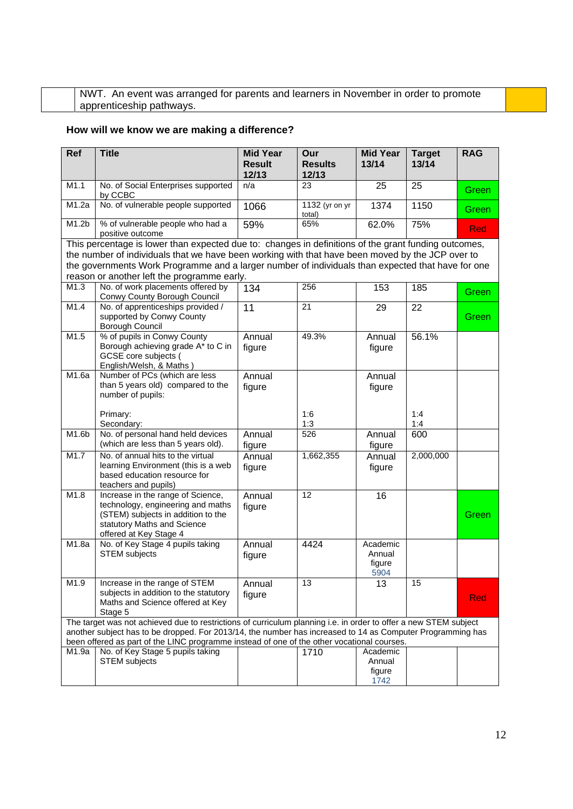NWT. An event was arranged for parents and learners in November in order to promote apprenticeship pathways.

## **How will we know we are making a difference?**

| Ref   | <b>Title</b>                                                                                                                                                                                                                                                                                                                                                 | <b>Mid Year</b><br><b>Result</b><br>12/13 | Our<br><b>Results</b><br>12/13 | <b>Mid Year</b><br>13/14             | <b>Target</b><br>13/14 | <b>RAG</b> |
|-------|--------------------------------------------------------------------------------------------------------------------------------------------------------------------------------------------------------------------------------------------------------------------------------------------------------------------------------------------------------------|-------------------------------------------|--------------------------------|--------------------------------------|------------------------|------------|
| M1.1  | No. of Social Enterprises supported<br>by CCBC                                                                                                                                                                                                                                                                                                               | n/a                                       | 23                             | 25                                   | 25                     | Green      |
| M1.2a | No. of vulnerable people supported                                                                                                                                                                                                                                                                                                                           | 1066                                      | 1132 (yr on yr<br>total)       | 1374                                 | 1150                   | Green      |
| M1.2b | % of vulnerable people who had a<br>positive outcome                                                                                                                                                                                                                                                                                                         | 59%                                       | 65%                            | 62.0%                                | 75%                    | <b>Red</b> |
|       | This percentage is lower than expected due to: changes in definitions of the grant funding outcomes,<br>the number of individuals that we have been working with that have been moved by the JCP over to<br>the governments Work Programme and a larger number of individuals than expected that have for one<br>reason or another left the programme early. |                                           |                                |                                      |                        |            |
| M1.3  | No. of work placements offered by<br>Conwy County Borough Council                                                                                                                                                                                                                                                                                            | 134                                       | 256                            | 153                                  | 185                    | Green      |
| M1.4  | No. of apprenticeships provided /<br>supported by Conwy County<br>Borough Council                                                                                                                                                                                                                                                                            | 11                                        | 21                             | 29                                   | 22                     | Green      |
| M1.5  | % of pupils in Conwy County<br>Borough achieving grade A* to C in<br>GCSE core subjects (<br>English/Welsh, & Maths)                                                                                                                                                                                                                                         | Annual<br>figure                          | 49.3%                          | Annual<br>figure                     | 56.1%                  |            |
| M1.6a | Number of PCs (which are less<br>than 5 years old) compared to the<br>number of pupils:                                                                                                                                                                                                                                                                      | Annual<br>figure                          |                                | Annual<br>figure                     |                        |            |
|       | Primary:<br>Secondary:                                                                                                                                                                                                                                                                                                                                       |                                           | 1:6<br>1:3                     |                                      | 1:4<br>1:4             |            |
| M1.6b | No. of personal hand held devices<br>(which are less than 5 years old).                                                                                                                                                                                                                                                                                      | Annual<br>figure                          | 526                            | Annual<br>figure                     | 600                    |            |
| M1.7  | No. of annual hits to the virtual<br>learning Environment (this is a web<br>based education resource for<br>teachers and pupils)                                                                                                                                                                                                                             | Annual<br>figure                          | 1,662,355                      | Annual<br>figure                     | 2,000,000              |            |
| M1.8  | Increase in the range of Science,<br>technology, engineering and maths<br>(STEM) subjects in addition to the<br>statutory Maths and Science<br>offered at Key Stage 4                                                                                                                                                                                        | Annual<br>figure                          | 12                             | 16                                   |                        | Green      |
| M1.8a | No. of Key Stage 4 pupils taking<br><b>STEM</b> subjects                                                                                                                                                                                                                                                                                                     | Annual<br>figure                          | 4424                           | Academic<br>Annual<br>figure<br>5904 |                        |            |
| M1.9  | Increase in the range of STEM<br>subjects in addition to the statutory<br>Maths and Science offered at Key<br>Stage 5                                                                                                                                                                                                                                        | Annual<br>figure                          | 13                             | 13                                   | 15                     | Red        |
|       | The target was not achieved due to restrictions of curriculum planning i.e. in order to offer a new STEM subject<br>another subject has to be dropped. For 2013/14, the number has increased to 14 as Computer Programming has<br>been offered as part of the LINC programme instead of one of the other vocational courses.                                 |                                           |                                |                                      |                        |            |
| M1.9a | No. of Key Stage 5 pupils taking<br><b>STEM</b> subjects                                                                                                                                                                                                                                                                                                     |                                           | 1710                           | Academic<br>Annual<br>figure<br>1742 |                        |            |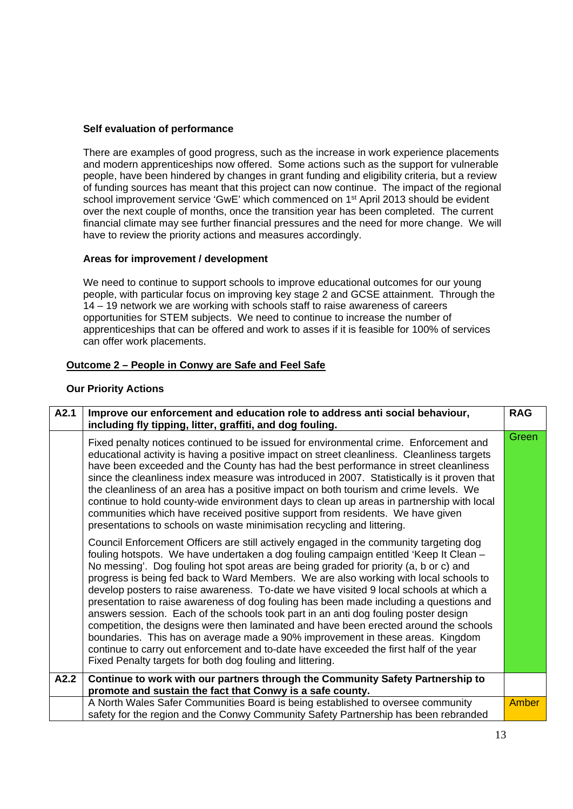#### **Self evaluation of performance**

There are examples of good progress, such as the increase in work experience placements and modern apprenticeships now offered. Some actions such as the support for vulnerable people, have been hindered by changes in grant funding and eligibility criteria, but a review of funding sources has meant that this project can now continue. The impact of the regional school improvement service 'GwE' which commenced on 1<sup>st</sup> April 2013 should be evident over the next couple of months, once the transition year has been completed. The current financial climate may see further financial pressures and the need for more change. We will have to review the priority actions and measures accordingly.

#### **Areas for improvement / development**

We need to continue to support schools to improve educational outcomes for our young people, with particular focus on improving key stage 2 and GCSE attainment. Through the 14 – 19 network we are working with schools staff to raise awareness of careers opportunities for STEM subjects. We need to continue to increase the number of apprenticeships that can be offered and work to asses if it is feasible for 100% of services can offer work placements.

#### **Outcome 2 – People in Conwy are Safe and Feel Safe**

#### **Our Priority Actions**

| A2.1 | Improve our enforcement and education role to address anti social behaviour,<br>including fly tipping, litter, graffiti, and dog fouling.                                                                                                                                                                                                                                                                                                                                                                                                                                                                                                                                                                                                                                                                                                                                                                                                                                      | <b>RAG</b>   |
|------|--------------------------------------------------------------------------------------------------------------------------------------------------------------------------------------------------------------------------------------------------------------------------------------------------------------------------------------------------------------------------------------------------------------------------------------------------------------------------------------------------------------------------------------------------------------------------------------------------------------------------------------------------------------------------------------------------------------------------------------------------------------------------------------------------------------------------------------------------------------------------------------------------------------------------------------------------------------------------------|--------------|
|      | Fixed penalty notices continued to be issued for environmental crime. Enforcement and<br>educational activity is having a positive impact on street cleanliness. Cleanliness targets<br>have been exceeded and the County has had the best performance in street cleanliness<br>since the cleanliness index measure was introduced in 2007. Statistically is it proven that<br>the cleanliness of an area has a positive impact on both tourism and crime levels. We<br>continue to hold county-wide environment days to clean up areas in partnership with local<br>communities which have received positive support from residents. We have given<br>presentations to schools on waste minimisation recycling and littering.                                                                                                                                                                                                                                                 | Green        |
|      | Council Enforcement Officers are still actively engaged in the community targeting dog<br>fouling hotspots. We have undertaken a dog fouling campaign entitled 'Keep It Clean -<br>No messing'. Dog fouling hot spot areas are being graded for priority (a, b or c) and<br>progress is being fed back to Ward Members. We are also working with local schools to<br>develop posters to raise awareness. To-date we have visited 9 local schools at which a<br>presentation to raise awareness of dog fouling has been made including a questions and<br>answers session. Each of the schools took part in an anti dog fouling poster design<br>competition, the designs were then laminated and have been erected around the schools<br>boundaries. This has on average made a 90% improvement in these areas. Kingdom<br>continue to carry out enforcement and to-date have exceeded the first half of the year<br>Fixed Penalty targets for both dog fouling and littering. |              |
| A2.2 | Continue to work with our partners through the Community Safety Partnership to                                                                                                                                                                                                                                                                                                                                                                                                                                                                                                                                                                                                                                                                                                                                                                                                                                                                                                 |              |
|      | promote and sustain the fact that Conwy is a safe county.                                                                                                                                                                                                                                                                                                                                                                                                                                                                                                                                                                                                                                                                                                                                                                                                                                                                                                                      |              |
|      | A North Wales Safer Communities Board is being established to oversee community<br>safety for the region and the Conwy Community Safety Partnership has been rebranded                                                                                                                                                                                                                                                                                                                                                                                                                                                                                                                                                                                                                                                                                                                                                                                                         | <b>Amber</b> |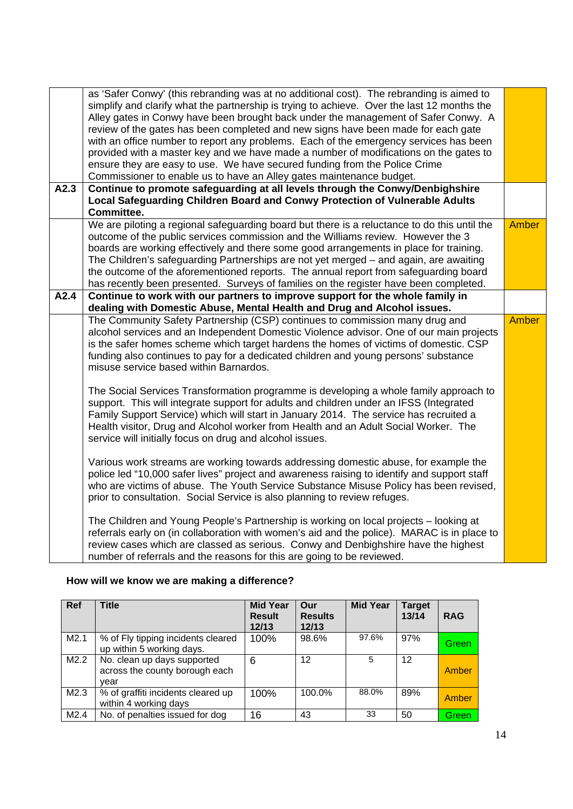| A2.3 | as 'Safer Conwy' (this rebranding was at no additional cost). The rebranding is aimed to<br>simplify and clarify what the partnership is trying to achieve. Over the last 12 months the<br>Alley gates in Conwy have been brought back under the management of Safer Conwy. A<br>review of the gates has been completed and new signs have been made for each gate<br>with an office number to report any problems. Each of the emergency services has been<br>provided with a master key and we have made a number of modifications on the gates to<br>ensure they are easy to use. We have secured funding from the Police Crime<br>Commissioner to enable us to have an Alley gates maintenance budget.<br>Continue to promote safeguarding at all levels through the Conwy/Denbighshire |              |
|------|---------------------------------------------------------------------------------------------------------------------------------------------------------------------------------------------------------------------------------------------------------------------------------------------------------------------------------------------------------------------------------------------------------------------------------------------------------------------------------------------------------------------------------------------------------------------------------------------------------------------------------------------------------------------------------------------------------------------------------------------------------------------------------------------|--------------|
|      | Local Safeguarding Children Board and Conwy Protection of Vulnerable Adults                                                                                                                                                                                                                                                                                                                                                                                                                                                                                                                                                                                                                                                                                                                 |              |
|      | Committee.                                                                                                                                                                                                                                                                                                                                                                                                                                                                                                                                                                                                                                                                                                                                                                                  |              |
|      | We are piloting a regional safeguarding board but there is a reluctance to do this until the<br>outcome of the public services commission and the Williams review. However the 3<br>boards are working effectively and there some good arrangements in place for training.<br>The Children's safeguarding Partnerships are not yet merged – and again, are awaiting<br>the outcome of the aforementioned reports. The annual report from safeguarding board<br>has recently been presented. Surveys of families on the register have been completed.                                                                                                                                                                                                                                        | Amber        |
| A2.4 | Continue to work with our partners to improve support for the whole family in                                                                                                                                                                                                                                                                                                                                                                                                                                                                                                                                                                                                                                                                                                               |              |
|      | dealing with Domestic Abuse, Mental Health and Drug and Alcohol issues.                                                                                                                                                                                                                                                                                                                                                                                                                                                                                                                                                                                                                                                                                                                     | <b>Amber</b> |
|      | The Community Safety Partnership (CSP) continues to commission many drug and<br>alcohol services and an Independent Domestic Violence advisor. One of our main projects<br>is the safer homes scheme which target hardens the homes of victims of domestic. CSP<br>funding also continues to pay for a dedicated children and young persons' substance<br>misuse service based within Barnardos.                                                                                                                                                                                                                                                                                                                                                                                            |              |
|      | The Social Services Transformation programme is developing a whole family approach to<br>support. This will integrate support for adults and children under an IFSS (Integrated<br>Family Support Service) which will start in January 2014. The service has recruited a<br>Health visitor, Drug and Alcohol worker from Health and an Adult Social Worker. The<br>service will initially focus on drug and alcohol issues.                                                                                                                                                                                                                                                                                                                                                                 |              |
|      | Various work streams are working towards addressing domestic abuse, for example the<br>police led "10,000 safer lives" project and awareness raising to identify and support staff<br>who are victims of abuse. The Youth Service Substance Misuse Policy has been revised,<br>prior to consultation. Social Service is also planning to review refuges.                                                                                                                                                                                                                                                                                                                                                                                                                                    |              |
|      | The Children and Young People's Partnership is working on local projects - looking at<br>referrals early on (in collaboration with women's aid and the police). MARAC is in place to<br>review cases which are classed as serious. Conwy and Denbighshire have the highest<br>number of referrals and the reasons for this are going to be reviewed.                                                                                                                                                                                                                                                                                                                                                                                                                                        |              |

## **How will we know we are making a difference?**

| <b>Ref</b> | <b>Title</b>                                                          | <b>Mid Year</b><br><b>Result</b><br>12/13 | Our<br><b>Results</b><br>12/13 | <b>Mid Year</b> | <b>Target</b><br>13/14 | <b>RAG</b>   |
|------------|-----------------------------------------------------------------------|-------------------------------------------|--------------------------------|-----------------|------------------------|--------------|
| M2.1       | % of Fly tipping incidents cleared<br>up within 5 working days.       | 100%                                      | 98.6%                          | 97.6%           | 97%                    | Green        |
| M2.2       | No. clean up days supported<br>across the county borough each<br>vear | 6                                         | 12                             | 5               | 12                     | Amber        |
| M2.3       | % of graffiti incidents cleared up<br>within 4 working days           | 100%                                      | 100.0%                         | 88.0%           | 89%                    | <b>Amber</b> |
| M2.4       | No. of penalties issued for dog                                       | 16                                        | 43                             | 33              | 50                     | Green        |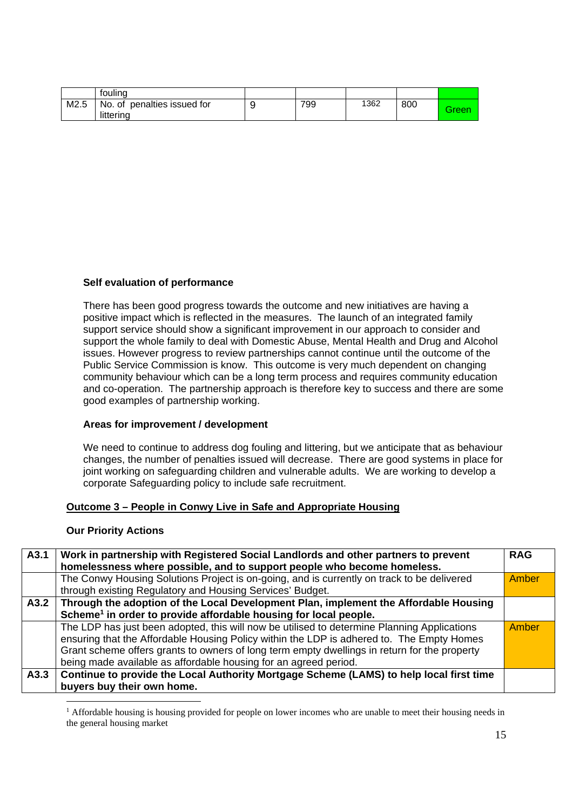|      | fouling                                  |     |      |     |       |
|------|------------------------------------------|-----|------|-----|-------|
| M2.5 | No. of penalties issued for<br>littering | 799 | 1362 | 800 | Green |

#### **Self evaluation of performance**

There has been good progress towards the outcome and new initiatives are having a positive impact which is reflected in the measures. The launch of an integrated family support service should show a significant improvement in our approach to consider and support the whole family to deal with Domestic Abuse, Mental Health and Drug and Alcohol issues. However progress to review partnerships cannot continue until the outcome of the Public Service Commission is know. This outcome is very much dependent on changing community behaviour which can be a long term process and requires community education and co-operation. The partnership approach is therefore key to success and there are some good examples of partnership working.

#### **Areas for improvement / development**

We need to continue to address dog fouling and littering, but we anticipate that as behaviour changes, the number of penalties issued will decrease. There are good systems in place for joint working on safeguarding children and vulnerable adults. We are working to develop a corporate Safeguarding policy to include safe recruitment.

#### **Outcome 3 – People in Conwy Live in Safe and Appropriate Housing**

#### **Our Priority Actions**

-

| A3.1 | Work in partnership with Registered Social Landlords and other partners to prevent<br>homelessness where possible, and to support people who become homeless.                                                                                                                                                                                                | <b>RAG</b> |
|------|--------------------------------------------------------------------------------------------------------------------------------------------------------------------------------------------------------------------------------------------------------------------------------------------------------------------------------------------------------------|------------|
|      | The Conwy Housing Solutions Project is on-going, and is currently on track to be delivered<br>through existing Regulatory and Housing Services' Budget.                                                                                                                                                                                                      | Amber      |
| A3.2 | Through the adoption of the Local Development Plan, implement the Affordable Housing<br>Scheme <sup>1</sup> in order to provide affordable housing for local people.                                                                                                                                                                                         |            |
|      | The LDP has just been adopted, this will now be utilised to determine Planning Applications<br>ensuring that the Affordable Housing Policy within the LDP is adhered to. The Empty Homes<br>Grant scheme offers grants to owners of long term empty dwellings in return for the property<br>being made available as affordable housing for an agreed period. | Amber      |
| A3.3 | Continue to provide the Local Authority Mortgage Scheme (LAMS) to help local first time<br>buyers buy their own home.                                                                                                                                                                                                                                        |            |

<sup>1</sup> Affordable housing is housing provided for people on lower incomes who are unable to meet their housing needs in the general housing market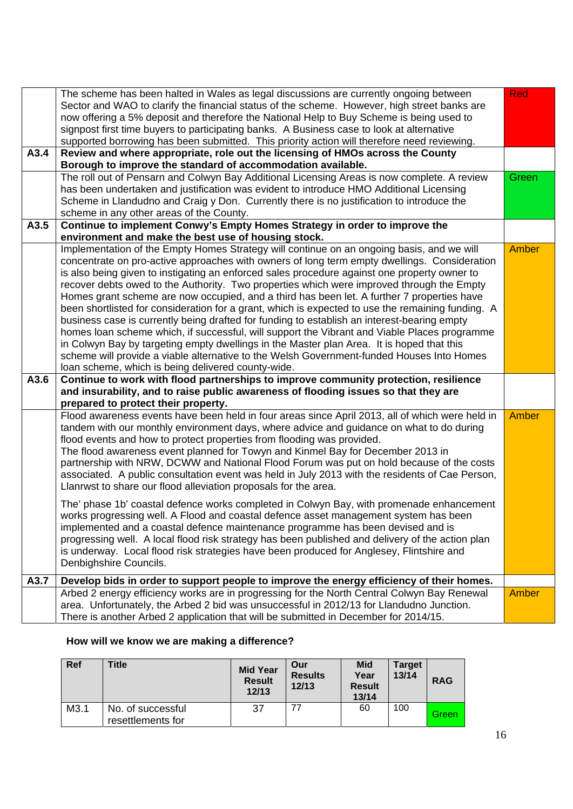|      | The scheme has been halted in Wales as legal discussions are currently ongoing between                                                                                      | <b>Red</b> |
|------|-----------------------------------------------------------------------------------------------------------------------------------------------------------------------------|------------|
|      | Sector and WAO to clarify the financial status of the scheme. However, high street banks are                                                                                |            |
|      | now offering a 5% deposit and therefore the National Help to Buy Scheme is being used to                                                                                    |            |
|      | signpost first time buyers to participating banks. A Business case to look at alternative                                                                                   |            |
|      | supported borrowing has been submitted. This priority action will therefore need reviewing.                                                                                 |            |
| A3.4 | Review and where appropriate, role out the licensing of HMOs across the County                                                                                              |            |
|      | Borough to improve the standard of accommodation available.                                                                                                                 |            |
|      | The roll out of Pensarn and Colwyn Bay Additional Licensing Areas is now complete. A review                                                                                 | Green      |
|      | has been undertaken and justification was evident to introduce HMO Additional Licensing                                                                                     |            |
|      | Scheme in Llandudno and Craig y Don. Currently there is no justification to introduce the                                                                                   |            |
|      | scheme in any other areas of the County.                                                                                                                                    |            |
| A3.5 | Continue to implement Conwy's Empty Homes Strategy in order to improve the                                                                                                  |            |
|      | environment and make the best use of housing stock.                                                                                                                         |            |
|      | Implementation of the Empty Homes Strategy will continue on an ongoing basis, and we will                                                                                   | Amber      |
|      | concentrate on pro-active approaches with owners of long term empty dwellings. Consideration                                                                                |            |
|      | is also being given to instigating an enforced sales procedure against one property owner to                                                                                |            |
|      | recover debts owed to the Authority. Two properties which were improved through the Empty                                                                                   |            |
|      | Homes grant scheme are now occupied, and a third has been let. A further 7 properties have                                                                                  |            |
|      | been shortlisted for consideration for a grant, which is expected to use the remaining funding. A                                                                           |            |
|      | business case is currently being drafted for funding to establish an interest-bearing empty                                                                                 |            |
|      | homes loan scheme which, if successful, will support the Vibrant and Viable Places programme                                                                                |            |
|      | in Colwyn Bay by targeting empty dwellings in the Master plan Area. It is hoped that this                                                                                   |            |
|      | scheme will provide a viable alternative to the Welsh Government-funded Houses Into Homes                                                                                   |            |
|      | loan scheme, which is being delivered county-wide.                                                                                                                          |            |
| A3.6 | Continue to work with flood partnerships to improve community protection, resilience                                                                                        |            |
|      | and insurability, and to raise public awareness of flooding issues so that they are                                                                                         |            |
|      | prepared to protect their property.                                                                                                                                         |            |
|      | Flood awareness events have been held in four areas since April 2013, all of which were held in                                                                             | Amber      |
|      | tandem with our monthly environment days, where advice and guidance on what to do during                                                                                    |            |
|      | flood events and how to protect properties from flooding was provided.                                                                                                      |            |
|      | The flood awareness event planned for Towyn and Kinmel Bay for December 2013 in<br>partnership with NRW, DCWW and National Flood Forum was put on hold because of the costs |            |
|      | associated. A public consultation event was held in July 2013 with the residents of Cae Person,                                                                             |            |
|      | Llanrwst to share our flood alleviation proposals for the area.                                                                                                             |            |
|      |                                                                                                                                                                             |            |
|      | The' phase 1b' coastal defence works completed in Colwyn Bay, with promenade enhancement                                                                                    |            |
|      | works progressing well. A Flood and coastal defence asset management system has been                                                                                        |            |
|      | implemented and a coastal defence maintenance programme has been devised and is                                                                                             |            |
|      | progressing well. A local flood risk strategy has been published and delivery of the action plan                                                                            |            |
|      | is underway. Local flood risk strategies have been produced for Anglesey, Flintshire and                                                                                    |            |
|      | Denbighshire Councils.                                                                                                                                                      |            |
| A3.7 | Develop bids in order to support people to improve the energy efficiency of their homes.                                                                                    |            |
|      | Arbed 2 energy efficiency works are in progressing for the North Central Colwyn Bay Renewal                                                                                 | Amber      |
|      | area. Unfortunately, the Arbed 2 bid was unsuccessful in 2012/13 for Llandudno Junction.                                                                                    |            |
|      | There is another Arbed 2 application that will be submitted in December for 2014/15.                                                                                        |            |
|      |                                                                                                                                                                             |            |

## **How will we know we are making a difference?**

| <b>Ref</b> | <b>Title</b>                           | <b>Mid Year</b><br><b>Result</b><br>12/13 | Our<br><b>Results</b><br>12/13 | <b>Mid</b><br>Year<br><b>Result</b><br>13/14 | <b>Target</b><br>13/14 | <b>RAG</b> |
|------------|----------------------------------------|-------------------------------------------|--------------------------------|----------------------------------------------|------------------------|------------|
| M3.1       | No. of successful<br>resettlements for | 37                                        | 77                             | 60                                           | 100                    | Green      |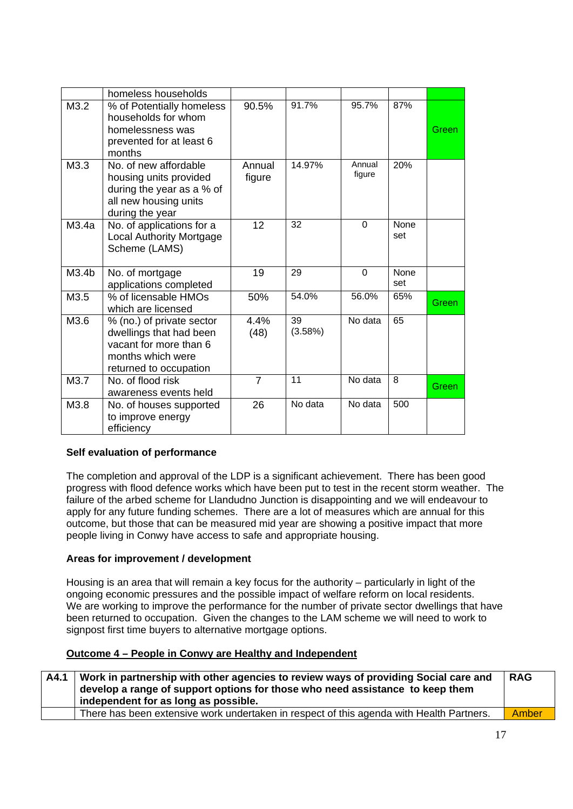|       | homeless households                                                                                                           |                  |               |                  |             |       |
|-------|-------------------------------------------------------------------------------------------------------------------------------|------------------|---------------|------------------|-------------|-------|
| M3.2  | % of Potentially homeless<br>households for whom<br>homelessness was<br>prevented for at least 6<br>months                    | 90.5%            | 91.7%         | 95.7%            | 87%         | Green |
| M3.3  | No. of new affordable<br>housing units provided<br>during the year as a % of<br>all new housing units<br>during the year      | Annual<br>figure | 14.97%        | Annual<br>figure | 20%         |       |
| M3.4a | No. of applications for a<br><b>Local Authority Mortgage</b><br>Scheme (LAMS)                                                 | 12               | 32            | $\Omega$         | None<br>set |       |
| M3.4b | No. of mortgage<br>applications completed                                                                                     | 19               | 29            | $\Omega$         | None<br>set |       |
| M3.5  | % of licensable HMOs<br>which are licensed                                                                                    | 50%              | 54.0%         | 56.0%            | 65%         | Green |
| M3.6  | % (no.) of private sector<br>dwellings that had been<br>vacant for more than 6<br>months which were<br>returned to occupation | 4.4%<br>(48)     | 39<br>(3.58%) | No data          | 65          |       |
| M3.7  | No. of flood risk<br>awareness events held                                                                                    | $\overline{7}$   | 11            | No data          | 8           | Green |
| M3.8  | No. of houses supported<br>to improve energy<br>efficiency                                                                    | 26               | No data       | No data          | 500         |       |

#### **Self evaluation of performance**

The completion and approval of the LDP is a significant achievement. There has been good progress with flood defence works which have been put to test in the recent storm weather. The failure of the arbed scheme for Llandudno Junction is disappointing and we will endeavour to apply for any future funding schemes. There are a lot of measures which are annual for this outcome, but those that can be measured mid year are showing a positive impact that more people living in Conwy have access to safe and appropriate housing.

#### **Areas for improvement / development**

Housing is an area that will remain a key focus for the authority – particularly in light of the ongoing economic pressures and the possible impact of welfare reform on local residents. We are working to improve the performance for the number of private sector dwellings that have been returned to occupation. Given the changes to the LAM scheme we will need to work to signpost first time buyers to alternative mortgage options.

#### **Outcome 4 – People in Conwy are Healthy and Independent**

| A4.1 | Work in partnership with other agencies to review ways of providing Social care and<br>develop a range of support options for those who need assistance to keep them<br>independent for as long as possible. | <b>RAG</b> |
|------|--------------------------------------------------------------------------------------------------------------------------------------------------------------------------------------------------------------|------------|
|      | There has been extensive work undertaken in respect of this agenda with Health Partners.                                                                                                                     | Amber      |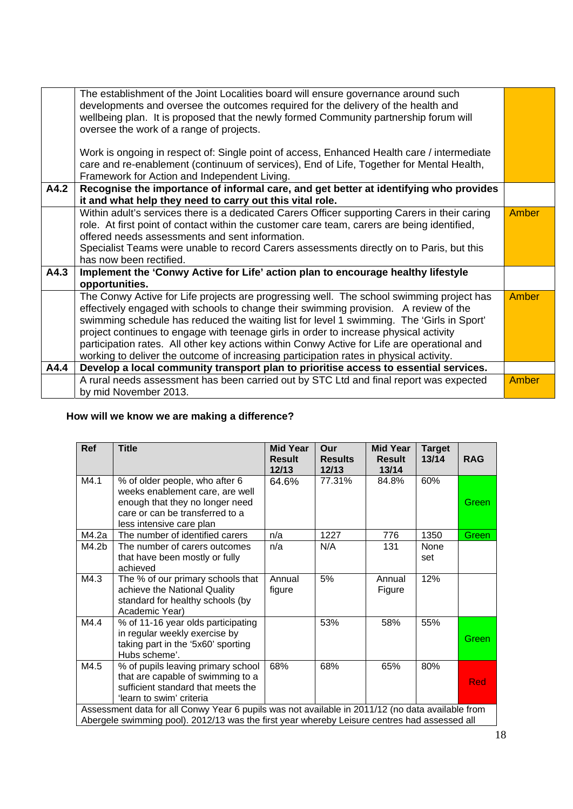|      | The establishment of the Joint Localities board will ensure governance around such<br>developments and oversee the outcomes required for the delivery of the health and<br>wellbeing plan. It is proposed that the newly formed Community partnership forum will<br>oversee the work of a range of projects.<br>Work is ongoing in respect of: Single point of access, Enhanced Health care / intermediate<br>care and re-enablement (continuum of services), End of Life, Together for Mental Health,<br>Framework for Action and Independent Living.          |              |
|------|-----------------------------------------------------------------------------------------------------------------------------------------------------------------------------------------------------------------------------------------------------------------------------------------------------------------------------------------------------------------------------------------------------------------------------------------------------------------------------------------------------------------------------------------------------------------|--------------|
| A4.2 | Recognise the importance of informal care, and get better at identifying who provides                                                                                                                                                                                                                                                                                                                                                                                                                                                                           |              |
|      | it and what help they need to carry out this vital role.                                                                                                                                                                                                                                                                                                                                                                                                                                                                                                        |              |
|      | Within adult's services there is a dedicated Carers Officer supporting Carers in their caring                                                                                                                                                                                                                                                                                                                                                                                                                                                                   | <b>Amber</b> |
|      | role. At first point of contact within the customer care team, carers are being identified,                                                                                                                                                                                                                                                                                                                                                                                                                                                                     |              |
|      | offered needs assessments and sent information.                                                                                                                                                                                                                                                                                                                                                                                                                                                                                                                 |              |
|      | Specialist Teams were unable to record Carers assessments directly on to Paris, but this                                                                                                                                                                                                                                                                                                                                                                                                                                                                        |              |
|      | has now been rectified.                                                                                                                                                                                                                                                                                                                                                                                                                                                                                                                                         |              |
| A4.3 | Implement the 'Conwy Active for Life' action plan to encourage healthy lifestyle<br>opportunities.                                                                                                                                                                                                                                                                                                                                                                                                                                                              |              |
|      | The Conwy Active for Life projects are progressing well. The school swimming project has<br>effectively engaged with schools to change their swimming provision. A review of the<br>swimming schedule has reduced the waiting list for level 1 swimming. The 'Girls in Sport'<br>project continues to engage with teenage girls in order to increase physical activity<br>participation rates. All other key actions within Conwy Active for Life are operational and<br>working to deliver the outcome of increasing participation rates in physical activity. | <b>Amber</b> |
| A4.4 | Develop a local community transport plan to prioritise access to essential services.                                                                                                                                                                                                                                                                                                                                                                                                                                                                            |              |
|      | A rural needs assessment has been carried out by STC Ltd and final report was expected<br>by mid November 2013.                                                                                                                                                                                                                                                                                                                                                                                                                                                 | <b>Amber</b> |

## **How will we know we are making a difference?**

| Ref   | <b>Title</b>                                                                                                                                                                                     | <b>Mid Year</b><br><b>Result</b><br>12/13 | Our<br><b>Results</b><br>12/13 | <b>Mid Year</b><br><b>Result</b><br>13/14 | <b>Target</b><br>13/14 | <b>RAG</b> |
|-------|--------------------------------------------------------------------------------------------------------------------------------------------------------------------------------------------------|-------------------------------------------|--------------------------------|-------------------------------------------|------------------------|------------|
| M4.1  | % of older people, who after 6<br>weeks enablement care, are well<br>enough that they no longer need<br>care or can be transferred to a<br>less intensive care plan                              | 64.6%                                     | 77.31%                         | 84.8%                                     | 60%                    | Green      |
| M4.2a | The number of identified carers                                                                                                                                                                  | n/a                                       | 1227                           | 776                                       | 1350                   | Green      |
| M4.2b | The number of carers outcomes<br>that have been mostly or fully<br>achieved                                                                                                                      | n/a                                       | N/A                            | 131                                       | None<br>set            |            |
| M4.3  | The % of our primary schools that<br>achieve the National Quality<br>standard for healthy schools (by<br>Academic Year)                                                                          | Annual<br>figure                          | 5%                             | Annual<br>Figure                          | 12%                    |            |
| M4.4  | % of 11-16 year olds participating<br>in regular weekly exercise by<br>taking part in the '5x60' sporting<br>Hubs scheme'.                                                                       |                                           | 53%                            | 58%                                       | 55%                    | Green      |
| M4.5  | % of pupils leaving primary school<br>that are capable of swimming to a<br>sufficient standard that meets the<br>'learn to swim' criteria                                                        | 68%                                       | 68%                            | 65%                                       | 80%                    | Red        |
|       | Assessment data for all Conwy Year 6 pupils was not available in 2011/12 (no data available from<br>Abergele swimming pool). 2012/13 was the first year whereby Leisure centres had assessed all |                                           |                                |                                           |                        |            |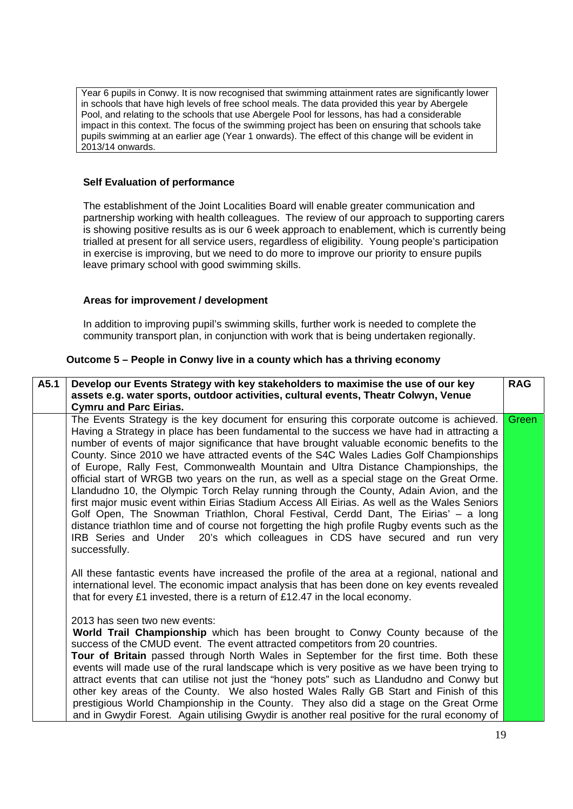Year 6 pupils in Conwy. It is now recognised that swimming attainment rates are significantly lower in schools that have high levels of free school meals. The data provided this year by Abergele Pool, and relating to the schools that use Abergele Pool for lessons, has had a considerable impact in this context. The focus of the swimming project has been on ensuring that schools take pupils swimming at an earlier age (Year 1 onwards). The effect of this change will be evident in 2013/14 onwards.

#### **Self Evaluation of performance**

The establishment of the Joint Localities Board will enable greater communication and partnership working with health colleagues. The review of our approach to supporting carers is showing positive results as is our 6 week approach to enablement, which is currently being trialled at present for all service users, regardless of eligibility. Young people's participation in exercise is improving, but we need to do more to improve our priority to ensure pupils leave primary school with good swimming skills.

#### **Areas for improvement / development**

In addition to improving pupil's swimming skills, further work is needed to complete the community transport plan, in conjunction with work that is being undertaken regionally.

#### **Outcome 5 – People in Conwy live in a county which has a thriving economy**

| A5.1 | Develop our Events Strategy with key stakeholders to maximise the use of our key<br>assets e.g. water sports, outdoor activities, cultural events, Theatr Colwyn, Venue<br><b>Cymru and Parc Eirias.</b>                                                                                                                                                                                                                                                                                                                                                                                                                                                                                                                                                                                                                                                                                                                                                                                                                                                                                                                                                | <b>RAG</b> |
|------|---------------------------------------------------------------------------------------------------------------------------------------------------------------------------------------------------------------------------------------------------------------------------------------------------------------------------------------------------------------------------------------------------------------------------------------------------------------------------------------------------------------------------------------------------------------------------------------------------------------------------------------------------------------------------------------------------------------------------------------------------------------------------------------------------------------------------------------------------------------------------------------------------------------------------------------------------------------------------------------------------------------------------------------------------------------------------------------------------------------------------------------------------------|------------|
|      | The Events Strategy is the key document for ensuring this corporate outcome is achieved.<br>Having a Strategy in place has been fundamental to the success we have had in attracting a<br>number of events of major significance that have brought valuable economic benefits to the<br>County. Since 2010 we have attracted events of the S4C Wales Ladies Golf Championships<br>of Europe, Rally Fest, Commonwealth Mountain and Ultra Distance Championships, the<br>official start of WRGB two years on the run, as well as a special stage on the Great Orme.<br>Llandudno 10, the Olympic Torch Relay running through the County, Adain Avion, and the<br>first major music event within Eirias Stadium Access All Eirias. As well as the Wales Seniors<br>Golf Open, The Snowman Triathlon, Choral Festival, Cerdd Dant, The Eirias' - a long<br>distance triathlon time and of course not forgetting the high profile Rugby events such as the<br>IRB Series and Under 20's which colleagues in CDS have secured and run very<br>successfully.<br>All these fantastic events have increased the profile of the area at a regional, national and | Green      |
|      | international level. The economic impact analysis that has been done on key events revealed<br>that for every £1 invested, there is a return of £12.47 in the local economy.<br>2013 has seen two new events:<br>World Trail Championship which has been brought to Conwy County because of the<br>success of the CMUD event. The event attracted competitors from 20 countries.                                                                                                                                                                                                                                                                                                                                                                                                                                                                                                                                                                                                                                                                                                                                                                        |            |
|      | Tour of Britain passed through North Wales in September for the first time. Both these<br>events will made use of the rural landscape which is very positive as we have been trying to<br>attract events that can utilise not just the "honey pots" such as Llandudno and Conwy but<br>other key areas of the County. We also hosted Wales Rally GB Start and Finish of this<br>prestigious World Championship in the County. They also did a stage on the Great Orme<br>and in Gwydir Forest. Again utilising Gwydir is another real positive for the rural economy of                                                                                                                                                                                                                                                                                                                                                                                                                                                                                                                                                                                 |            |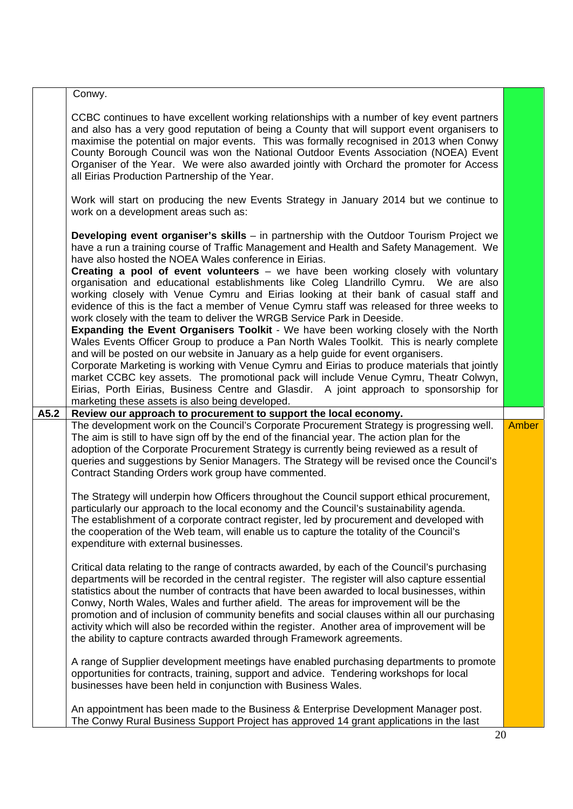|      | Conwy.                                                                                                                                                                                                                                                                                                                                                                                                                                                                                                                                                                                                                                                                                                                                                                                                                                                                                                                                                                                                                                                                                                                                                                                                                                                                                                                    |              |
|------|---------------------------------------------------------------------------------------------------------------------------------------------------------------------------------------------------------------------------------------------------------------------------------------------------------------------------------------------------------------------------------------------------------------------------------------------------------------------------------------------------------------------------------------------------------------------------------------------------------------------------------------------------------------------------------------------------------------------------------------------------------------------------------------------------------------------------------------------------------------------------------------------------------------------------------------------------------------------------------------------------------------------------------------------------------------------------------------------------------------------------------------------------------------------------------------------------------------------------------------------------------------------------------------------------------------------------|--------------|
|      | CCBC continues to have excellent working relationships with a number of key event partners<br>and also has a very good reputation of being a County that will support event organisers to<br>maximise the potential on major events. This was formally recognised in 2013 when Conwy<br>County Borough Council was won the National Outdoor Events Association (NOEA) Event<br>Organiser of the Year. We were also awarded jointly with Orchard the promoter for Access<br>all Eirias Production Partnership of the Year.<br>Work will start on producing the new Events Strategy in January 2014 but we continue to<br>work on a development areas such as:                                                                                                                                                                                                                                                                                                                                                                                                                                                                                                                                                                                                                                                              |              |
|      | Developing event organiser's skills - in partnership with the Outdoor Tourism Project we<br>have a run a training course of Traffic Management and Health and Safety Management. We<br>have also hosted the NOEA Wales conference in Eirias.<br><b>Creating a pool of event volunteers</b> – we have been working closely with voluntary<br>organisation and educational establishments like Coleg Llandrillo Cymru. We are also<br>working closely with Venue Cymru and Eirias looking at their bank of casual staff and<br>evidence of this is the fact a member of Venue Cymru staff was released for three weeks to<br>work closely with the team to deliver the WRGB Service Park in Deeside.<br><b>Expanding the Event Organisers Toolkit</b> - We have been working closely with the North<br>Wales Events Officer Group to produce a Pan North Wales Toolkit. This is nearly complete<br>and will be posted on our website in January as a help guide for event organisers.<br>Corporate Marketing is working with Venue Cymru and Eirias to produce materials that jointly<br>market CCBC key assets. The promotional pack will include Venue Cymru, Theatr Colwyn,<br>Eirias, Porth Eirias, Business Centre and Glasdir. A joint approach to sponsorship for<br>marketing these assets is also being developed. |              |
| A5.2 | Review our approach to procurement to support the local economy.                                                                                                                                                                                                                                                                                                                                                                                                                                                                                                                                                                                                                                                                                                                                                                                                                                                                                                                                                                                                                                                                                                                                                                                                                                                          |              |
|      | The development work on the Council's Corporate Procurement Strategy is progressing well.<br>The aim is still to have sign off by the end of the financial year. The action plan for the<br>adoption of the Corporate Procurement Strategy is currently being reviewed as a result of<br>queries and suggestions by Senior Managers. The Strategy will be revised once the Council's<br>Contract Standing Orders work group have commented.<br>The Strategy will underpin how Officers throughout the Council support ethical procurement,<br>particularly our approach to the local economy and the Council's sustainability agenda.<br>The establishment of a corporate contract register, led by procurement and developed with<br>the cooperation of the Web team, will enable us to capture the totality of the Council's<br>expenditure with external businesses.                                                                                                                                                                                                                                                                                                                                                                                                                                                   | <b>Amber</b> |
|      |                                                                                                                                                                                                                                                                                                                                                                                                                                                                                                                                                                                                                                                                                                                                                                                                                                                                                                                                                                                                                                                                                                                                                                                                                                                                                                                           |              |
|      | Critical data relating to the range of contracts awarded, by each of the Council's purchasing<br>departments will be recorded in the central register. The register will also capture essential<br>statistics about the number of contracts that have been awarded to local businesses, within<br>Conwy, North Wales, Wales and further afield. The areas for improvement will be the<br>promotion and of inclusion of community benefits and social clauses within all our purchasing<br>activity which will also be recorded within the register. Another area of improvement will be<br>the ability to capture contracts awarded through Framework agreements.                                                                                                                                                                                                                                                                                                                                                                                                                                                                                                                                                                                                                                                         |              |
|      | A range of Supplier development meetings have enabled purchasing departments to promote<br>opportunities for contracts, training, support and advice. Tendering workshops for local<br>businesses have been held in conjunction with Business Wales.                                                                                                                                                                                                                                                                                                                                                                                                                                                                                                                                                                                                                                                                                                                                                                                                                                                                                                                                                                                                                                                                      |              |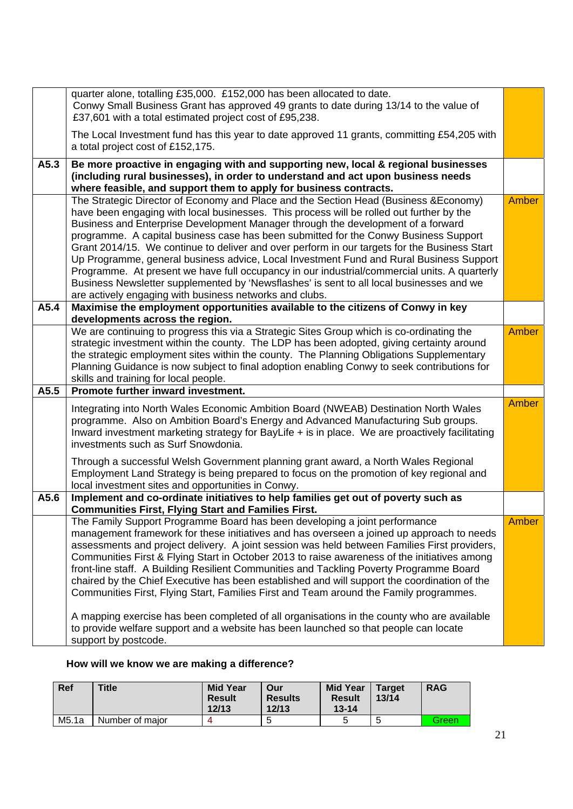|      | quarter alone, totalling £35,000. £152,000 has been allocated to date.<br>Conwy Small Business Grant has approved 49 grants to date during 13/14 to the value of<br>£37,601 with a total estimated project cost of £95,238.                                                                                                                                                                                                                                                                                                                                                                                                                                                                                                                                                                                     |              |
|------|-----------------------------------------------------------------------------------------------------------------------------------------------------------------------------------------------------------------------------------------------------------------------------------------------------------------------------------------------------------------------------------------------------------------------------------------------------------------------------------------------------------------------------------------------------------------------------------------------------------------------------------------------------------------------------------------------------------------------------------------------------------------------------------------------------------------|--------------|
|      | The Local Investment fund has this year to date approved 11 grants, committing £54,205 with<br>a total project cost of £152,175.                                                                                                                                                                                                                                                                                                                                                                                                                                                                                                                                                                                                                                                                                |              |
| A5.3 | Be more proactive in engaging with and supporting new, local & regional businesses<br>(including rural businesses), in order to understand and act upon business needs<br>where feasible, and support them to apply for business contracts.                                                                                                                                                                                                                                                                                                                                                                                                                                                                                                                                                                     |              |
|      | The Strategic Director of Economy and Place and the Section Head (Business & Economy)<br>have been engaging with local businesses. This process will be rolled out further by the<br>Business and Enterprise Development Manager through the development of a forward<br>programme. A capital business case has been submitted for the Conwy Business Support<br>Grant 2014/15. We continue to deliver and over perform in our targets for the Business Start<br>Up Programme, general business advice, Local Investment Fund and Rural Business Support<br>Programme. At present we have full occupancy in our industrial/commercial units. A quarterly<br>Business Newsletter supplemented by 'Newsflashes' is sent to all local businesses and we<br>are actively engaging with business networks and clubs. | Amber        |
| A5.4 | Maximise the employment opportunities available to the citizens of Conwy in key<br>developments across the region.                                                                                                                                                                                                                                                                                                                                                                                                                                                                                                                                                                                                                                                                                              |              |
|      | We are continuing to progress this via a Strategic Sites Group which is co-ordinating the<br>strategic investment within the county. The LDP has been adopted, giving certainty around<br>the strategic employment sites within the county. The Planning Obligations Supplementary<br>Planning Guidance is now subject to final adoption enabling Conwy to seek contributions for<br>skills and training for local people.                                                                                                                                                                                                                                                                                                                                                                                      | Amber        |
| A5.5 | Promote further inward investment.                                                                                                                                                                                                                                                                                                                                                                                                                                                                                                                                                                                                                                                                                                                                                                              |              |
|      | Integrating into North Wales Economic Ambition Board (NWEAB) Destination North Wales<br>programme. Also on Ambition Board's Energy and Advanced Manufacturing Sub groups.<br>Inward investment marketing strategy for BayLife + is in place. We are proactively facilitating<br>investments such as Surf Snowdonia.<br>Through a successful Welsh Government planning grant award, a North Wales Regional                                                                                                                                                                                                                                                                                                                                                                                                       | Amber        |
|      | Employment Land Strategy is being prepared to focus on the promotion of key regional and<br>local investment sites and opportunities in Conwy.                                                                                                                                                                                                                                                                                                                                                                                                                                                                                                                                                                                                                                                                  |              |
| A5.6 | Implement and co-ordinate initiatives to help families get out of poverty such as<br><b>Communities First, Flying Start and Families First.</b>                                                                                                                                                                                                                                                                                                                                                                                                                                                                                                                                                                                                                                                                 |              |
|      | The Family Support Programme Board has been developing a joint performance<br>management framework for these initiatives and has overseen a joined up approach to needs<br>assessments and project delivery. A joint session was held between Families First providers,<br>Communities First & Flying Start in October 2013 to raise awareness of the initiatives among<br>front-line staff. A Building Resilient Communities and Tackling Poverty Programme Board<br>chaired by the Chief Executive has been established and will support the coordination of the<br>Communities First, Flying Start, Families First and Team around the Family programmes.<br>A mapping exercise has been completed of all organisations in the county who are available                                                      | <b>Amber</b> |
|      | to provide welfare support and a website has been launched so that people can locate<br>support by postcode.                                                                                                                                                                                                                                                                                                                                                                                                                                                                                                                                                                                                                                                                                                    |              |

## **How will we know we are making a difference?**

| Ref   | <b>Title</b>    | <b>Mid Year</b><br><b>Result</b><br>12/13 | Our<br><b>Results</b><br>12/13 | <b>Mid Year</b><br><b>Result</b><br>$13 - 14$ | <b>Target</b><br>13/14 | <b>RAG</b> |
|-------|-----------------|-------------------------------------------|--------------------------------|-----------------------------------------------|------------------------|------------|
| M5.1a | Number of maior |                                           | b                              |                                               |                        | Green      |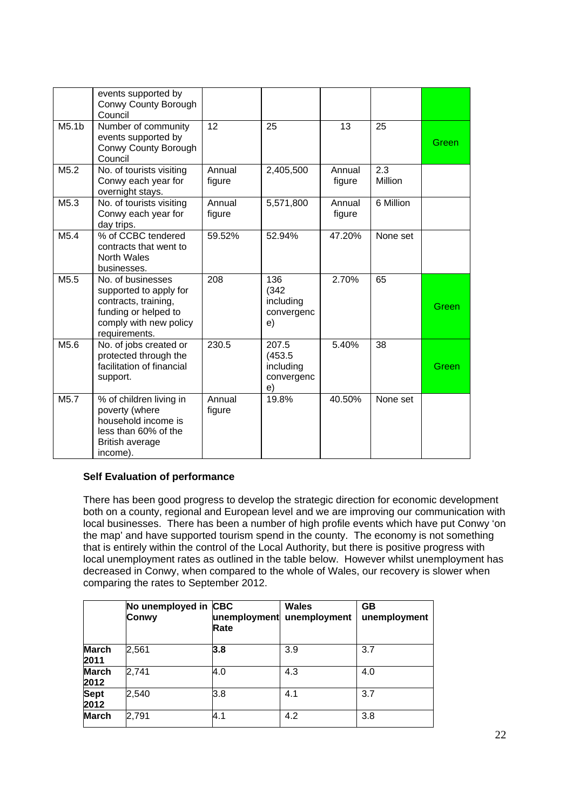|                   | events supported by<br>Conwy County Borough<br>Council                                                                                 |                  |                                                   |                  |                |       |
|-------------------|----------------------------------------------------------------------------------------------------------------------------------------|------------------|---------------------------------------------------|------------------|----------------|-------|
| M5.1 <sub>b</sub> | Number of community<br>events supported by<br>Conwy County Borough<br>Council                                                          | 12               | 25                                                | 13               | 25             | Green |
| M5.2              | No. of tourists visiting<br>Conwy each year for<br>overnight stays.                                                                    | Annual<br>figure | 2,405,500                                         | Annual<br>figure | 2.3<br>Million |       |
| M <sub>5.3</sub>  | No. of tourists visiting<br>Conwy each year for<br>day trips.                                                                          | Annual<br>figure | 5,571,800                                         | Annual<br>figure | 6 Million      |       |
| M5.4              | % of CCBC tendered<br>contracts that went to<br>North Wales<br>businesses.                                                             | 59.52%           | 52.94%                                            | 47.20%           | None set       |       |
| M <sub>5.5</sub>  | No. of businesses<br>supported to apply for<br>contracts, training,<br>funding or helped to<br>comply with new policy<br>requirements. | 208              | 136<br>(342)<br>including<br>convergenc<br>e)     | 2.70%            | 65             | Green |
| M5.6              | No. of jobs created or<br>protected through the<br>facilitation of financial<br>support.                                               | 230.5            | 207.5<br>(453.5)<br>including<br>convergenc<br>e) | 5.40%            | 38             | Green |
| M <sub>5.7</sub>  | % of children living in<br>poverty (where<br>household income is<br>less than 60% of the<br>British average<br>income).                | Annual<br>figure | 19.8%                                             | 40.50%           | None set       |       |

#### **Self Evaluation of performance**

There has been good progress to develop the strategic direction for economic development both on a county, regional and European level and we are improving our communication with local businesses. There has been a number of high profile events which have put Conwy 'on the map' and have supported tourism spend in the county. The economy is not something that is entirely within the control of the Local Authority, but there is positive progress with local unemployment rates as outlined in the table below. However whilst unemployment has decreased in Conwy, when compared to the whole of Wales, our recovery is slower when comparing the rates to September 2012.

|                      | No unemployed in CBC<br>Conwy | unemployment<br>Rate | <b>Wales</b><br>unemployment | GB<br>unemployment |
|----------------------|-------------------------------|----------------------|------------------------------|--------------------|
| <b>March</b><br>2011 | 2,561                         | 3.8                  | 3.9                          | 3.7                |
| <b>March</b><br>2012 | 2,741                         | 4.0                  | 4.3                          | 4.0                |
| <b>Sept</b><br>2012  | 2,540                         | 3.8                  | 4.1                          | 3.7                |
| <b>March</b>         | 2,791                         | 4.1                  | 4.2                          | 3.8                |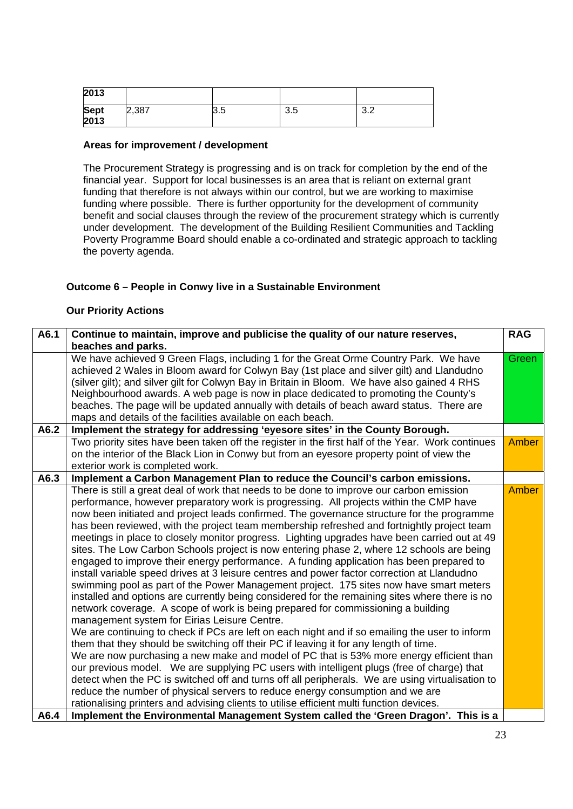| 2013                |       |     |     |            |
|---------------------|-------|-----|-----|------------|
| <b>Sept</b><br>2013 | 2,387 | 3.5 | 3.5 | റ റ<br>ے.ت |

#### **Areas for improvement / development**

The Procurement Strategy is progressing and is on track for completion by the end of the financial year. Support for local businesses is an area that is reliant on external grant funding that therefore is not always within our control, but we are working to maximise funding where possible. There is further opportunity for the development of community benefit and social clauses through the review of the procurement strategy which is currently under development. The development of the Building Resilient Communities and Tackling Poverty Programme Board should enable a co-ordinated and strategic approach to tackling the poverty agenda.

#### **Outcome 6 – People in Conwy live in a Sustainable Environment**

#### **Our Priority Actions**

| A6.1 | Continue to maintain, improve and publicise the quality of our nature reserves,                   | <b>RAG</b>   |
|------|---------------------------------------------------------------------------------------------------|--------------|
|      | beaches and parks.                                                                                |              |
|      | We have achieved 9 Green Flags, including 1 for the Great Orme Country Park. We have              | Green        |
|      | achieved 2 Wales in Bloom award for Colwyn Bay (1st place and silver gilt) and Llandudno          |              |
|      | (silver gilt); and silver gilt for Colwyn Bay in Britain in Bloom. We have also gained 4 RHS      |              |
|      | Neighbourhood awards. A web page is now in place dedicated to promoting the County's              |              |
|      | beaches. The page will be updated annually with details of beach award status. There are          |              |
|      | maps and details of the facilities available on each beach.                                       |              |
| A6.2 | Implement the strategy for addressing 'eyesore sites' in the County Borough.                      |              |
|      | Two priority sites have been taken off the register in the first half of the Year. Work continues | <b>Amber</b> |
|      | on the interior of the Black Lion in Conwy but from an eyesore property point of view the         |              |
|      | exterior work is completed work.                                                                  |              |
| A6.3 | Implement a Carbon Management Plan to reduce the Council's carbon emissions.                      |              |
|      | There is still a great deal of work that needs to be done to improve our carbon emission          | <b>Amber</b> |
|      | performance, however preparatory work is progressing. All projects within the CMP have            |              |
|      | now been initiated and project leads confirmed. The governance structure for the programme        |              |
|      | has been reviewed, with the project team membership refreshed and fortnightly project team        |              |
|      | meetings in place to closely monitor progress. Lighting upgrades have been carried out at 49      |              |
|      | sites. The Low Carbon Schools project is now entering phase 2, where 12 schools are being         |              |
|      | engaged to improve their energy performance. A funding application has been prepared to           |              |
|      | install variable speed drives at 3 leisure centres and power factor correction at Llandudno       |              |
|      | swimming pool as part of the Power Management project. 175 sites now have smart meters            |              |
|      | installed and options are currently being considered for the remaining sites where there is no    |              |
|      | network coverage. A scope of work is being prepared for commissioning a building                  |              |
|      | management system for Eirias Leisure Centre.                                                      |              |
|      | We are continuing to check if PCs are left on each night and if so emailing the user to inform    |              |
|      | them that they should be switching off their PC if leaving it for any length of time.             |              |
|      | We are now purchasing a new make and model of PC that is 53% more energy efficient than           |              |
|      | our previous model. We are supplying PC users with intelligent plugs (free of charge) that        |              |
|      | detect when the PC is switched off and turns off all peripherals. We are using virtualisation to  |              |
|      | reduce the number of physical servers to reduce energy consumption and we are                     |              |
|      | rationalising printers and advising clients to utilise efficient multi function devices.          |              |
| A6.4 | Implement the Environmental Management System called the 'Green Dragon'. This is a                |              |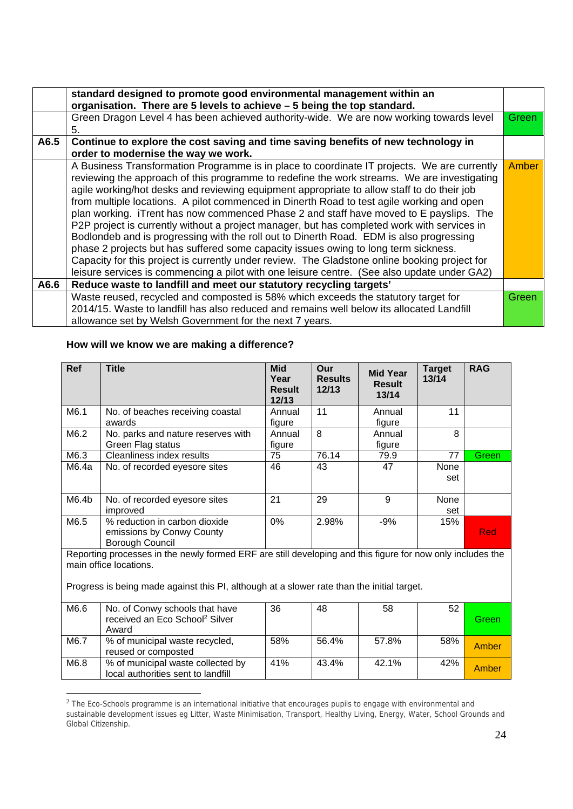|      | standard designed to promote good environmental management within an<br>organisation. There are 5 levels to achieve - 5 being the top standard.                                                                                                                                                                                                                                                                                                                                                                                                                                                                                                                                                                                                                                                                                                                                                                                                                  |       |
|------|------------------------------------------------------------------------------------------------------------------------------------------------------------------------------------------------------------------------------------------------------------------------------------------------------------------------------------------------------------------------------------------------------------------------------------------------------------------------------------------------------------------------------------------------------------------------------------------------------------------------------------------------------------------------------------------------------------------------------------------------------------------------------------------------------------------------------------------------------------------------------------------------------------------------------------------------------------------|-------|
|      | Green Dragon Level 4 has been achieved authority-wide. We are now working towards level                                                                                                                                                                                                                                                                                                                                                                                                                                                                                                                                                                                                                                                                                                                                                                                                                                                                          | Green |
|      | 5.                                                                                                                                                                                                                                                                                                                                                                                                                                                                                                                                                                                                                                                                                                                                                                                                                                                                                                                                                               |       |
| A6.5 | Continue to explore the cost saving and time saving benefits of new technology in                                                                                                                                                                                                                                                                                                                                                                                                                                                                                                                                                                                                                                                                                                                                                                                                                                                                                |       |
|      | order to modernise the way we work.                                                                                                                                                                                                                                                                                                                                                                                                                                                                                                                                                                                                                                                                                                                                                                                                                                                                                                                              |       |
|      | A Business Transformation Programme is in place to coordinate IT projects. We are currently<br>reviewing the approach of this programme to redefine the work streams. We are investigating<br>agile working/hot desks and reviewing equipment appropriate to allow staff to do their job<br>from multiple locations. A pilot commenced in Dinerth Road to test agile working and open<br>plan working. iTrent has now commenced Phase 2 and staff have moved to E payslips. The<br>P2P project is currently without a project manager, but has completed work with services in<br>Bodlondeb and is progressing with the roll out to Dinerth Road. EDM is also progressing<br>phase 2 projects but has suffered some capacity issues owing to long term sickness.<br>Capacity for this project is currently under review. The Gladstone online booking project for<br>leisure services is commencing a pilot with one leisure centre. (See also update under GA2) | Amber |
| A6.6 | Reduce waste to landfill and meet our statutory recycling targets'                                                                                                                                                                                                                                                                                                                                                                                                                                                                                                                                                                                                                                                                                                                                                                                                                                                                                               |       |
|      | Waste reused, recycled and composted is 58% which exceeds the statutory target for                                                                                                                                                                                                                                                                                                                                                                                                                                                                                                                                                                                                                                                                                                                                                                                                                                                                               | Green |
|      | 2014/15. Waste to landfill has also reduced and remains well below its allocated Landfill                                                                                                                                                                                                                                                                                                                                                                                                                                                                                                                                                                                                                                                                                                                                                                                                                                                                        |       |
|      | allowance set by Welsh Government for the next 7 years.                                                                                                                                                                                                                                                                                                                                                                                                                                                                                                                                                                                                                                                                                                                                                                                                                                                                                                          |       |

### **How will we know we are making a difference?**

1

| <b>Ref</b> | <b>Title</b>                                                                                                                                                                                                                       | <b>Mid</b><br>Year<br><b>Result</b><br>12/13 | Our<br><b>Results</b><br>12/13 | <b>Mid Year</b><br><b>Result</b><br>13/14 | <b>Target</b><br>13/14 | <b>RAG</b> |
|------------|------------------------------------------------------------------------------------------------------------------------------------------------------------------------------------------------------------------------------------|----------------------------------------------|--------------------------------|-------------------------------------------|------------------------|------------|
| M6.1       | No. of beaches receiving coastal<br>awards                                                                                                                                                                                         | Annual<br>figure                             | 11                             | Annual<br>figure                          | 11                     |            |
| M6.2       | No. parks and nature reserves with<br>Green Flag status                                                                                                                                                                            | Annual<br>figure                             | 8                              | Annual<br>figure                          | 8                      |            |
| M6.3       | Cleanliness index results                                                                                                                                                                                                          | 75                                           | 76.14                          | 79.9                                      | 77                     | Green      |
| M6.4a      | No. of recorded eyesore sites                                                                                                                                                                                                      | 46                                           | 43                             | 47                                        | <b>None</b><br>set     |            |
| M6.4b      | No. of recorded eyesore sites<br>improved                                                                                                                                                                                          | 21                                           | 29                             | 9                                         | <b>None</b><br>set     |            |
| M6.5       | % reduction in carbon dioxide<br>emissions by Conwy County<br>Borough Council                                                                                                                                                      | 0%                                           | 2.98%                          | $-9%$                                     | 15%                    | <b>Red</b> |
|            | Reporting processes in the newly formed ERF are still developing and this figure for now only includes the<br>main office locations.<br>Progress is being made against this PI, although at a slower rate than the initial target. |                                              |                                |                                           |                        |            |
| M6.6       | No. of Conwy schools that have<br>received an Eco School <sup>2</sup> Silver<br>Award                                                                                                                                              | 36                                           | 48                             | 58                                        | 52                     | Green      |
| M6.7       | % of municipal waste recycled,<br>reused or composted                                                                                                                                                                              | 58%                                          | 56.4%                          | 57.8%                                     | 58%                    | Amber      |
| M6.8       | % of municipal waste collected by<br>local authorities sent to landfill                                                                                                                                                            | 41%                                          | 43.4%                          | 42.1%                                     | 42%                    | Amber      |

 $2$  The Eco-Schools programme is an international initiative that encourages pupils to engage with environmental and sustainable development issues eg Litter, Waste Minimisation, Transport, Healthy Living, Energy, Water, School Grounds and Global Citizenship.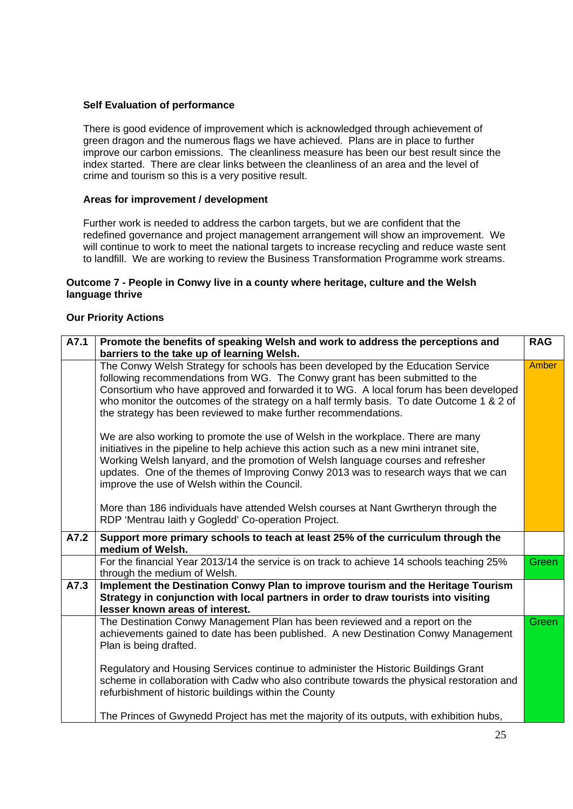#### **Self Evaluation of performance**

There is good evidence of improvement which is acknowledged through achievement of green dragon and the numerous flags we have achieved. Plans are in place to further improve our carbon emissions. The cleanliness measure has been our best result since the index started. There are clear links between the cleanliness of an area and the level of crime and tourism so this is a very positive result.

#### **Areas for improvement / development**

Further work is needed to address the carbon targets, but we are confident that the redefined governance and project management arrangement will show an improvement. We will continue to work to meet the national targets to increase recycling and reduce waste sent to landfill. We are working to review the Business Transformation Programme work streams.

#### **Outcome 7 - People in Conwy live in a county where heritage, culture and the Welsh language thrive**

#### **Our Priority Actions**

| A7.1 | Promote the benefits of speaking Welsh and work to address the perceptions and                                                                                                                                                                                                                                                                                                                                            | <b>RAG</b>   |
|------|---------------------------------------------------------------------------------------------------------------------------------------------------------------------------------------------------------------------------------------------------------------------------------------------------------------------------------------------------------------------------------------------------------------------------|--------------|
|      | barriers to the take up of learning Welsh.                                                                                                                                                                                                                                                                                                                                                                                |              |
|      | The Conwy Welsh Strategy for schools has been developed by the Education Service<br>following recommendations from WG. The Conwy grant has been submitted to the<br>Consortium who have approved and forwarded it to WG. A local forum has been developed<br>who monitor the outcomes of the strategy on a half termly basis. To date Outcome 1 & 2 of<br>the strategy has been reviewed to make further recommendations. | Amber        |
|      | We are also working to promote the use of Welsh in the workplace. There are many<br>initiatives in the pipeline to help achieve this action such as a new mini intranet site,<br>Working Welsh lanyard, and the promotion of Welsh language courses and refresher<br>updates. One of the themes of Improving Conwy 2013 was to research ways that we can<br>improve the use of Welsh within the Council.                  |              |
|      | More than 186 individuals have attended Welsh courses at Nant Gwrtheryn through the<br>RDP 'Mentrau laith y Gogledd' Co-operation Project.                                                                                                                                                                                                                                                                                |              |
| A7.2 | Support more primary schools to teach at least 25% of the curriculum through the<br>medium of Welsh.                                                                                                                                                                                                                                                                                                                      |              |
|      |                                                                                                                                                                                                                                                                                                                                                                                                                           |              |
|      | For the financial Year 2013/14 the service is on track to achieve 14 schools teaching 25%<br>through the medium of Welsh.                                                                                                                                                                                                                                                                                                 | Green        |
| A7.3 | Implement the Destination Conwy Plan to improve tourism and the Heritage Tourism<br>Strategy in conjunction with local partners in order to draw tourists into visiting<br>lesser known areas of interest.                                                                                                                                                                                                                |              |
|      | The Destination Conwy Management Plan has been reviewed and a report on the<br>achievements gained to date has been published. A new Destination Conwy Management<br>Plan is being drafted.                                                                                                                                                                                                                               | <b>Green</b> |
|      | Regulatory and Housing Services continue to administer the Historic Buildings Grant<br>scheme in collaboration with Cadw who also contribute towards the physical restoration and<br>refurbishment of historic buildings within the County                                                                                                                                                                                |              |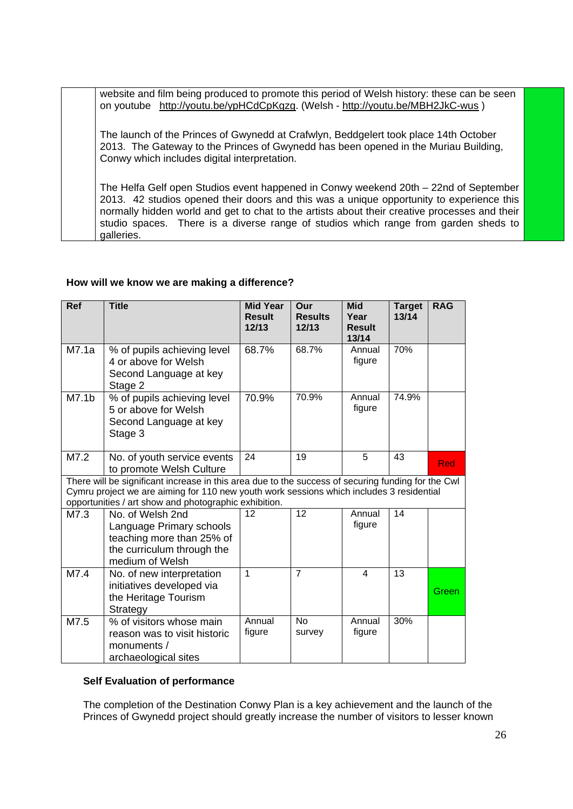website and film being produced to promote this period of Welsh history: these can be seen on youtube http://youtu.be/ypHCdCpKgzg. (Welsh - http://youtu.be/MBH2JkC-wus )

The launch of the Princes of Gwynedd at Crafwlyn, Beddgelert took place 14th October 2013. The Gateway to the Princes of Gwynedd has been opened in the Muriau Building, Conwy which includes digital interpretation.

The Helfa Gelf open Studios event happened in Conwy weekend 20th – 22nd of September 2013. 42 studios opened their doors and this was a unique opportunity to experience this normally hidden world and get to chat to the artists about their creative processes and their studio spaces. There is a diverse range of studios which range from garden sheds to galleries.

#### **How will we know we are making a difference?**

| <b>Ref</b>        | <b>Title</b>                                                                                                                                                                                                                                            | <b>Mid Year</b><br><b>Result</b><br>12/13 | Our<br><b>Results</b><br>12/13 | <b>Mid</b><br>Year<br><b>Result</b><br>13/14 | <b>Target</b><br>13/14 | <b>RAG</b> |
|-------------------|---------------------------------------------------------------------------------------------------------------------------------------------------------------------------------------------------------------------------------------------------------|-------------------------------------------|--------------------------------|----------------------------------------------|------------------------|------------|
| M7.1a             | % of pupils achieving level<br>4 or above for Welsh<br>Second Language at key<br>Stage 2                                                                                                                                                                | 68.7%                                     | 68.7%                          | Annual<br>figure                             | 70%                    |            |
| M7.1 <sub>b</sub> | % of pupils achieving level<br>5 or above for Welsh<br>Second Language at key<br>Stage 3                                                                                                                                                                | 70.9%                                     | 70.9%                          | Annual<br>figure                             | 74.9%                  |            |
| M7.2              | No. of youth service events<br>to promote Welsh Culture                                                                                                                                                                                                 | 24                                        | 19                             | 5                                            | 43                     | Red        |
|                   | There will be significant increase in this area due to the success of securing funding for the Cwl<br>Cymru project we are aiming for 110 new youth work sessions which includes 3 residential<br>opportunities / art show and photographic exhibition. |                                           |                                |                                              |                        |            |
| M7.3              | No. of Welsh 2nd<br>Language Primary schools<br>teaching more than 25% of<br>the curriculum through the<br>medium of Welsh                                                                                                                              | 12                                        | $\overline{12}$                | Annual<br>figure                             | $\overline{14}$        |            |
| M7.4              | No. of new interpretation<br>initiatives developed via<br>the Heritage Tourism<br>Strategy                                                                                                                                                              | 1                                         | 7                              | $\overline{\mathbf{4}}$                      | 13                     | Green      |
| M7.5              | % of visitors whose main<br>reason was to visit historic<br>monuments /<br>archaeological sites                                                                                                                                                         | Annual<br>figure                          | No<br>survey                   | Annual<br>figure                             | 30%                    |            |

#### **Self Evaluation of performance**

The completion of the Destination Conwy Plan is a key achievement and the launch of the Princes of Gwynedd project should greatly increase the number of visitors to lesser known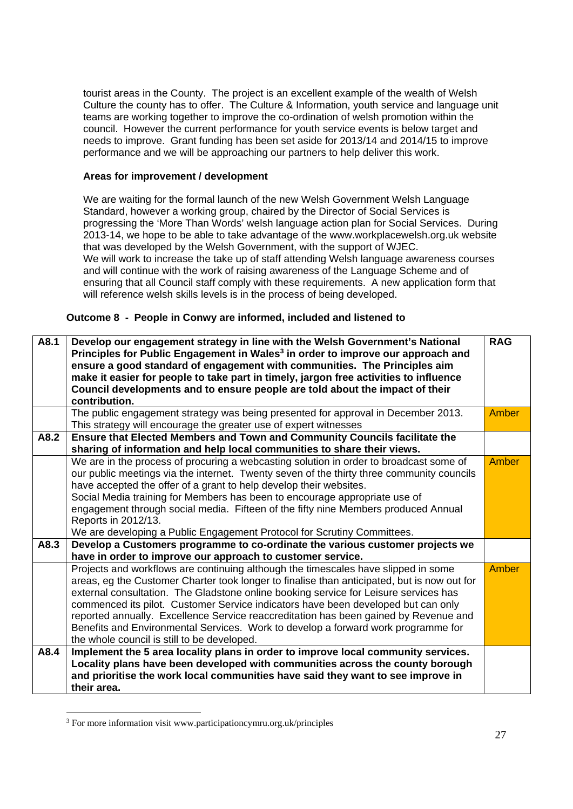tourist areas in the County. The project is an excellent example of the wealth of Welsh Culture the county has to offer. The Culture & Information, youth service and language unit teams are working together to improve the co-ordination of welsh promotion within the council. However the current performance for youth service events is below target and needs to improve. Grant funding has been set aside for 2013/14 and 2014/15 to improve performance and we will be approaching our partners to help deliver this work.

#### **Areas for improvement / development**

We are waiting for the formal launch of the new Welsh Government Welsh Language Standard, however a working group, chaired by the Director of Social Services is progressing the 'More Than Words' welsh language action plan for Social Services. During 2013-14, we hope to be able to take advantage of the www.workplacewelsh.org.uk website that was developed by the Welsh Government, with the support of WJEC. We will work to increase the take up of staff attending Welsh language awareness courses and will continue with the work of raising awareness of the Language Scheme and of ensuring that all Council staff comply with these requirements. A new application form that will reference welsh skills levels is in the process of being developed.

#### **Outcome 8 - People in Conwy are informed, included and listened to**

| A8.1 | Develop our engagement strategy in line with the Welsh Government's National<br>Principles for Public Engagement in Wales <sup>3</sup> in order to improve our approach and<br>ensure a good standard of engagement with communities. The Principles aim<br>make it easier for people to take part in timely, jargon free activities to influence<br>Council developments and to ensure people are told about the impact of their<br>contribution.                                                                                                                                                                                                       | <b>RAG</b>   |
|------|----------------------------------------------------------------------------------------------------------------------------------------------------------------------------------------------------------------------------------------------------------------------------------------------------------------------------------------------------------------------------------------------------------------------------------------------------------------------------------------------------------------------------------------------------------------------------------------------------------------------------------------------------------|--------------|
|      | The public engagement strategy was being presented for approval in December 2013.<br>This strategy will encourage the greater use of expert witnesses                                                                                                                                                                                                                                                                                                                                                                                                                                                                                                    | Amber        |
| A8.2 | Ensure that Elected Members and Town and Community Councils facilitate the<br>sharing of information and help local communities to share their views.                                                                                                                                                                                                                                                                                                                                                                                                                                                                                                    |              |
|      | We are in the process of procuring a webcasting solution in order to broadcast some of<br>our public meetings via the internet. Twenty seven of the thirty three community councils<br>have accepted the offer of a grant to help develop their websites.<br>Social Media training for Members has been to encourage appropriate use of<br>engagement through social media. Fifteen of the fifty nine Members produced Annual<br>Reports in 2012/13.<br>We are developing a Public Engagement Protocol for Scrutiny Committees.                                                                                                                          | Amber        |
| A8.3 | Develop a Customers programme to co-ordinate the various customer projects we                                                                                                                                                                                                                                                                                                                                                                                                                                                                                                                                                                            |              |
|      | have in order to improve our approach to customer service.<br>Projects and workflows are continuing although the timescales have slipped in some<br>areas, eg the Customer Charter took longer to finalise than anticipated, but is now out for<br>external consultation. The Gladstone online booking service for Leisure services has<br>commenced its pilot. Customer Service indicators have been developed but can only<br>reported annually. Excellence Service reaccreditation has been gained by Revenue and<br>Benefits and Environmental Services. Work to develop a forward work programme for<br>the whole council is still to be developed. | <b>Amber</b> |
| A8.4 | Implement the 5 area locality plans in order to improve local community services.<br>Locality plans have been developed with communities across the county borough<br>and prioritise the work local communities have said they want to see improve in<br>their area.                                                                                                                                                                                                                                                                                                                                                                                     |              |

<sup>3</sup> For more information visit www.participationcymru.org.uk/principles

-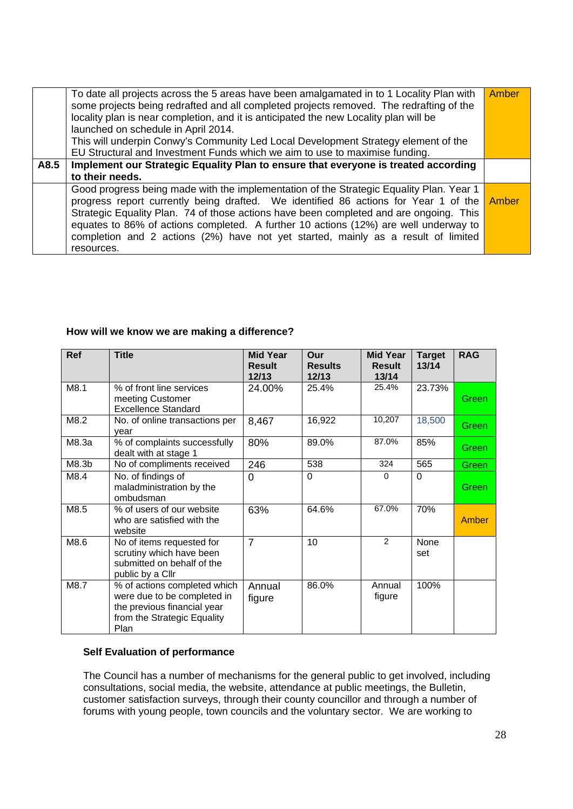|      | To date all projects across the 5 areas have been amalgamated in to 1 Locality Plan with<br>some projects being redrafted and all completed projects removed. The redrafting of the<br>locality plan is near completion, and it is anticipated the new Locality plan will be<br>launched on schedule in April 2014.<br>This will underpin Conwy's Community Led Local Development Strategy element of the<br>EU Structural and Investment Funds which we aim to use to maximise funding. | Amber |
|------|------------------------------------------------------------------------------------------------------------------------------------------------------------------------------------------------------------------------------------------------------------------------------------------------------------------------------------------------------------------------------------------------------------------------------------------------------------------------------------------|-------|
| A8.5 | Implement our Strategic Equality Plan to ensure that everyone is treated according                                                                                                                                                                                                                                                                                                                                                                                                       |       |
|      | to their needs.                                                                                                                                                                                                                                                                                                                                                                                                                                                                          |       |
|      | Good progress being made with the implementation of the Strategic Equality Plan. Year 1<br>progress report currently being drafted. We identified 86 actions for Year 1 of the<br>Strategic Equality Plan. 74 of those actions have been completed and are ongoing. This<br>equates to 86% of actions completed. A further 10 actions (12%) are well underway to<br>completion and 2 actions (2%) have not yet started, mainly as a result of limited<br>resources.                      | Amber |

#### **How will we know we are making a difference?**

| <b>Ref</b>        | <b>Title</b>                                                                                                                      | <b>Mid Year</b><br><b>Result</b><br>12/13 | Our<br><b>Results</b><br>12/13 | <b>Mid Year</b><br><b>Result</b><br>13/14 | <b>Target</b><br>13/14 | <b>RAG</b> |
|-------------------|-----------------------------------------------------------------------------------------------------------------------------------|-------------------------------------------|--------------------------------|-------------------------------------------|------------------------|------------|
| M8.1              | % of front line services<br>meeting Customer<br>Excellence Standard                                                               | 24.00%                                    | 25.4%                          | 25.4%                                     | 23.73%                 | Green      |
| M8.2              | No. of online transactions per<br>year                                                                                            | 8,467                                     | 16,922                         | 10,207                                    | 18,500                 | Green      |
| M8.3a             | % of complaints successfully<br>dealt with at stage 1                                                                             | 80%                                       | 89.0%                          | 87.0%                                     | 85%                    | Green      |
| M8.3 <sub>b</sub> | No of compliments received                                                                                                        | 246                                       | 538                            | 324                                       | 565                    | Green      |
| M8.4              | No. of findings of<br>maladministration by the<br>ombudsman                                                                       | 0                                         | $\Omega$                       | $\Omega$                                  | $\Omega$               | Green      |
| M8.5              | % of users of our website<br>who are satisfied with the<br>website                                                                | 63%                                       | 64.6%                          | 67.0%                                     | 70%                    | Amber      |
| M8.6              | No of items requested for<br>scrutiny which have been<br>submitted on behalf of the<br>public by a Cllr                           | $\overline{7}$                            | 10                             | 2                                         | <b>None</b><br>set     |            |
| M8.7              | % of actions completed which<br>were due to be completed in<br>the previous financial year<br>from the Strategic Equality<br>Plan | Annual<br>figure                          | 86.0%                          | Annual<br>figure                          | 100%                   |            |

#### **Self Evaluation of performance**

The Council has a number of mechanisms for the general public to get involved, including consultations, social media, the website, attendance at public meetings, the Bulletin, customer satisfaction surveys, through their county councillor and through a number of forums with young people, town councils and the voluntary sector. We are working to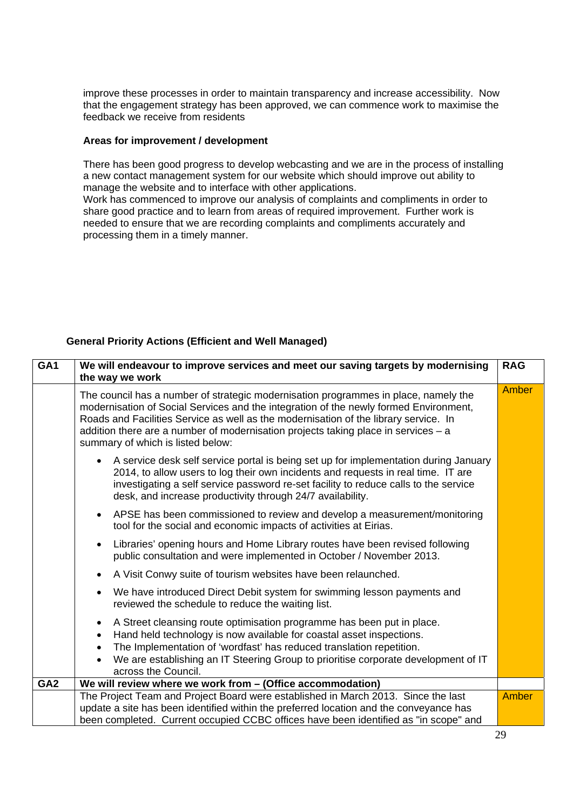improve these processes in order to maintain transparency and increase accessibility. Now that the engagement strategy has been approved, we can commence work to maximise the feedback we receive from residents

#### **Areas for improvement / development**

There has been good progress to develop webcasting and we are in the process of installing a new contact management system for our website which should improve out ability to manage the website and to interface with other applications.

Work has commenced to improve our analysis of complaints and compliments in order to share good practice and to learn from areas of required improvement. Further work is needed to ensure that we are recording complaints and compliments accurately and processing them in a timely manner.

#### **General Priority Actions (Efficient and Well Managed)**

| GA <sub>1</sub> | We will endeavour to improve services and meet our saving targets by modernising<br>the way we work                                                                                                                                                                                                                                                                                             | <b>RAG</b><br>Amber |  |
|-----------------|-------------------------------------------------------------------------------------------------------------------------------------------------------------------------------------------------------------------------------------------------------------------------------------------------------------------------------------------------------------------------------------------------|---------------------|--|
|                 | The council has a number of strategic modernisation programmes in place, namely the<br>modernisation of Social Services and the integration of the newly formed Environment,<br>Roads and Facilities Service as well as the modernisation of the library service. In<br>addition there are a number of modernisation projects taking place in services – a<br>summary of which is listed below: |                     |  |
|                 | • A service desk self service portal is being set up for implementation during January<br>2014, to allow users to log their own incidents and requests in real time. IT are<br>investigating a self service password re-set facility to reduce calls to the service<br>desk, and increase productivity through 24/7 availability.                                                               |                     |  |
|                 | APSE has been commissioned to review and develop a measurement/monitoring<br>$\bullet$<br>tool for the social and economic impacts of activities at Eirias.                                                                                                                                                                                                                                     |                     |  |
|                 | Libraries' opening hours and Home Library routes have been revised following<br>public consultation and were implemented in October / November 2013.                                                                                                                                                                                                                                            |                     |  |
|                 | A Visit Conwy suite of tourism websites have been relaunched.                                                                                                                                                                                                                                                                                                                                   |                     |  |
|                 | We have introduced Direct Debit system for swimming lesson payments and<br>reviewed the schedule to reduce the waiting list.                                                                                                                                                                                                                                                                    |                     |  |
|                 | A Street cleansing route optimisation programme has been put in place.<br>Hand held technology is now available for coastal asset inspections.<br>The Implementation of 'wordfast' has reduced translation repetition.<br>We are establishing an IT Steering Group to prioritise corporate development of IT<br>across the Council.                                                             |                     |  |
| GA <sub>2</sub> | We will review where we work from - (Office accommodation)                                                                                                                                                                                                                                                                                                                                      |                     |  |
|                 | The Project Team and Project Board were established in March 2013. Since the last<br>update a site has been identified within the preferred location and the conveyance has<br>been completed. Current occupied CCBC offices have been identified as "in scope" and                                                                                                                             | <b>Amber</b>        |  |
|                 |                                                                                                                                                                                                                                                                                                                                                                                                 |                     |  |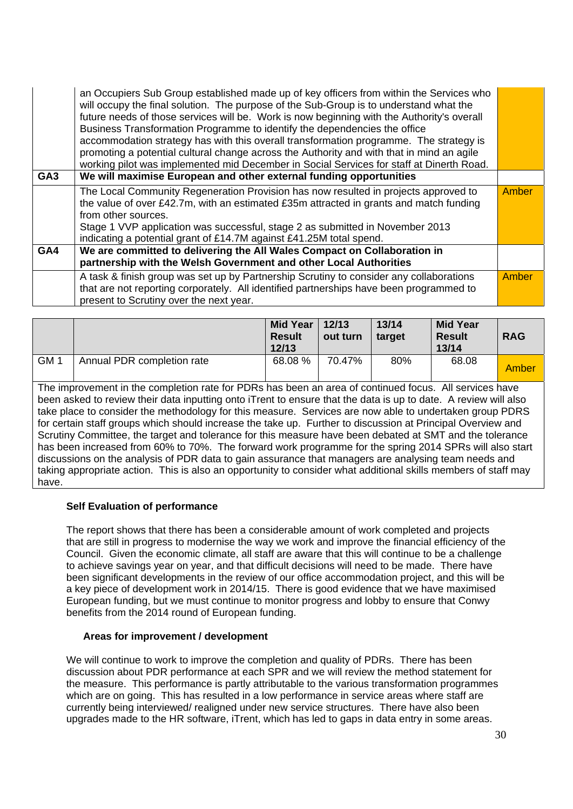|                 | an Occupiers Sub Group established made up of key officers from within the Services who<br>will occupy the final solution. The purpose of the Sub-Group is to understand what the<br>future needs of those services will be. Work is now beginning with the Authority's overall<br>Business Transformation Programme to identify the dependencies the office<br>accommodation strategy has with this overall transformation programme. The strategy is<br>promoting a potential cultural change across the Authority and with that in mind an agile<br>working pilot was implemented mid December in Social Services for staff at Dinerth Road. |              |
|-----------------|-------------------------------------------------------------------------------------------------------------------------------------------------------------------------------------------------------------------------------------------------------------------------------------------------------------------------------------------------------------------------------------------------------------------------------------------------------------------------------------------------------------------------------------------------------------------------------------------------------------------------------------------------|--------------|
| GA <sub>3</sub> | We will maximise European and other external funding opportunities                                                                                                                                                                                                                                                                                                                                                                                                                                                                                                                                                                              |              |
|                 | The Local Community Regeneration Provision has now resulted in projects approved to<br>the value of over £42.7m, with an estimated £35m attracted in grants and match funding<br>from other sources.<br>Stage 1 VVP application was successful, stage 2 as submitted in November 2013<br>indicating a potential grant of £14.7M against £41.25M total spend.                                                                                                                                                                                                                                                                                    | Amber        |
| GA4             | We are committed to delivering the All Wales Compact on Collaboration in                                                                                                                                                                                                                                                                                                                                                                                                                                                                                                                                                                        |              |
|                 | partnership with the Welsh Government and other Local Authorities                                                                                                                                                                                                                                                                                                                                                                                                                                                                                                                                                                               |              |
|                 | A task & finish group was set up by Partnership Scrutiny to consider any collaborations<br>that are not reporting corporately. All identified partnerships have been programmed to<br>present to Scrutiny over the next year.                                                                                                                                                                                                                                                                                                                                                                                                                   | <b>Amber</b> |

|                 |                            | <b>Mid Year</b><br><b>Result</b><br>12/13 | 12/13<br>out turn | 13/14<br>target | <b>Mid Year</b><br><b>Result</b><br>13/14 | <b>RAG</b> |
|-----------------|----------------------------|-------------------------------------------|-------------------|-----------------|-------------------------------------------|------------|
| GM <sup>1</sup> | Annual PDR completion rate | 68.08%                                    | 70.47%            | 80%             | 68.08                                     | Amber      |

The improvement in the completion rate for PDRs has been an area of continued focus. All services have been asked to review their data inputting onto iTrent to ensure that the data is up to date. A review will also take place to consider the methodology for this measure. Services are now able to undertaken group PDRS for certain staff groups which should increase the take up. Further to discussion at Principal Overview and Scrutiny Committee, the target and tolerance for this measure have been debated at SMT and the tolerance has been increased from 60% to 70%. The forward work programme for the spring 2014 SPRs will also start discussions on the analysis of PDR data to gain assurance that managers are analysing team needs and taking appropriate action. This is also an opportunity to consider what additional skills members of staff may have.

#### **Self Evaluation of performance**

The report shows that there has been a considerable amount of work completed and projects that are still in progress to modernise the way we work and improve the financial efficiency of the Council. Given the economic climate, all staff are aware that this will continue to be a challenge to achieve savings year on year, and that difficult decisions will need to be made. There have been significant developments in the review of our office accommodation project, and this will be a key piece of development work in 2014/15. There is good evidence that we have maximised European funding, but we must continue to monitor progress and lobby to ensure that Conwy benefits from the 2014 round of European funding.

#### **Areas for improvement / development**

We will continue to work to improve the completion and quality of PDRs. There has been discussion about PDR performance at each SPR and we will review the method statement for the measure. This performance is partly attributable to the various transformation programmes which are on going. This has resulted in a low performance in service areas where staff are currently being interviewed/ realigned under new service structures. There have also been upgrades made to the HR software, iTrent, which has led to gaps in data entry in some areas.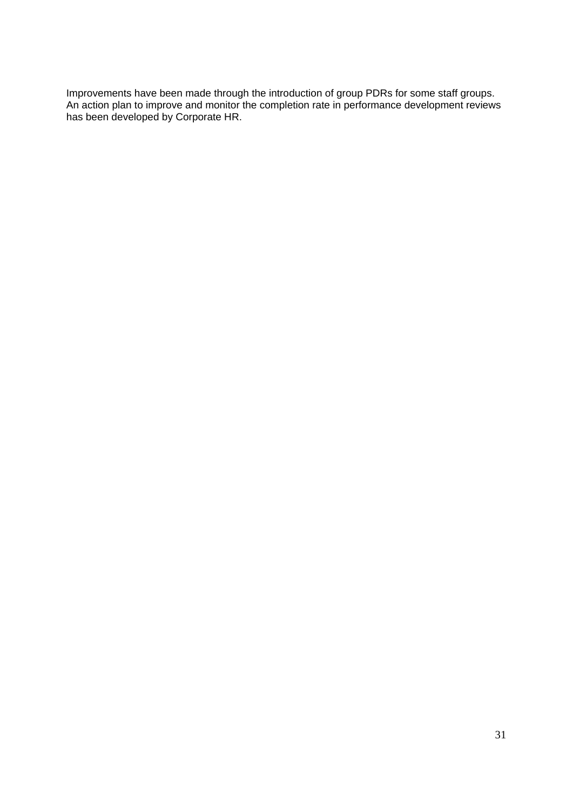Improvements have been made through the introduction of group PDRs for some staff groups. An action plan to improve and monitor the completion rate in performance development reviews has been developed by Corporate HR.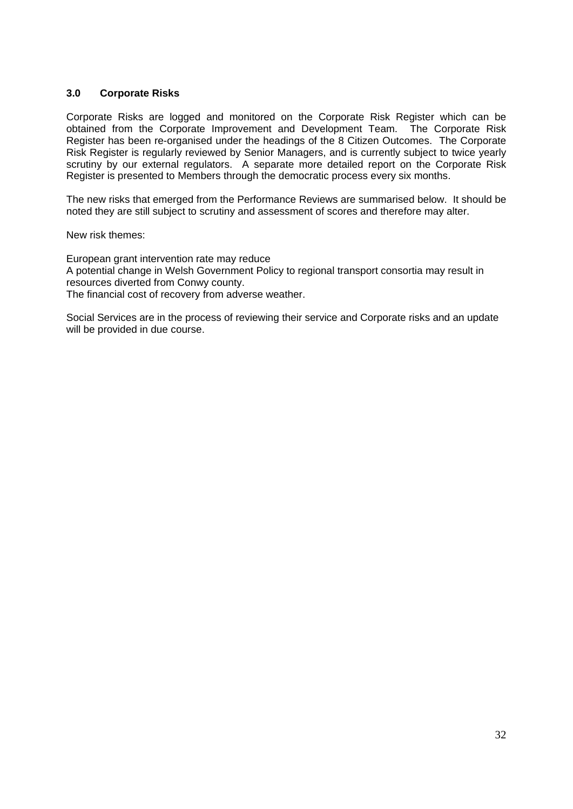#### **3.0 Corporate Risks**

Corporate Risks are logged and monitored on the Corporate Risk Register which can be obtained from the Corporate Improvement and Development Team. The Corporate Risk Register has been re-organised under the headings of the 8 Citizen Outcomes. The Corporate Risk Register is regularly reviewed by Senior Managers, and is currently subject to twice yearly scrutiny by our external regulators. A separate more detailed report on the Corporate Risk Register is presented to Members through the democratic process every six months.

The new risks that emerged from the Performance Reviews are summarised below. It should be noted they are still subject to scrutiny and assessment of scores and therefore may alter.

New risk themes:

European grant intervention rate may reduce A potential change in Welsh Government Policy to regional transport consortia may result in resources diverted from Conwy county. The financial cost of recovery from adverse weather.

Social Services are in the process of reviewing their service and Corporate risks and an update will be provided in due course.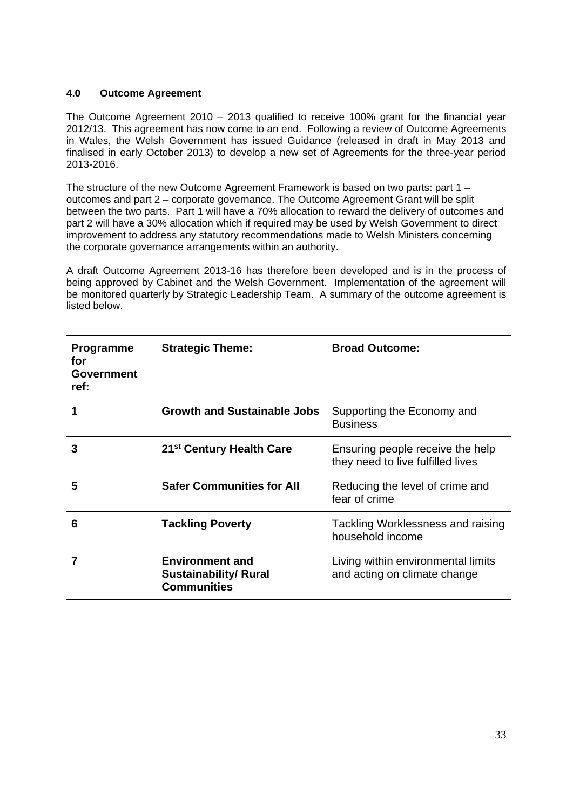#### **4.0 Outcome Agreement**

The Outcome Agreement 2010 – 2013 qualified to receive 100% grant for the financial year 2012/13. This agreement has now come to an end. Following a review of Outcome Agreements in Wales, the Welsh Government has issued Guidance (released in draft in May 2013 and finalised in early October 2013) to develop a new set of Agreements for the three-year period 2013-2016.

The structure of the new Outcome Agreement Framework is based on two parts: part 1 – outcomes and part 2 – corporate governance. The Outcome Agreement Grant will be split between the two parts. Part 1 will have a 70% allocation to reward the delivery of outcomes and part 2 will have a 30% allocation which if required may be used by Welsh Government to direct improvement to address any statutory recommendations made to Welsh Ministers concerning the corporate governance arrangements within an authority.

A draft Outcome Agreement 2013-16 has therefore been developed and is in the process of being approved by Cabinet and the Welsh Government. Implementation of the agreement will be monitored quarterly by Strategic Leadership Team. A summary of the outcome agreement is listed below.

| <b>Programme</b><br>for<br><b>Government</b><br>ref: | <b>Strategic Theme:</b>                                                      | <b>Broad Outcome:</b>                                                 |
|------------------------------------------------------|------------------------------------------------------------------------------|-----------------------------------------------------------------------|
|                                                      | <b>Growth and Sustainable Jobs</b>                                           | Supporting the Economy and<br><b>Business</b>                         |
| 3                                                    | 21 <sup>st</sup> Century Health Care                                         | Ensuring people receive the help<br>they need to live fulfilled lives |
| 5                                                    | <b>Safer Communities for All</b>                                             | Reducing the level of crime and<br>fear of crime                      |
| 6                                                    | <b>Tackling Poverty</b>                                                      | Tackling Worklessness and raising<br>household income                 |
| 7                                                    | <b>Environment and</b><br><b>Sustainability/ Rural</b><br><b>Communities</b> | Living within environmental limits<br>and acting on climate change    |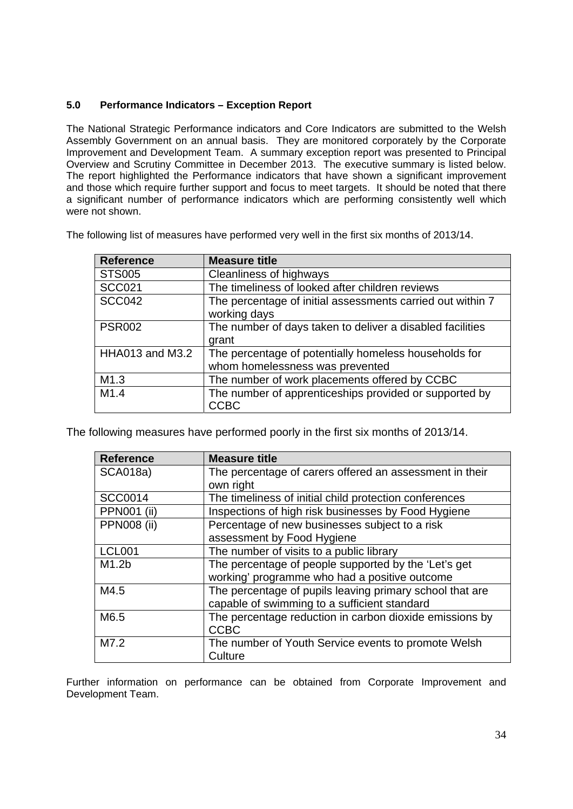#### **5.0 Performance Indicators – Exception Report**

The National Strategic Performance indicators and Core Indicators are submitted to the Welsh Assembly Government on an annual basis. They are monitored corporately by the Corporate Improvement and Development Team. A summary exception report was presented to Principal Overview and Scrutiny Committee in December 2013. The executive summary is listed below. The report highlighted the Performance indicators that have shown a significant improvement and those which require further support and focus to meet targets. It should be noted that there a significant number of performance indicators which are performing consistently well which were not shown.

| The following list of measures have performed very well in the first six months of 2013/14. |  |
|---------------------------------------------------------------------------------------------|--|
|---------------------------------------------------------------------------------------------|--|

| <b>Reference</b> | <b>Measure title</b>                                       |
|------------------|------------------------------------------------------------|
| <b>STS005</b>    | Cleanliness of highways                                    |
| <b>SCC021</b>    | The timeliness of looked after children reviews            |
| <b>SCC042</b>    | The percentage of initial assessments carried out within 7 |
|                  | working days                                               |
| <b>PSR002</b>    | The number of days taken to deliver a disabled facilities  |
|                  | grant                                                      |
| HHA013 and M3.2  | The percentage of potentially homeless households for      |
|                  | whom homelessness was prevented                            |
| M1.3             | The number of work placements offered by CCBC              |
| M1.4             | The number of apprenticeships provided or supported by     |
|                  | CCBC                                                       |

The following measures have performed poorly in the first six months of 2013/14.

| <b>Reference</b>   | <b>Measure title</b>                                     |
|--------------------|----------------------------------------------------------|
| <b>SCA018a)</b>    | The percentage of carers offered an assessment in their  |
|                    | own right                                                |
| <b>SCC0014</b>     | The timeliness of initial child protection conferences   |
| <b>PPN001 (ii)</b> | Inspections of high risk businesses by Food Hygiene      |
| <b>PPN008 (ii)</b> | Percentage of new businesses subject to a risk           |
|                    | assessment by Food Hygiene                               |
| <b>LCL001</b>      | The number of visits to a public library                 |
| M1.2 <sub>b</sub>  | The percentage of people supported by the 'Let's get     |
|                    | working' programme who had a positive outcome            |
| M4.5               | The percentage of pupils leaving primary school that are |
|                    | capable of swimming to a sufficient standard             |
| M6.5               | The percentage reduction in carbon dioxide emissions by  |
|                    | <b>CCBC</b>                                              |
| M7.2               | The number of Youth Service events to promote Welsh      |
|                    | Culture                                                  |

Further information on performance can be obtained from Corporate Improvement and Development Team.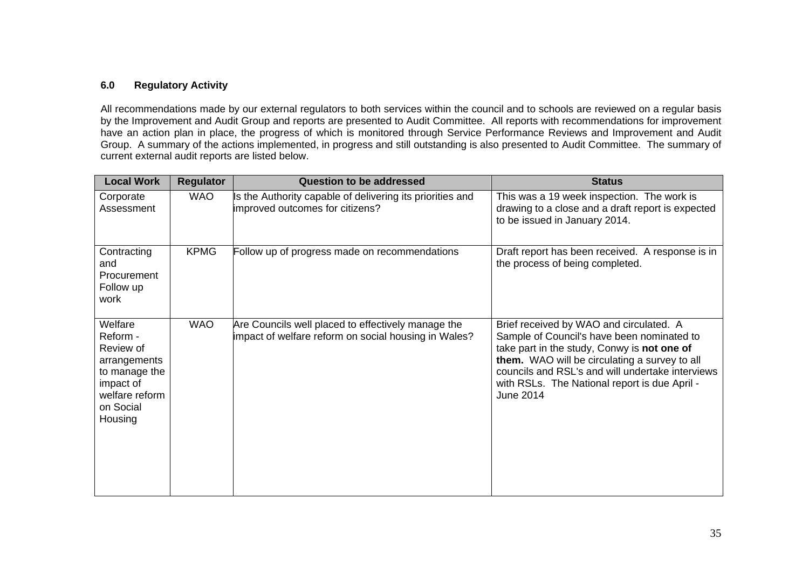#### **6.0 Regulatory Activity**

All recommendations made by our external regulators to both services within the council and to schools are reviewed on a regular basis by the Improvement and Audit Group and reports are presented to Audit Committee. All reports with recommendations for improvement have an action plan in place, the progress of which is monitored through Service Performance Reviews and Improvement and Audit Group. A summary of the actions implemented, in progress and still outstanding is also presented to Audit Committee. The summary of current external audit reports are listed below.

| <b>Local Work</b>                                                                                                        | <b>Regulator</b> | <b>Question to be addressed</b>                                                                            | <b>Status</b>                                                                                                                                                                                                                                                                                           |
|--------------------------------------------------------------------------------------------------------------------------|------------------|------------------------------------------------------------------------------------------------------------|---------------------------------------------------------------------------------------------------------------------------------------------------------------------------------------------------------------------------------------------------------------------------------------------------------|
| Corporate<br>Assessment                                                                                                  | <b>WAO</b>       | Is the Authority capable of delivering its priorities and<br>improved outcomes for citizens?               | This was a 19 week inspection. The work is<br>drawing to a close and a draft report is expected<br>to be issued in January 2014.                                                                                                                                                                        |
| Contracting<br>and<br>Procurement<br>Follow up<br>work                                                                   | <b>KPMG</b>      | Follow up of progress made on recommendations                                                              | Draft report has been received. A response is in<br>the process of being completed.                                                                                                                                                                                                                     |
| Welfare<br>Reform -<br>Review of<br>arrangements<br>to manage the<br>impact of<br>welfare reform<br>on Social<br>Housing | <b>WAO</b>       | Are Councils well placed to effectively manage the<br>impact of welfare reform on social housing in Wales? | Brief received by WAO and circulated. A<br>Sample of Council's have been nominated to<br>take part in the study, Conwy is not one of<br>them. WAO will be circulating a survey to all<br>councils and RSL's and will undertake interviews<br>with RSLs. The National report is due April -<br>June 2014 |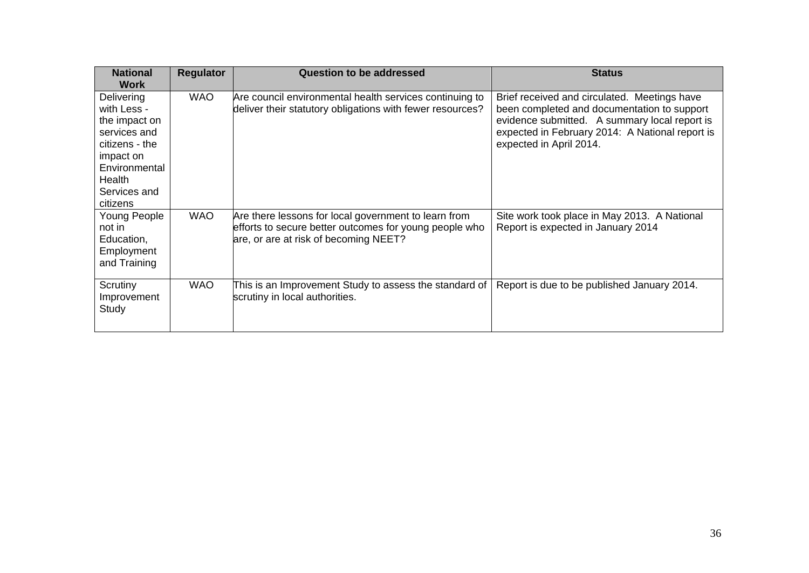| <b>National</b><br><b>Work</b>                                                                                                                   | <b>Regulator</b> | <b>Question to be addressed</b>                                                                                                                         | <b>Status</b>                                                                                                                                                                                                              |
|--------------------------------------------------------------------------------------------------------------------------------------------------|------------------|---------------------------------------------------------------------------------------------------------------------------------------------------------|----------------------------------------------------------------------------------------------------------------------------------------------------------------------------------------------------------------------------|
| Delivering<br>with Less -<br>the impact on<br>services and<br>citizens - the<br>impact on<br>Environmental<br>Health<br>Services and<br>citizens | <b>WAO</b>       | Are council environmental health services continuing to<br>deliver their statutory obligations with fewer resources?                                    | Brief received and circulated. Meetings have<br>been completed and documentation to support<br>evidence submitted. A summary local report is<br>expected in February 2014: A National report is<br>expected in April 2014. |
| Young People<br>not in<br>Education,<br>Employment<br>and Training                                                                               | <b>WAO</b>       | Are there lessons for local government to learn from<br>efforts to secure better outcomes for young people who<br>are, or are at risk of becoming NEET? | Site work took place in May 2013. A National<br>Report is expected in January 2014                                                                                                                                         |
| Scrutiny<br>Improvement<br>Study                                                                                                                 | <b>WAO</b>       | This is an Improvement Study to assess the standard of<br>scrutiny in local authorities.                                                                | Report is due to be published January 2014.                                                                                                                                                                                |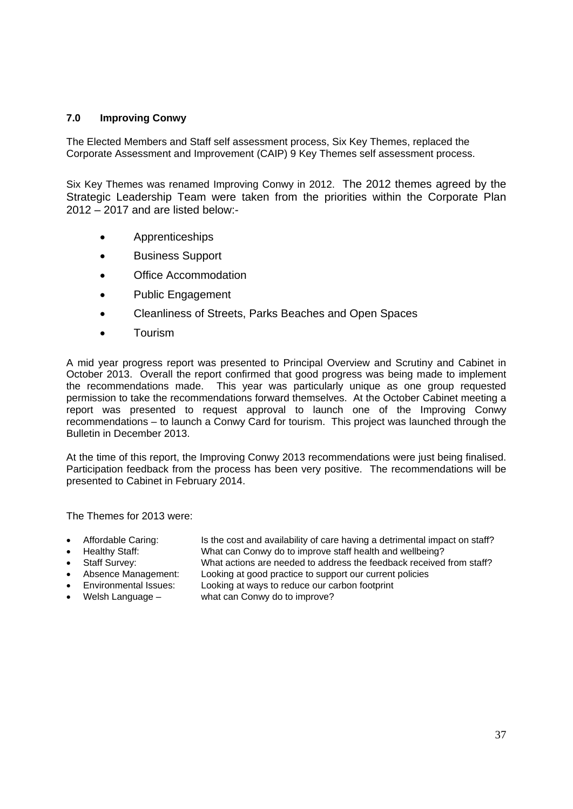#### **7.0 Improving Conwy**

The Elected Members and Staff self assessment process, Six Key Themes, replaced the Corporate Assessment and Improvement (CAIP) 9 Key Themes self assessment process.

Six Key Themes was renamed Improving Conwy in 2012. The 2012 themes agreed by the Strategic Leadership Team were taken from the priorities within the Corporate Plan 2012 – 2017 and are listed below:-

- Apprenticeships
- Business Support
- Office Accommodation
- Public Engagement
- Cleanliness of Streets, Parks Beaches and Open Spaces
- **•** Tourism

A mid year progress report was presented to Principal Overview and Scrutiny and Cabinet in October 2013. Overall the report confirmed that good progress was being made to implement the recommendations made. This year was particularly unique as one group requested permission to take the recommendations forward themselves. At the October Cabinet meeting a report was presented to request approval to launch one of the Improving Conwy recommendations – to launch a Conwy Card for tourism. This project was launched through the Bulletin in December 2013.

At the time of this report, the Improving Conwy 2013 recommendations were just being finalised. Participation feedback from the process has been very positive. The recommendations will be presented to Cabinet in February 2014.

The Themes for 2013 were:

 Affordable Caring: Is the cost and availability of care having a detrimental impact on staff? Healthy Staff: What can Conwy do to improve staff health and wellbeing?

- Staff Survey: What actions are needed to address the feedback received from staff?
- Absence Management: Looking at good practice to support our current policies
- 
- 

Environmental Issues: Looking at ways to reduce our carbon footprint

Welsh Language – what can Conwy do to improve?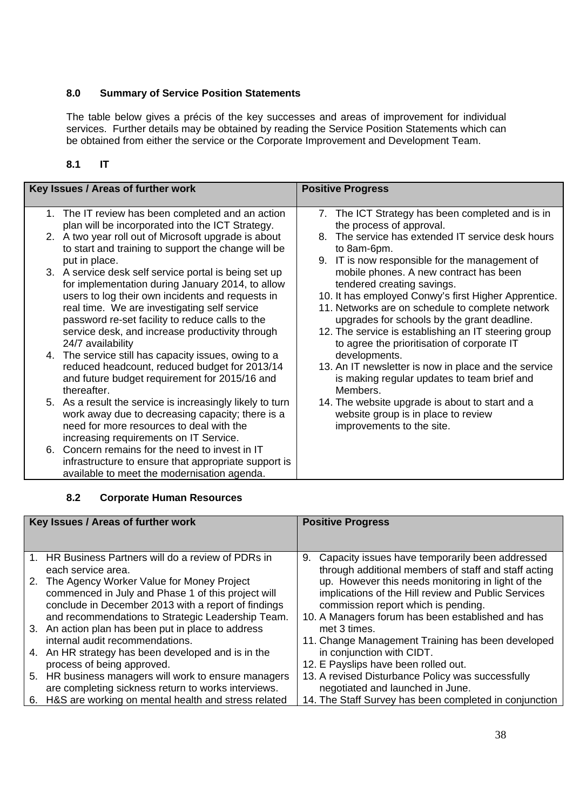#### **8.0 Summary of Service Position Statements**

The table below gives a précis of the key successes and areas of improvement for individual services. Further details may be obtained by reading the Service Position Statements which can be obtained from either the service or the Corporate Improvement and Development Team.

#### **8.1 IT**

| Key Issues / Areas of further work                                                                                                                                                                                                                                                                                                   | <b>Positive Progress</b>                                                                                                                                                                                                                                                                                                                  |
|--------------------------------------------------------------------------------------------------------------------------------------------------------------------------------------------------------------------------------------------------------------------------------------------------------------------------------------|-------------------------------------------------------------------------------------------------------------------------------------------------------------------------------------------------------------------------------------------------------------------------------------------------------------------------------------------|
| 1. The IT review has been completed and an action<br>plan will be incorporated into the ICT Strategy.                                                                                                                                                                                                                                | 7. The ICT Strategy has been completed and is in<br>the process of approval.                                                                                                                                                                                                                                                              |
| 2. A two year roll out of Microsoft upgrade is about<br>to start and training to support the change will be                                                                                                                                                                                                                          | 8. The service has extended IT service desk hours<br>to 8am-6pm.                                                                                                                                                                                                                                                                          |
| put in place.<br>3. A service desk self service portal is being set up<br>for implementation during January 2014, to allow<br>users to log their own incidents and requests in<br>real time. We are investigating self service<br>password re-set facility to reduce calls to the<br>service desk, and increase productivity through | 9. IT is now responsible for the management of<br>mobile phones. A new contract has been<br>tendered creating savings.<br>10. It has employed Conwy's first Higher Apprentice.<br>11. Networks are on schedule to complete network<br>upgrades for schools by the grant deadline.<br>12. The service is establishing an IT steering group |
| 24/7 availability<br>4. The service still has capacity issues, owing to a<br>reduced headcount, reduced budget for 2013/14<br>and future budget requirement for 2015/16 and<br>thereafter.                                                                                                                                           | to agree the prioritisation of corporate IT<br>developments.<br>13. An IT newsletter is now in place and the service<br>is making regular updates to team brief and<br>Members.                                                                                                                                                           |
| 5. As a result the service is increasingly likely to turn<br>work away due to decreasing capacity; there is a<br>need for more resources to deal with the<br>increasing requirements on IT Service.                                                                                                                                  | 14. The website upgrade is about to start and a<br>website group is in place to review<br>improvements to the site.                                                                                                                                                                                                                       |
| 6. Concern remains for the need to invest in IT<br>infrastructure to ensure that appropriate support is<br>available to meet the modernisation agenda.                                                                                                                                                                               |                                                                                                                                                                                                                                                                                                                                           |

#### **8.2 Corporate Human Resources**

| Key Issues / Areas of further work                                                                                                                        | <b>Positive Progress</b>                                                                                                                        |
|-----------------------------------------------------------------------------------------------------------------------------------------------------------|-------------------------------------------------------------------------------------------------------------------------------------------------|
|                                                                                                                                                           |                                                                                                                                                 |
| 1. HR Business Partners will do a review of PDRs in<br>each service area.                                                                                 | Capacity issues have temporarily been addressed<br>9.<br>through additional members of staff and staff acting                                   |
| 2. The Agency Worker Value for Money Project<br>commenced in July and Phase 1 of this project will<br>conclude in December 2013 with a report of findings | up. However this needs monitoring in light of the<br>implications of the Hill review and Public Services<br>commission report which is pending. |
| and recommendations to Strategic Leadership Team.                                                                                                         | 10. A Managers forum has been established and has                                                                                               |
| 3. An action plan has been put in place to address                                                                                                        | met 3 times.                                                                                                                                    |
| internal audit recommendations.                                                                                                                           | 11. Change Management Training has been developed                                                                                               |
| 4. An HR strategy has been developed and is in the                                                                                                        | in conjunction with CIDT.                                                                                                                       |
| process of being approved.                                                                                                                                | 12. E Payslips have been rolled out.                                                                                                            |
| 5. HR business managers will work to ensure managers                                                                                                      | 13. A revised Disturbance Policy was successfully                                                                                               |
| are completing sickness return to works interviews.                                                                                                       | negotiated and launched in June.                                                                                                                |
| 6. H&S are working on mental health and stress related                                                                                                    | 14. The Staff Survey has been completed in conjunction                                                                                          |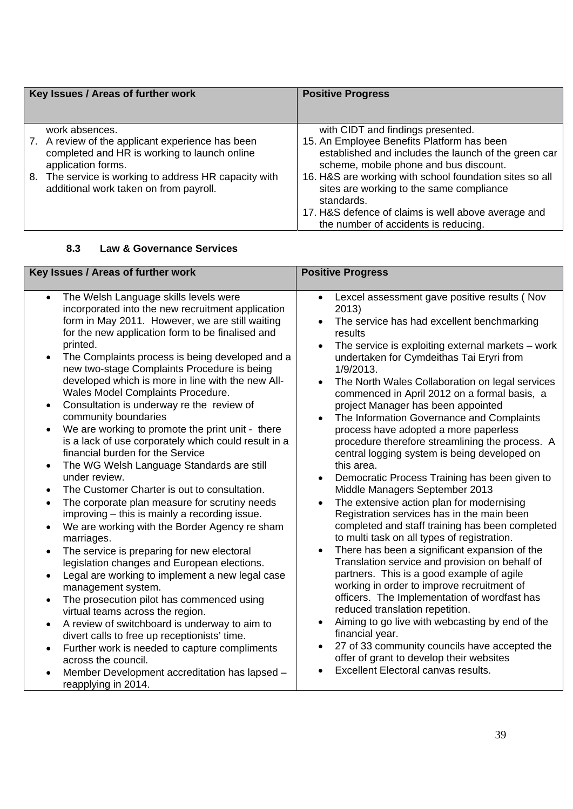| Key Issues / Areas of further work                                                                                     | <b>Positive Progress</b>                                                                                                                     |
|------------------------------------------------------------------------------------------------------------------------|----------------------------------------------------------------------------------------------------------------------------------------------|
| work absences.                                                                                                         | with CIDT and findings presented.                                                                                                            |
| 7. A review of the applicant experience has been<br>completed and HR is working to launch online<br>application forms. | 15. An Employee Benefits Platform has been<br>established and includes the launch of the green car<br>scheme, mobile phone and bus discount. |
| 8. The service is working to address HR capacity with<br>additional work taken on from payroll.                        | 16. H&S are working with school foundation sites so all<br>sites are working to the same compliance<br>standards.                            |
|                                                                                                                        | 17. H&S defence of claims is well above average and<br>the number of accidents is reducing.                                                  |

#### **8.3 Law & Governance Services**

| Key Issues / Areas of further work                                                                                                                                                                                                                                                                                                                                                                                                                                                                                                                                                                                                                                                                                                                                                                                                                                                                                                                                                                                                                                                                                                                                                                                                                                                                                                                                                                                                                                                                  | <b>Positive Progress</b>                                                                                                                                                                                                                                                                                                                                                                                                                                                                                                                                                                                                                                                                                                                                                                                                                                                                                                                                                                                                                                                                                                                                                                                                                                                                                                                                               |  |
|-----------------------------------------------------------------------------------------------------------------------------------------------------------------------------------------------------------------------------------------------------------------------------------------------------------------------------------------------------------------------------------------------------------------------------------------------------------------------------------------------------------------------------------------------------------------------------------------------------------------------------------------------------------------------------------------------------------------------------------------------------------------------------------------------------------------------------------------------------------------------------------------------------------------------------------------------------------------------------------------------------------------------------------------------------------------------------------------------------------------------------------------------------------------------------------------------------------------------------------------------------------------------------------------------------------------------------------------------------------------------------------------------------------------------------------------------------------------------------------------------------|------------------------------------------------------------------------------------------------------------------------------------------------------------------------------------------------------------------------------------------------------------------------------------------------------------------------------------------------------------------------------------------------------------------------------------------------------------------------------------------------------------------------------------------------------------------------------------------------------------------------------------------------------------------------------------------------------------------------------------------------------------------------------------------------------------------------------------------------------------------------------------------------------------------------------------------------------------------------------------------------------------------------------------------------------------------------------------------------------------------------------------------------------------------------------------------------------------------------------------------------------------------------------------------------------------------------------------------------------------------------|--|
| The Welsh Language skills levels were<br>$\bullet$<br>incorporated into the new recruitment application<br>form in May 2011. However, we are still waiting<br>for the new application form to be finalised and<br>printed.<br>The Complaints process is being developed and a<br>new two-stage Complaints Procedure is being<br>developed which is more in line with the new All-<br>Wales Model Complaints Procedure.<br>Consultation is underway re the review of<br>community boundaries<br>We are working to promote the print unit - there<br>is a lack of use corporately which could result in a<br>financial burden for the Service<br>The WG Welsh Language Standards are still<br>$\bullet$<br>under review.<br>The Customer Charter is out to consultation.<br>The corporate plan measure for scrutiny needs<br>$\bullet$<br>improving – this is mainly a recording issue.<br>We are working with the Border Agency re sham<br>marriages.<br>The service is preparing for new electoral<br>$\bullet$<br>legislation changes and European elections.<br>Legal are working to implement a new legal case<br>$\bullet$<br>management system.<br>The prosecution pilot has commenced using<br>virtual teams across the region.<br>A review of switchboard is underway to aim to<br>divert calls to free up receptionists' time.<br>Further work is needed to capture compliments<br>$\bullet$<br>across the council.<br>Member Development accreditation has lapsed -<br>reapplying in 2014. | Lexcel assessment gave positive results (Nov<br>$\bullet$<br>2013)<br>The service has had excellent benchmarking<br>results<br>The service is exploiting external markets $-$ work<br>undertaken for Cymdeithas Tai Eryri from<br>1/9/2013.<br>The North Wales Collaboration on legal services<br>commenced in April 2012 on a formal basis, a<br>project Manager has been appointed<br>The Information Governance and Complaints<br>process have adopted a more paperless<br>procedure therefore streamlining the process. A<br>central logging system is being developed on<br>this area.<br>Democratic Process Training has been given to<br>Middle Managers September 2013<br>The extensive action plan for modernising<br>Registration services has in the main been<br>completed and staff training has been completed<br>to multi task on all types of registration.<br>There has been a significant expansion of the<br>Translation service and provision on behalf of<br>partners. This is a good example of agile<br>working in order to improve recruitment of<br>officers. The Implementation of wordfast has<br>reduced translation repetition.<br>Aiming to go live with webcasting by end of the<br>financial year.<br>27 of 33 community councils have accepted the<br>offer of grant to develop their websites<br>Excellent Electoral canvas results. |  |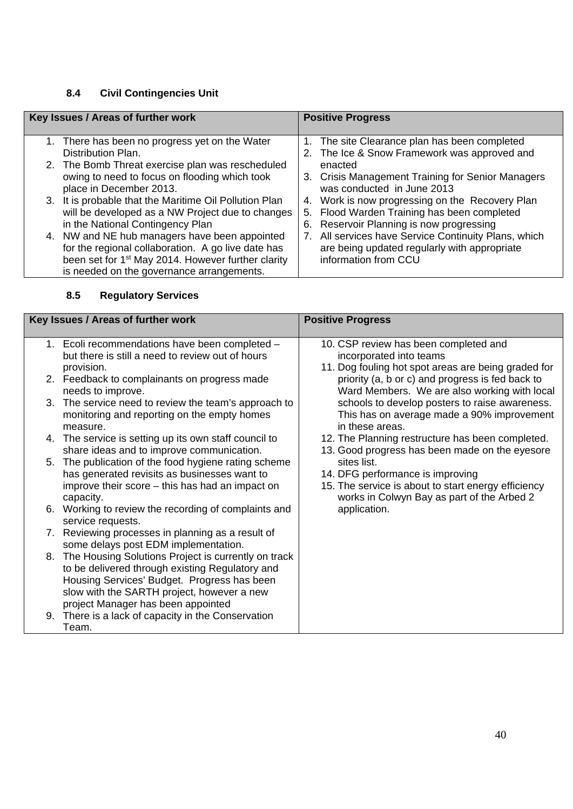## **8.4 Civil Contingencies Unit**

| Key Issues / Areas of further work |                                                                          |  | <b>Positive Progress</b>                                                                      |
|------------------------------------|--------------------------------------------------------------------------|--|-----------------------------------------------------------------------------------------------|
|                                    | 1. There has been no progress yet on the Water<br>Distribution Plan.     |  | 1. The site Clearance plan has been completed<br>2. The Ice & Snow Framework was approved and |
|                                    | 2. The Bomb Threat exercise plan was rescheduled                         |  | enacted                                                                                       |
|                                    | owing to need to focus on flooding which took<br>place in December 2013. |  | 3. Crisis Management Training for Senior Managers<br>was conducted in June 2013               |
|                                    | 3. It is probable that the Maritime Oil Pollution Plan                   |  | 4. Work is now progressing on the Recovery Plan                                               |
|                                    | will be developed as a NW Project due to changes                         |  | 5. Flood Warden Training has been completed                                                   |
|                                    | in the National Contingency Plan                                         |  | 6. Reservoir Planning is now progressing                                                      |
|                                    | 4. NW and NE hub managers have been appointed                            |  | 7. All services have Service Continuity Plans, which                                          |
|                                    | for the regional collaboration. A go live date has                       |  | are being updated regularly with appropriate                                                  |
|                                    | been set for 1 <sup>st</sup> May 2014. However further clarity           |  | information from CCU                                                                          |
|                                    | is needed on the governance arrangements.                                |  |                                                                                               |

## **8.5 Regulatory Services**

| Key Issues / Areas of further work |                                                                                                      | <b>Positive Progress</b>                                                                     |
|------------------------------------|------------------------------------------------------------------------------------------------------|----------------------------------------------------------------------------------------------|
|                                    | 1. Ecoli recommendations have been completed -                                                       | 10. CSP review has been completed and                                                        |
|                                    | but there is still a need to review out of hours<br>provision.                                       | incorporated into teams<br>11. Dog fouling hot spot areas are being graded for               |
|                                    | 2. Feedback to complainants on progress made                                                         | priority (a, b or c) and progress is fed back to                                             |
|                                    | needs to improve.                                                                                    | Ward Members. We are also working with local                                                 |
|                                    | 3. The service need to review the team's approach to<br>monitoring and reporting on the empty homes  | schools to develop posters to raise awareness.<br>This has on average made a 90% improvement |
|                                    | measure.                                                                                             | in these areas.                                                                              |
|                                    | 4. The service is setting up its own staff council to                                                | 12. The Planning restructure has been completed.                                             |
|                                    | share ideas and to improve communication.                                                            | 13. Good progress has been made on the eyesore                                               |
|                                    | 5. The publication of the food hygiene rating scheme<br>has generated revisits as businesses want to | sites list.<br>14. DFG performance is improving                                              |
|                                    | improve their score – this has had an impact on                                                      | 15. The service is about to start energy efficiency                                          |
|                                    | capacity.                                                                                            | works in Colwyn Bay as part of the Arbed 2                                                   |
|                                    | 6. Working to review the recording of complaints and                                                 | application.                                                                                 |
|                                    | service requests.<br>7. Reviewing processes in planning as a result of                               |                                                                                              |
|                                    | some delays post EDM implementation.                                                                 |                                                                                              |
|                                    | 8. The Housing Solutions Project is currently on track                                               |                                                                                              |
|                                    | to be delivered through existing Regulatory and<br>Housing Services' Budget. Progress has been       |                                                                                              |
|                                    | slow with the SARTH project, however a new                                                           |                                                                                              |
|                                    | project Manager has been appointed                                                                   |                                                                                              |
|                                    | 9. There is a lack of capacity in the Conservation                                                   |                                                                                              |
|                                    | Team.                                                                                                |                                                                                              |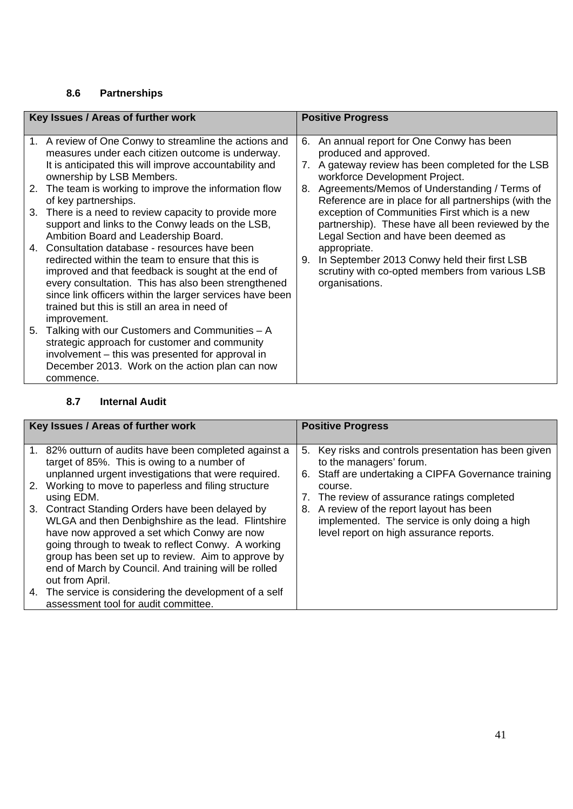## **8.6 Partnerships**

|    | Key Issues / Areas of further work                                                                                                                                                                                                                                                                                                           | <b>Positive Progress</b> |                                                                                                                                                              |  |
|----|----------------------------------------------------------------------------------------------------------------------------------------------------------------------------------------------------------------------------------------------------------------------------------------------------------------------------------------------|--------------------------|--------------------------------------------------------------------------------------------------------------------------------------------------------------|--|
|    | 1. A review of One Conwy to streamline the actions and<br>measures under each citizen outcome is underway.<br>It is anticipated this will improve accountability and<br>ownership by LSB Members.                                                                                                                                            |                          | 6. An annual report for One Conwy has been<br>produced and approved.<br>7. A gateway review has been completed for the LSB<br>workforce Development Project. |  |
|    | 2. The team is working to improve the information flow<br>of key partnerships.                                                                                                                                                                                                                                                               |                          | 8. Agreements/Memos of Understanding / Terms of<br>Reference are in place for all partnerships (with the                                                     |  |
| 3. | There is a need to review capacity to provide more<br>support and links to the Conwy leads on the LSB,<br>Ambition Board and Leadership Board.                                                                                                                                                                                               |                          | exception of Communities First which is a new<br>partnership). These have all been reviewed by the<br>Legal Section and have been deemed as                  |  |
|    | 4. Consultation database - resources have been<br>redirected within the team to ensure that this is<br>improved and that feedback is sought at the end of<br>every consultation. This has also been strengthened<br>since link officers within the larger services have been<br>trained but this is still an area in need of<br>improvement. | 9.                       | appropriate.<br>In September 2013 Conwy held their first LSB<br>scrutiny with co-opted members from various LSB<br>organisations.                            |  |
|    | 5. Talking with our Customers and Communities - A<br>strategic approach for customer and community<br>involvement – this was presented for approval in<br>December 2013. Work on the action plan can now<br>commence.                                                                                                                        |                          |                                                                                                                                                              |  |

### **8.7 Internal Audit**

| Key Issues / Areas of further work                                                                                                                                                                                                                                                                                                           | <b>Positive Progress</b> |                                                                                                                                          |
|----------------------------------------------------------------------------------------------------------------------------------------------------------------------------------------------------------------------------------------------------------------------------------------------------------------------------------------------|--------------------------|------------------------------------------------------------------------------------------------------------------------------------------|
|                                                                                                                                                                                                                                                                                                                                              |                          |                                                                                                                                          |
| 1. 82% outturn of audits have been completed against a<br>target of 85%. This is owing to a number of<br>unplanned urgent investigations that were required.                                                                                                                                                                                 |                          | 5. Key risks and controls presentation has been given<br>to the managers' forum.<br>6. Staff are undertaking a CIPFA Governance training |
| 2. Working to move to paperless and filing structure<br>using EDM.                                                                                                                                                                                                                                                                           |                          | course.<br>7. The review of assurance ratings completed                                                                                  |
| 3. Contract Standing Orders have been delayed by<br>WLGA and then Denbighshire as the lead. Flintshire<br>have now approved a set which Conwy are now<br>going through to tweak to reflect Conwy. A working<br>group has been set up to review. Aim to approve by<br>end of March by Council. And training will be rolled<br>out from April. |                          | 8. A review of the report layout has been<br>implemented. The service is only doing a high<br>level report on high assurance reports.    |
| 4. The service is considering the development of a self<br>assessment tool for audit committee.                                                                                                                                                                                                                                              |                          |                                                                                                                                          |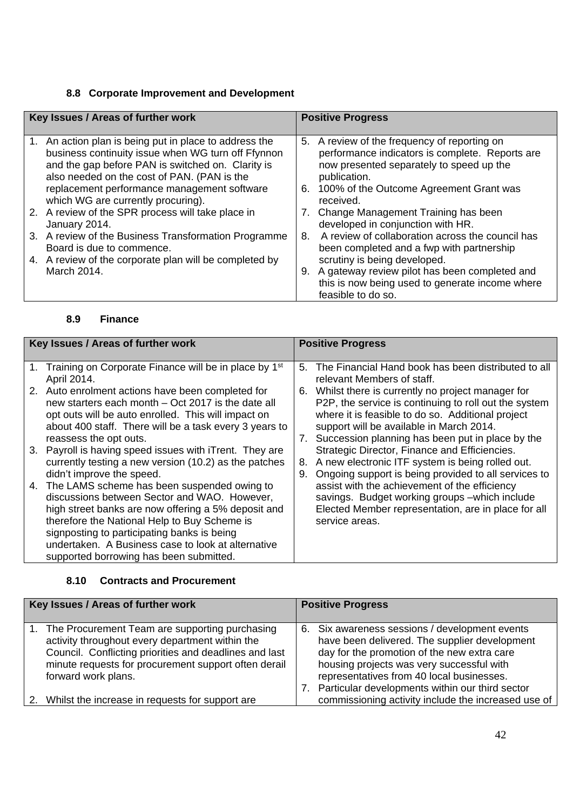## **8.8 Corporate Improvement and Development**

|    | Key Issues / Areas of further work                                                                                                                                                                            |    | <b>Positive Progress</b>                                                                                                                                    |
|----|---------------------------------------------------------------------------------------------------------------------------------------------------------------------------------------------------------------|----|-------------------------------------------------------------------------------------------------------------------------------------------------------------|
| 1. | An action plan is being put in place to address the<br>business continuity issue when WG turn off Ffynnon<br>and the gap before PAN is switched on. Clarity is<br>also needed on the cost of PAN. (PAN is the |    | 5. A review of the frequency of reporting on<br>performance indicators is complete. Reports are<br>now presented separately to speed up the<br>publication. |
|    | replacement performance management software<br>which WG are currently procuring).                                                                                                                             |    | 6. 100% of the Outcome Agreement Grant was<br>received.                                                                                                     |
|    | 2. A review of the SPR process will take place in<br>January 2014.                                                                                                                                            |    | 7. Change Management Training has been<br>developed in conjunction with HR.                                                                                 |
|    | 3. A review of the Business Transformation Programme<br>Board is due to commence.                                                                                                                             | 8. | A review of collaboration across the council has<br>been completed and a fwp with partnership                                                               |
|    | 4. A review of the corporate plan will be completed by                                                                                                                                                        |    | scrutiny is being developed.                                                                                                                                |
|    | March 2014.                                                                                                                                                                                                   |    | 9. A gateway review pilot has been completed and                                                                                                            |
|    |                                                                                                                                                                                                               |    | this is now being used to generate income where                                                                                                             |
|    |                                                                                                                                                                                                               |    | feasible to do so.                                                                                                                                          |

#### **8.9 Finance**

| Key Issues / Areas of further work |                                                                                                                                                                                                                                                                                                                                                       | <b>Positive Progress</b> |                                                                                                                                                                                                                                                                   |  |  |
|------------------------------------|-------------------------------------------------------------------------------------------------------------------------------------------------------------------------------------------------------------------------------------------------------------------------------------------------------------------------------------------------------|--------------------------|-------------------------------------------------------------------------------------------------------------------------------------------------------------------------------------------------------------------------------------------------------------------|--|--|
|                                    | 1. Training on Corporate Finance will be in place by 1 <sup>st</sup><br>April 2014.                                                                                                                                                                                                                                                                   | 5.                       | The Financial Hand book has been distributed to all<br>relevant Members of staff.                                                                                                                                                                                 |  |  |
|                                    | 2. Auto enrolment actions have been completed for<br>new starters each month – Oct 2017 is the date all<br>opt outs will be auto enrolled. This will impact on<br>about 400 staff. There will be a task every 3 years to<br>reassess the opt outs.                                                                                                    | 6.                       | Whilst there is currently no project manager for<br>P2P, the service is continuing to roll out the system<br>where it is feasible to do so. Additional project<br>support will be available in March 2014.<br>7. Succession planning has been put in place by the |  |  |
|                                    | 3. Payroll is having speed issues with iTrent. They are<br>currently testing a new version (10.2) as the patches<br>didn't improve the speed.                                                                                                                                                                                                         | 8.<br>9.                 | Strategic Director, Finance and Efficiencies.<br>A new electronic ITF system is being rolled out.<br>Ongoing support is being provided to all services to                                                                                                         |  |  |
|                                    | 4. The LAMS scheme has been suspended owing to<br>discussions between Sector and WAO. However,<br>high street banks are now offering a 5% deposit and<br>therefore the National Help to Buy Scheme is<br>signposting to participating banks is being<br>undertaken. A Business case to look at alternative<br>supported borrowing has been submitted. |                          | assist with the achievement of the efficiency<br>savings. Budget working groups - which include<br>Elected Member representation, are in place for all<br>service areas.                                                                                          |  |  |

#### **8.10 Contracts and Procurement**

| Key Issues / Areas of further work |                                                                                                                                                                                                                                            | <b>Positive Progress</b> |                                                                                                                                                                                                                                                                                                |
|------------------------------------|--------------------------------------------------------------------------------------------------------------------------------------------------------------------------------------------------------------------------------------------|--------------------------|------------------------------------------------------------------------------------------------------------------------------------------------------------------------------------------------------------------------------------------------------------------------------------------------|
| $1_{\cdot}$                        | The Procurement Team are supporting purchasing<br>activity throughout every department within the<br>Council. Conflicting priorities and deadlines and last<br>minute requests for procurement support often derail<br>forward work plans. |                          | 6. Six awareness sessions / development events<br>have been delivered. The supplier development<br>day for the promotion of the new extra care<br>housing projects was very successful with<br>representatives from 40 local businesses.<br>7. Particular developments within our third sector |
|                                    | 2. Whilst the increase in requests for support are                                                                                                                                                                                         |                          | commissioning activity include the increased use of                                                                                                                                                                                                                                            |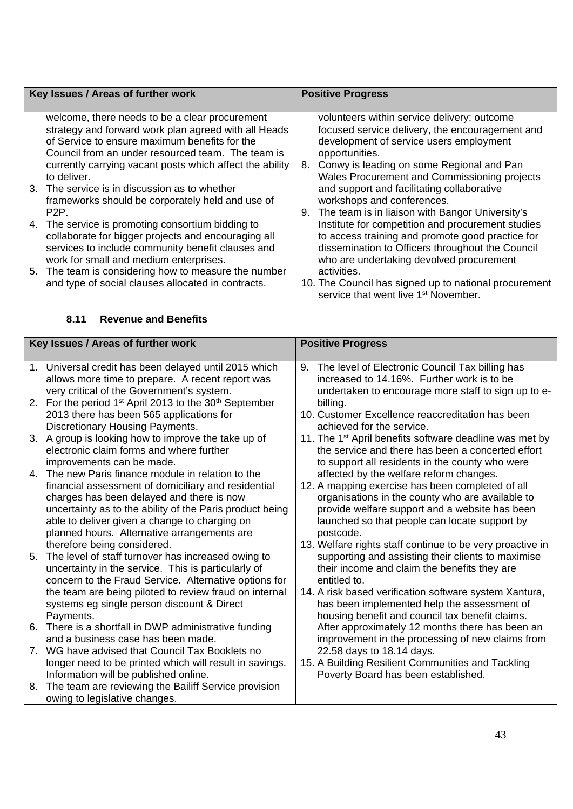| Key Issues / Areas of further work                                                                                                                                                                                                                                                                                                                                                                                                                                                                                                                                                                                                                                                                                                            | <b>Positive Progress</b>                                                                                                                                                                                                                                                                                                                                                                                                                                                                                                                                                                                                                                                                                                                 |  |
|-----------------------------------------------------------------------------------------------------------------------------------------------------------------------------------------------------------------------------------------------------------------------------------------------------------------------------------------------------------------------------------------------------------------------------------------------------------------------------------------------------------------------------------------------------------------------------------------------------------------------------------------------------------------------------------------------------------------------------------------------|------------------------------------------------------------------------------------------------------------------------------------------------------------------------------------------------------------------------------------------------------------------------------------------------------------------------------------------------------------------------------------------------------------------------------------------------------------------------------------------------------------------------------------------------------------------------------------------------------------------------------------------------------------------------------------------------------------------------------------------|--|
| welcome, there needs to be a clear procurement<br>strategy and forward work plan agreed with all Heads<br>of Service to ensure maximum benefits for the<br>Council from an under resourced team. The team is<br>currently carrying vacant posts which affect the ability<br>to deliver.<br>3. The service is in discussion as to whether<br>frameworks should be corporately held and use of<br>P <sub>2</sub> P.<br>The service is promoting consortium bidding to<br>4.<br>collaborate for bigger projects and encouraging all<br>services to include community benefit clauses and<br>work for small and medium enterprises.<br>5. The team is considering how to measure the number<br>and type of social clauses allocated in contracts. | volunteers within service delivery; outcome<br>focused service delivery, the encouragement and<br>development of service users employment<br>opportunities.<br>Conwy is leading on some Regional and Pan<br>8.<br>Wales Procurement and Commissioning projects<br>and support and facilitating collaborative<br>workshops and conferences.<br>The team is in liaison with Bangor University's<br>9.<br>Institute for competition and procurement studies<br>to access training and promote good practice for<br>dissemination to Officers throughout the Council<br>who are undertaking devolved procurement<br>activities.<br>10. The Council has signed up to national procurement<br>service that went live 1 <sup>st</sup> November. |  |

|    | Key Issues / Areas of further work                                                                                                                                                                                                                                                                                     | <b>Positive Progress</b>                                                                                                                                                                                                                                                                                                                    |  |
|----|------------------------------------------------------------------------------------------------------------------------------------------------------------------------------------------------------------------------------------------------------------------------------------------------------------------------|---------------------------------------------------------------------------------------------------------------------------------------------------------------------------------------------------------------------------------------------------------------------------------------------------------------------------------------------|--|
|    | 1. Universal credit has been delayed until 2015 which<br>allows more time to prepare. A recent report was<br>very critical of the Government's system.                                                                                                                                                                 | 9. The level of Electronic Council Tax billing has<br>increased to 14.16%. Further work is to be<br>undertaken to encourage more staff to sign up to e-                                                                                                                                                                                     |  |
|    | 2. For the period 1 <sup>st</sup> April 2013 to the 30 <sup>th</sup> September<br>2013 there has been 565 applications for<br>Discretionary Housing Payments.                                                                                                                                                          | billing.<br>10. Customer Excellence reaccreditation has been<br>achieved for the service.                                                                                                                                                                                                                                                   |  |
|    | 3. A group is looking how to improve the take up of<br>electronic claim forms and where further<br>improvements can be made.                                                                                                                                                                                           | 11. The 1 <sup>st</sup> April benefits software deadline was met by<br>the service and there has been a concerted effort<br>to support all residents in the county who were                                                                                                                                                                 |  |
|    | 4. The new Paris finance module in relation to the<br>financial assessment of domiciliary and residential<br>charges has been delayed and there is now<br>uncertainty as to the ability of the Paris product being<br>able to deliver given a change to charging on<br>planned hours. Alternative arrangements are     | affected by the welfare reform changes.<br>12. A mapping exercise has been completed of all<br>organisations in the county who are available to<br>provide welfare support and a website has been<br>launched so that people can locate support by<br>postcode.                                                                             |  |
| 5. | therefore being considered.<br>The level of staff turnover has increased owing to<br>uncertainty in the service. This is particularly of<br>concern to the Fraud Service. Alternative options for<br>the team are being piloted to review fraud on internal<br>systems eg single person discount & Direct<br>Payments. | 13. Welfare rights staff continue to be very proactive in<br>supporting and assisting their clients to maximise<br>their income and claim the benefits they are<br>entitled to.<br>14. A risk based verification software system Xantura,<br>has been implemented help the assessment of<br>housing benefit and council tax benefit claims. |  |
|    | 6. There is a shortfall in DWP administrative funding<br>and a business case has been made.                                                                                                                                                                                                                            | After approximately 12 months there has been an<br>improvement in the processing of new claims from                                                                                                                                                                                                                                         |  |
|    | 7. WG have advised that Council Tax Booklets no<br>longer need to be printed which will result in savings.<br>Information will be published online.                                                                                                                                                                    | 22.58 days to 18.14 days.<br>15. A Building Resilient Communities and Tackling<br>Poverty Board has been established.                                                                                                                                                                                                                       |  |
| 8. | The team are reviewing the Bailiff Service provision<br>owing to legislative changes.                                                                                                                                                                                                                                  |                                                                                                                                                                                                                                                                                                                                             |  |

## **8.11 Revenue and Benefits**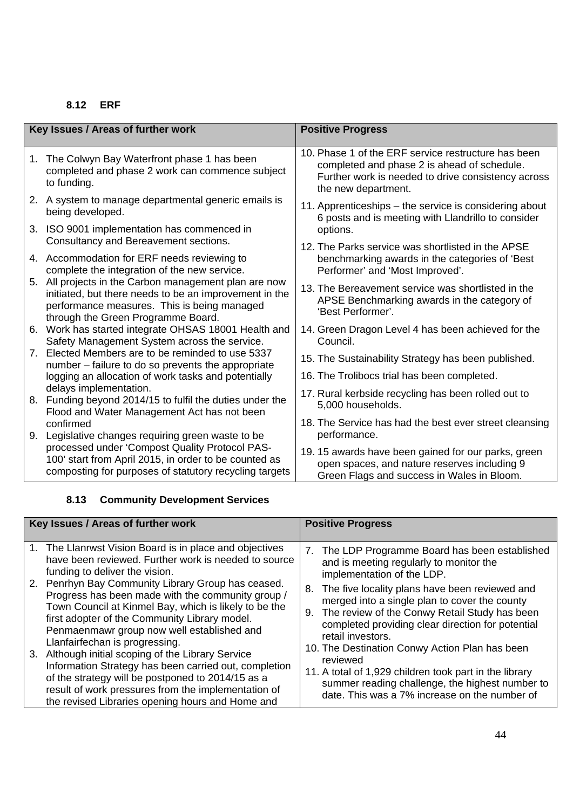## **8.12 ERF**

| Key Issues / Areas of further work |                                                                                                                                                                                                      | <b>Positive Progress</b>                                                                                                                                                        |
|------------------------------------|------------------------------------------------------------------------------------------------------------------------------------------------------------------------------------------------------|---------------------------------------------------------------------------------------------------------------------------------------------------------------------------------|
| 1.                                 | The Colwyn Bay Waterfront phase 1 has been<br>completed and phase 2 work can commence subject<br>to funding.                                                                                         | 10. Phase 1 of the ERF service restructure has been<br>completed and phase 2 is ahead of schedule.<br>Further work is needed to drive consistency across<br>the new department. |
|                                    | 2. A system to manage departmental generic emails is<br>being developed.                                                                                                                             | 11. Apprenticeships - the service is considering about<br>6 posts and is meeting with Llandrillo to consider                                                                    |
| 3.                                 | ISO 9001 implementation has commenced in<br>Consultancy and Bereavement sections.                                                                                                                    | options.                                                                                                                                                                        |
|                                    | 4. Accommodation for ERF needs reviewing to<br>complete the integration of the new service.                                                                                                          | 12. The Parks service was shortlisted in the APSE<br>benchmarking awards in the categories of 'Best<br>Performer' and 'Most Improved'.                                          |
|                                    | 5. All projects in the Carbon management plan are now<br>initiated, but there needs to be an improvement in the<br>performance measures. This is being managed<br>through the Green Programme Board. | 13. The Bereavement service was shortlisted in the<br>APSE Benchmarking awards in the category of<br>'Best Performer'.                                                          |
| 6.                                 | Work has started integrate OHSAS 18001 Health and<br>Safety Management System across the service.                                                                                                    | 14. Green Dragon Level 4 has been achieved for the<br>Council.                                                                                                                  |
| 7.                                 | Elected Members are to be reminded to use 5337<br>number – failure to do so prevents the appropriate                                                                                                 | 15. The Sustainability Strategy has been published.                                                                                                                             |
|                                    | logging an allocation of work tasks and potentially                                                                                                                                                  | 16. The Trolibocs trial has been completed.                                                                                                                                     |
| 8.                                 | delays implementation.<br>Funding beyond 2014/15 to fulfil the duties under the<br>Flood and Water Management Act has not been                                                                       | 17. Rural kerbside recycling has been rolled out to<br>5,000 households.                                                                                                        |
| 9.                                 | confirmed<br>Legislative changes requiring green waste to be                                                                                                                                         | 18. The Service has had the best ever street cleansing<br>performance.                                                                                                          |
|                                    | processed under 'Compost Quality Protocol PAS-<br>100' start from April 2015, in order to be counted as<br>composting for purposes of statutory recycling targets                                    | 19.15 awards have been gained for our parks, green<br>open spaces, and nature reserves including 9<br>Green Flags and success in Wales in Bloom.                                |

## **8.13 Community Development Services**

| Key Issues / Areas of further work |                                                                                                                                                                                     | <b>Positive Progress</b> |                                                                                                   |
|------------------------------------|-------------------------------------------------------------------------------------------------------------------------------------------------------------------------------------|--------------------------|---------------------------------------------------------------------------------------------------|
|                                    | 1. The Llanrwst Vision Board is in place and objectives                                                                                                                             |                          |                                                                                                   |
|                                    | have been reviewed. Further work is needed to source                                                                                                                                |                          | 7. The LDP Programme Board has been established<br>and is meeting regularly to monitor the        |
|                                    | funding to deliver the vision.                                                                                                                                                      |                          | implementation of the LDP.                                                                        |
|                                    | 2. Penrhyn Bay Community Library Group has ceased.<br>Progress has been made with the community group /                                                                             |                          | 8. The five locality plans have been reviewed and                                                 |
|                                    | Town Council at Kinmel Bay, which is likely to be the                                                                                                                               |                          | merged into a single plan to cover the county<br>9. The review of the Conwy Retail Study has been |
|                                    | first adopter of the Community Library model.<br>Penmaenmawr group now well established and<br>Llanfairfechan is progressing.<br>3. Although initial scoping of the Library Service |                          | completed providing clear direction for potential                                                 |
|                                    |                                                                                                                                                                                     |                          | retail investors.                                                                                 |
|                                    |                                                                                                                                                                                     |                          | 10. The Destination Conwy Action Plan has been<br>reviewed                                        |
|                                    | Information Strategy has been carried out, completion<br>of the strategy will be postponed to 2014/15 as a                                                                          |                          | 11. A total of 1,929 children took part in the library                                            |
|                                    | result of work pressures from the implementation of                                                                                                                                 |                          | summer reading challenge, the highest number to                                                   |
|                                    | the revised Libraries opening hours and Home and                                                                                                                                    |                          | date. This was a 7% increase on the number of                                                     |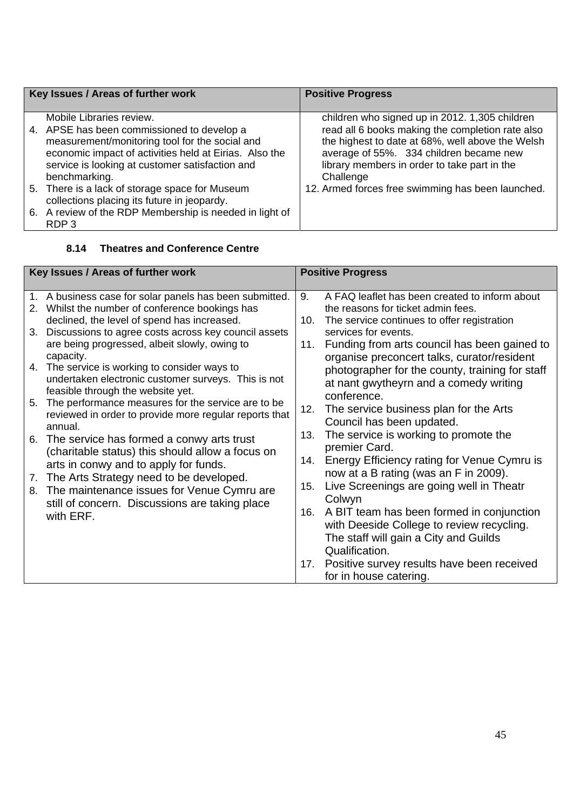| Key Issues / Areas of further work |                                                                                                                                                                                                                                                                                                                                                         | <b>Positive Progress</b>                                                                                                                                                                                                                                                                                            |  |
|------------------------------------|---------------------------------------------------------------------------------------------------------------------------------------------------------------------------------------------------------------------------------------------------------------------------------------------------------------------------------------------------------|---------------------------------------------------------------------------------------------------------------------------------------------------------------------------------------------------------------------------------------------------------------------------------------------------------------------|--|
|                                    | Mobile Libraries review.<br>4. APSE has been commissioned to develop a<br>measurement/monitoring tool for the social and<br>economic impact of activities held at Eirias. Also the<br>service is looking at customer satisfaction and<br>benchmarking.<br>5. There is a lack of storage space for Museum<br>collections placing its future in jeopardy. | children who signed up in 2012. 1,305 children<br>read all 6 books making the completion rate also<br>the highest to date at 68%, well above the Welsh<br>average of 55%. 334 children became new<br>library members in order to take part in the<br>Challenge<br>12. Armed forces free swimming has been launched. |  |
|                                    | 6. A review of the RDP Membership is needed in light of<br>RDP <sub>3</sub>                                                                                                                                                                                                                                                                             |                                                                                                                                                                                                                                                                                                                     |  |

#### **8.14 Theatres and Conference Centre**

| Key Issues / Areas of further work |                                                                                                                                        | <b>Positive Progress</b> |                                                                                             |
|------------------------------------|----------------------------------------------------------------------------------------------------------------------------------------|--------------------------|---------------------------------------------------------------------------------------------|
|                                    |                                                                                                                                        |                          |                                                                                             |
|                                    | 1. A business case for solar panels has been submitted.<br>2. Whilst the number of conference bookings has                             | 9.                       | A FAQ leaflet has been created to inform about<br>the reasons for ticket admin fees.        |
|                                    | declined, the level of spend has increased.                                                                                            | 10.                      | The service continues to offer registration                                                 |
| 3.                                 | Discussions to agree costs across key council assets                                                                                   |                          | services for events.                                                                        |
|                                    | are being progressed, albeit slowly, owing to<br>capacity.                                                                             | 11.                      | Funding from arts council has been gained to<br>organise preconcert talks, curator/resident |
| 4.                                 | The service is working to consider ways to<br>undertaken electronic customer surveys. This is not<br>feasible through the website yet. |                          | photographer for the county, training for staff<br>at nant gwytheyrn and a comedy writing   |
| 5.                                 | The performance measures for the service are to be                                                                                     |                          | conference.                                                                                 |
|                                    | reviewed in order to provide more regular reports that                                                                                 | 12.                      | The service business plan for the Arts                                                      |
|                                    | annual.                                                                                                                                |                          | Council has been updated.                                                                   |
| 6.                                 | The service has formed a conwy arts trust                                                                                              | 13.                      | The service is working to promote the                                                       |
|                                    | (charitable status) this should allow a focus on                                                                                       |                          | premier Card.                                                                               |
|                                    | arts in conwy and to apply for funds.                                                                                                  | 14.                      | Energy Efficiency rating for Venue Cymru is<br>now at a B rating (was an F in 2009).        |
| 7.                                 | The Arts Strategy need to be developed.                                                                                                | 15.                      | Live Screenings are going well in Theatr                                                    |
| 8.                                 | The maintenance issues for Venue Cymru are                                                                                             |                          | Colwyn                                                                                      |
|                                    | still of concern. Discussions are taking place                                                                                         | 16.                      | A BIT team has been formed in conjunction                                                   |
|                                    | with ERF.                                                                                                                              |                          | with Deeside College to review recycling.                                                   |
|                                    |                                                                                                                                        |                          | The staff will gain a City and Guilds                                                       |
|                                    |                                                                                                                                        |                          | Qualification.                                                                              |
|                                    |                                                                                                                                        |                          | 17. Positive survey results have been received                                              |
|                                    |                                                                                                                                        |                          | for in house catering.                                                                      |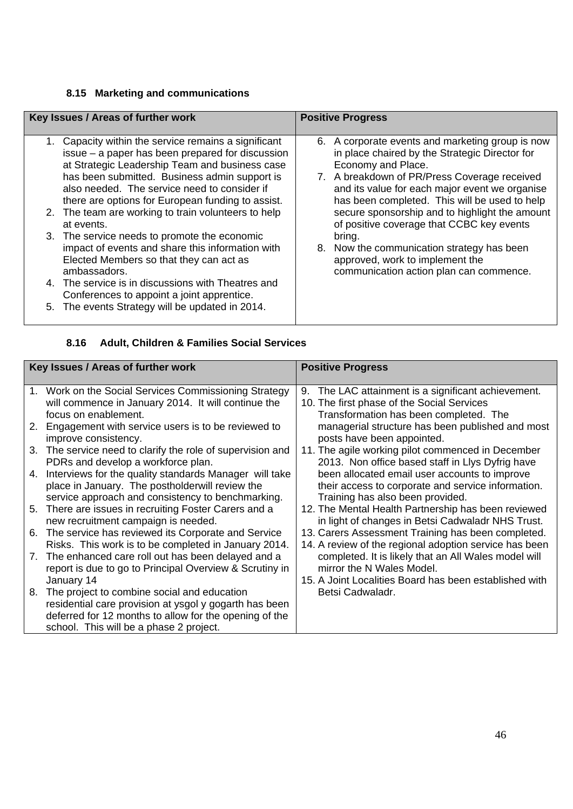## **8.15 Marketing and communications**

| Key Issues / Areas of further work                                                                                                                                                                                                                                                                                                                                      | <b>Positive Progress</b>                                                                                                                                                                                                                                                                                                      |
|-------------------------------------------------------------------------------------------------------------------------------------------------------------------------------------------------------------------------------------------------------------------------------------------------------------------------------------------------------------------------|-------------------------------------------------------------------------------------------------------------------------------------------------------------------------------------------------------------------------------------------------------------------------------------------------------------------------------|
|                                                                                                                                                                                                                                                                                                                                                                         |                                                                                                                                                                                                                                                                                                                               |
| 1. Capacity within the service remains a significant<br>issue – a paper has been prepared for discussion<br>at Strategic Leadership Team and business case<br>has been submitted. Business admin support is<br>also needed. The service need to consider if<br>there are options for European funding to assist.<br>2. The team are working to train volunteers to help | 6. A corporate events and marketing group is now<br>in place chaired by the Strategic Director for<br>Economy and Place.<br>7. A breakdown of PR/Press Coverage received<br>and its value for each major event we organise<br>has been completed. This will be used to help<br>secure sponsorship and to highlight the amount |
| at events.<br>3. The service needs to promote the economic<br>impact of events and share this information with<br>Elected Members so that they can act as<br>ambassadors.<br>4. The service is in discussions with Theatres and<br>Conferences to appoint a joint apprentice.<br>5. The events Strategy will be updated in 2014.                                        | of positive coverage that CCBC key events<br>bring.<br>8. Now the communication strategy has been<br>approved, work to implement the<br>communication action plan can commence.                                                                                                                                               |

## **8.16 Adult, Children & Families Social Services**

| Key Issues / Areas of further work |                                                                                                                                                                                                                          | <b>Positive Progress</b>                                                                                                                    |  |
|------------------------------------|--------------------------------------------------------------------------------------------------------------------------------------------------------------------------------------------------------------------------|---------------------------------------------------------------------------------------------------------------------------------------------|--|
|                                    |                                                                                                                                                                                                                          |                                                                                                                                             |  |
|                                    | 1. Work on the Social Services Commissioning Strategy<br>will commence in January 2014. It will continue the<br>focus on enablement.                                                                                     | 9. The LAC attainment is a significant achievement.<br>10. The first phase of the Social Services<br>Transformation has been completed. The |  |
| 2.                                 | Engagement with service users is to be reviewed to<br>improve consistency.                                                                                                                                               | managerial structure has been published and most<br>posts have been appointed.                                                              |  |
| 3.                                 | The service need to clarify the role of supervision and<br>PDRs and develop a workforce plan.                                                                                                                            | 11. The agile working pilot commenced in December<br>2013. Non office based staff in Llys Dyfrig have                                       |  |
| 4.                                 | Interviews for the quality standards Manager will take<br>place in January. The postholderwill review the<br>service approach and consistency to benchmarking.                                                           | been allocated email user accounts to improve<br>their access to corporate and service information.<br>Training has also been provided.     |  |
| 5.                                 | There are issues in recruiting Foster Carers and a<br>new recruitment campaign is needed.                                                                                                                                | 12. The Mental Health Partnership has been reviewed<br>in light of changes in Betsi Cadwaladr NHS Trust.                                    |  |
|                                    | 6. The service has reviewed its Corporate and Service<br>Risks. This work is to be completed in January 2014.                                                                                                            | 13. Carers Assessment Training has been completed.<br>14. A review of the regional adoption service has been                                |  |
| 7.                                 | The enhanced care roll out has been delayed and a<br>report is due to go to Principal Overview & Scrutiny in                                                                                                             | completed. It is likely that an All Wales model will<br>mirror the N Wales Model.                                                           |  |
| 8.                                 | January 14<br>The project to combine social and education<br>residential care provision at ysgol y gogarth has been<br>deferred for 12 months to allow for the opening of the<br>school. This will be a phase 2 project. | 15. A Joint Localities Board has been established with<br>Betsi Cadwaladr.                                                                  |  |